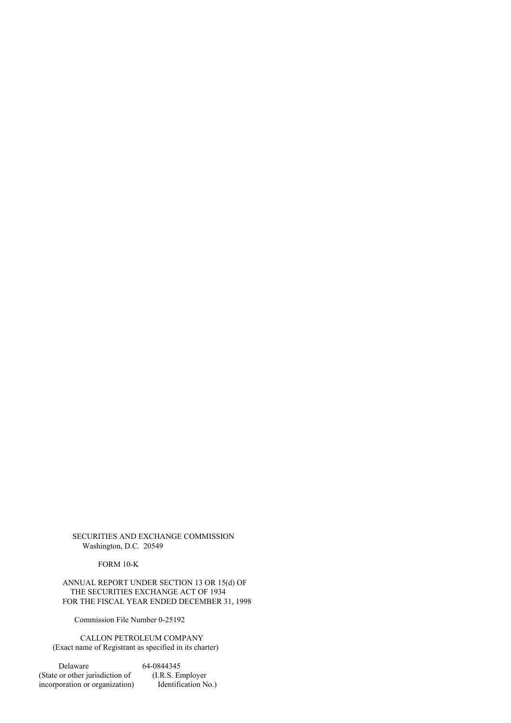SECURITIES AND EXCHANGE COMMISSION Washington, D.C. 20549

FORM 10-K

ANNUAL REPORT UNDER SECTION 13 OR 15(d) OF THE SECURITIES EXCHANGE ACT OF 1934 FOR THE FISCAL YEAR ENDED DECEMBER 31, 1998

Commission File Number 0-25192

CALLON PETROLEUM COMPANY (Exact name of Registrant as specified in its charter)

Delaware 64-0844345 (State or other jurisdiction of (I.R.S. Employer<br>incorporation or organization) Identification No.) incorporation or organization)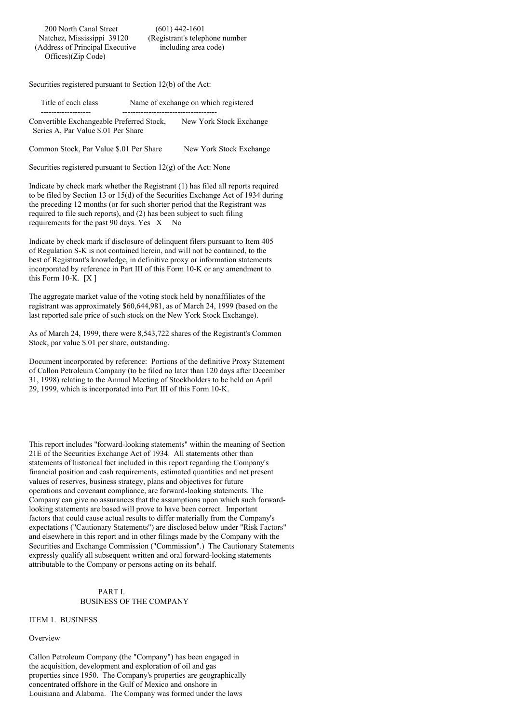Securities registered pursuant to Section 12(b) of the Act:

| Title of each class                       | Name of exchange on which registered |
|-------------------------------------------|--------------------------------------|
|                                           |                                      |
| Convertible Exchangeable Preferred Stock, | New York Stock Exchange              |
| Series A. Par Value \$.01 Per Share       |                                      |

Common Stock, Par Value \$.01 Per Share New York Stock Exchange

Securities registered pursuant to Section 12(g) of the Act: None

Indicate by check mark whether the Registrant (1) has filed all reports required to be filed by Section 13 or 15(d) of the Securities Exchange Act of 1934 during the preceding 12 months (or for such shorter period that the Registrant was required to file such reports), and (2) has been subject to such filing requirements for the past 90 days. Yes X No

Indicate by check mark if disclosure of delinquent filers pursuant to Item 405 of Regulation S-K is not contained herein, and will not be contained, to the best of Registrant's knowledge, in definitive proxy or information statements incorporated by reference in Part III of this Form 10-K or any amendment to this Form 10-K.  $[X]$ 

The aggregate market value of the voting stock held by nonaffiliates of the registrant was approximately \$60,644,981, as of March 24, 1999 (based on the last reported sale price of such stock on the New York Stock Exchange).

As of March 24, 1999, there were 8,543,722 shares of the Registrant's Common Stock, par value \$.01 per share, outstanding.

Document incorporated by reference: Portions of the definitive Proxy Statement of Callon Petroleum Company (to be filed no later than 120 days after December 31, 1998) relating to the Annual Meeting of Stockholders to be held on April 29, 1999, which is incorporated into Part III of this Form 10-K.

This report includes "forward-looking statements" within the meaning of Section 21E of the Securities Exchange Act of 1934. All statements other than statements of historical fact included in this report regarding the Company's financial position and cash requirements, estimated quantities and net present values of reserves, business strategy, plans and objectives for future operations and covenant compliance, are forward-looking statements. The Company can give no assurances that the assumptions upon which such forwardlooking statements are based will prove to have been correct. Important factors that could cause actual results to differ materially from the Company's expectations ("Cautionary Statements") are disclosed below under "Risk Factors" and elsewhere in this report and in other filings made by the Company with the Securities and Exchange Commission ("Commission".) The Cautionary Statements expressly qualify all subsequent written and oral forward-looking statements attributable to the Company or persons acting on its behalf.

### PART I. BUSINESS OF THE COMPANY

ITEM 1. BUSINESS

#### **Overview**

Callon Petroleum Company (the "Company") has been engaged in the acquisition, development and exploration of oil and gas properties since 1950. The Company's properties are geographically concentrated offshore in the Gulf of Mexico and onshore in Louisiana and Alabama. The Company was formed under the laws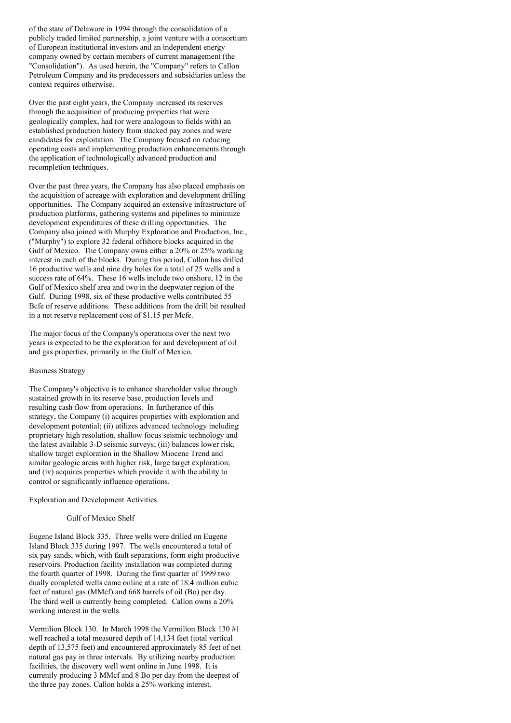of the state of Delaware in 1994 through the consolidation of a publicly traded limited partnership, a joint venture with a consortium of European institutional investors and an independent energy company owned by certain members of current management (the "Consolidation"). As used herein, the "Company" refers to Callon Petroleum Company and its predecessors and subsidiaries unless the context requires otherwise.

Over the past eight years, the Company increased its reserves through the acquisition of producing properties that were geologically complex, had (or were analogous to fields with) an established production history from stacked pay zones and were candidates for exploitation. The Company focused on reducing operating costs and implementing production enhancements through the application of technologically advanced production and recompletion techniques.

Over the past three years, the Company has also placed emphasis on the acquisition of acreage with exploration and development drilling opportunities. The Company acquired an extensive infrastructure of production platforms, gathering systems and pipelines to minimize development expenditures of these drilling opportunities. The Company also joined with Murphy Exploration and Production, Inc., ("Murphy") to explore 32 federal offshore blocks acquired in the Gulf of Mexico. The Company owns either a 20% or 25% working interest in each of the blocks. During this period, Callon has drilled 16 productive wells and nine dry holes for a total of 25 wells and a success rate of 64%. These 16 wells include two onshore, 12 in the Gulf of Mexico shelf area and two in the deepwater region of the Gulf. During 1998, six of these productive wells contributed 55 Bcfe of reserve additions. These additions from the drill bit resulted in a net reserve replacement cost of \$1.15 per Mcfe.

The major focus of the Company's operations over the next two years is expected to be the exploration for and development of oil and gas properties, primarily in the Gulf of Mexico.

### Business Strategy

The Company's objective is to enhance shareholder value through sustained growth in its reserve base, production levels and resulting cash flow from operations. In furtherance of this strategy, the Company (i) acquires properties with exploration and development potential; (ii) utilizes advanced technology including proprietary high resolution, shallow focus seismic technology and the latest available 3-D seismic surveys; (iii) balances lower risk, shallow target exploration in the Shallow Miocene Trend and similar geologic areas with higher risk, large target exploration; and (iv) acquires properties which provide it with the ability to control or significantly influence operations.

Exploration and Development Activities

## Gulf of Mexico Shelf

Eugene Island Block 335. Three wells were drilled on Eugene Island Block 335 during 1997. The wells encountered a total of six pay sands, which, with fault separations, form eight productive reservoirs. Production facility installation was completed during the fourth quarter of 1998. During the first quarter of 1999 two dually completed wells came online at a rate of 18.4 million cubic feet of natural gas (MMcf) and 668 barrels of oil (Bo) per day. The third well is currently being completed. Callon owns a 20% working interest in the wells.

Vermilion Block 130. In March 1998 the Vermilion Block 130 #1 well reached a total measured depth of 14,134 feet (total vertical depth of 13,575 feet) and encountered approximately 85 feet of net natural gas pay in three intervals. By utilizing nearby production facilities, the discovery well went online in June 1998. It is currently producing 3 MMcf and 8 Bo per day from the deepest of the three pay zones. Callon holds a 25% working interest.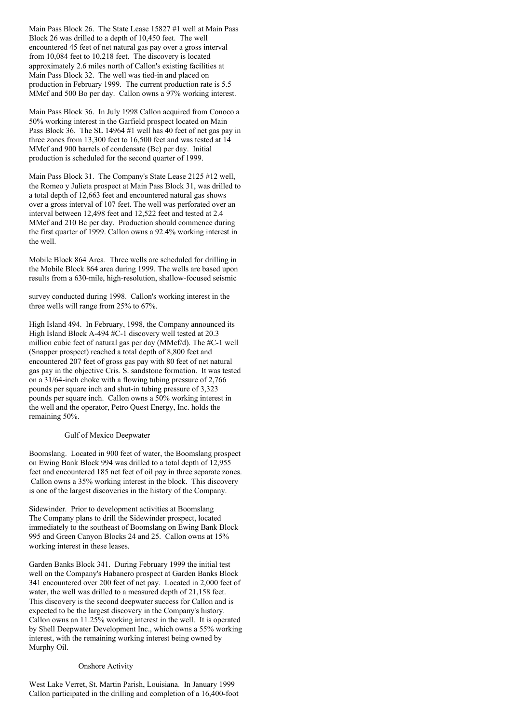Main Pass Block 26. The State Lease 15827 #1 well at Main Pass Block 26 was drilled to a depth of 10,450 feet. The well encountered 45 feet of net natural gas pay over a gross interval from 10,084 feet to 10,218 feet. The discovery is located approximately 2.6 miles north of Callon's existing facilities at Main Pass Block 32. The well was tied-in and placed on production in February 1999. The current production rate is 5.5 MMcf and 500 Bo per day. Callon owns a 97% working interest.

Main Pass Block 36. In July 1998 Callon acquired from Conoco a 50% working interest in the Garfield prospect located on Main Pass Block 36. The SL 14964 #1 well has 40 feet of net gas pay in three zones from 13,300 feet to 16,500 feet and was tested at 14 MMcf and 900 barrels of condensate (Bc) per day. Initial production is scheduled for the second quarter of 1999.

Main Pass Block 31. The Company's State Lease 2125 #12 well, the Romeo y Julieta prospect at Main Pass Block 31, was drilled to a total depth of 12,663 feet and encountered natural gas shows over a gross interval of 107 feet. The well was perforated over an interval between 12,498 feet and 12,522 feet and tested at 2.4 MMcf and 210 Bc per day. Production should commence during the first quarter of 1999. Callon owns a 92.4% working interest in the well.

Mobile Block 864 Area. Three wells are scheduled for drilling in the Mobile Block 864 area during 1999. The wells are based upon results from a 630-mile, high-resolution, shallow-focused seismic

survey conducted during 1998. Callon's working interest in the three wells will range from 25% to 67%.

High Island 494. In February, 1998, the Company announced its High Island Block A-494 #C-1 discovery well tested at 20.3 million cubic feet of natural gas per day (MMcf/d). The #C-1 well (Snapper prospect) reached a total depth of 8,800 feet and encountered 207 feet of gross gas pay with 80 feet of net natural gas pay in the objective Cris. S. sandstone formation. It was tested on a 31/64-inch choke with a flowing tubing pressure of 2,766 pounds per square inch and shut-in tubing pressure of 3,323 pounds per square inch. Callon owns a 50% working interest in the well and the operator, Petro Quest Energy, Inc. holds the remaining 50%.

### Gulf of Mexico Deepwater

Boomslang. Located in 900 feet of water, the Boomslang prospect on Ewing Bank Block 994 was drilled to a total depth of 12,955 feet and encountered 185 net feet of oil pay in three separate zones. Callon owns a 35% working interest in the block. This discovery is one of the largest discoveries in the history of the Company.

Sidewinder. Prior to development activities at Boomslang The Company plans to drill the Sidewinder prospect, located immediately to the southeast of Boomslang on Ewing Bank Block 995 and Green Canyon Blocks 24 and 25. Callon owns at 15% working interest in these leases.

Garden Banks Block 341. During February 1999 the initial test well on the Company's Habanero prospect at Garden Banks Block 341 encountered over 200 feet of net pay. Located in 2,000 feet of water, the well was drilled to a measured depth of 21,158 feet. This discovery is the second deepwater success for Callon and is expected to be the largest discovery in the Company's history. Callon owns an 11.25% working interest in the well. It is operated by Shell Deepwater Development Inc., which owns a 55% working interest, with the remaining working interest being owned by Murphy Oil.

#### Onshore Activity

West Lake Verret, St. Martin Parish, Louisiana. In January 1999 Callon participated in the drilling and completion of a 16,400-foot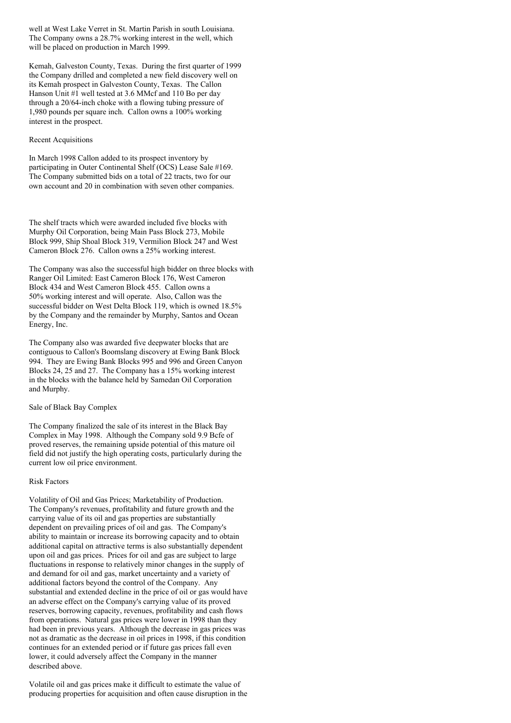well at West Lake Verret in St. Martin Parish in south Louisiana. The Company owns a 28.7% working interest in the well, which will be placed on production in March 1999.

Kemah, Galveston County, Texas. During the first quarter of 1999 the Company drilled and completed a new field discovery well on its Kemah prospect in Galveston County, Texas. The Callon Hanson Unit #1 well tested at 3.6 MMcf and 110 Bo per day through a 20/64-inch choke with a flowing tubing pressure of 1,980 pounds per square inch. Callon owns a 100% working interest in the prospect.

### Recent Acquisitions

In March 1998 Callon added to its prospect inventory by participating in Outer Continental Shelf (OCS) Lease Sale #169. The Company submitted bids on a total of 22 tracts, two for our own account and 20 in combination with seven other companies.

The shelf tracts which were awarded included five blocks with Murphy Oil Corporation, being Main Pass Block 273, Mobile Block 999, Ship Shoal Block 319, Vermilion Block 247 and West Cameron Block 276. Callon owns a 25% working interest.

The Company was also the successful high bidder on three blocks with Ranger Oil Limited: East Cameron Block 176, West Cameron Block 434 and West Cameron Block 455. Callon owns a 50% working interest and will operate. Also, Callon was the successful bidder on West Delta Block 119, which is owned 18.5% by the Company and the remainder by Murphy, Santos and Ocean Energy, Inc.

The Company also was awarded five deepwater blocks that are contiguous to Callon's Boomslang discovery at Ewing Bank Block 994. They are Ewing Bank Blocks 995 and 996 and Green Canyon Blocks 24, 25 and 27. The Company has a 15% working interest in the blocks with the balance held by Samedan Oil Corporation and Murphy.

### Sale of Black Bay Complex

The Company finalized the sale of its interest in the Black Bay Complex in May 1998. Although the Company sold 9.9 Bcfe of proved reserves, the remaining upside potential of this mature oil field did not justify the high operating costs, particularly during the current low oil price environment.

#### Risk Factors

Volatility of Oil and Gas Prices; Marketability of Production. The Company's revenues, profitability and future growth and the carrying value of its oil and gas properties are substantially dependent on prevailing prices of oil and gas. The Company's ability to maintain or increase its borrowing capacity and to obtain additional capital on attractive terms is also substantially dependent upon oil and gas prices. Prices for oil and gas are subject to large fluctuations in response to relatively minor changes in the supply of and demand for oil and gas, market uncertainty and a variety of additional factors beyond the control of the Company. Any substantial and extended decline in the price of oil or gas would have an adverse effect on the Company's carrying value of its proved reserves, borrowing capacity, revenues, profitability and cash flows from operations. Natural gas prices were lower in 1998 than they had been in previous years. Although the decrease in gas prices was not as dramatic as the decrease in oil prices in 1998, if this condition continues for an extended period or if future gas prices fall even lower, it could adversely affect the Company in the manner described above.

Volatile oil and gas prices make it difficult to estimate the value of producing properties for acquisition and often cause disruption in the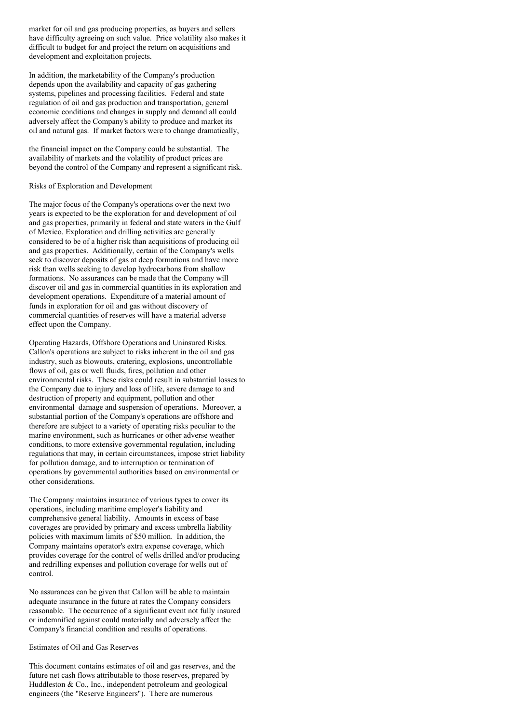market for oil and gas producing properties, as buyers and sellers have difficulty agreeing on such value. Price volatility also makes it difficult to budget for and project the return on acquisitions and development and exploitation projects.

In addition, the marketability of the Company's production depends upon the availability and capacity of gas gathering systems, pipelines and processing facilities. Federal and state regulation of oil and gas production and transportation, general economic conditions and changes in supply and demand all could adversely affect the Company's ability to produce and market its oil and natural gas. If market factors were to change dramatically,

the financial impact on the Company could be substantial. The availability of markets and the volatility of product prices are beyond the control of the Company and represent a significant risk.

## Risks of Exploration and Development

The major focus of the Company's operations over the next two years is expected to be the exploration for and development of oil and gas properties, primarily in federal and state waters in the Gulf of Mexico. Exploration and drilling activities are generally considered to be of a higher risk than acquisitions of producing oil and gas properties. Additionally, certain of the Company's wells seek to discover deposits of gas at deep formations and have more risk than wells seeking to develop hydrocarbons from shallow formations. No assurances can be made that the Company will discover oil and gas in commercial quantities in its exploration and development operations. Expenditure of a material amount of funds in exploration for oil and gas without discovery of commercial quantities of reserves will have a material adverse effect upon the Company.

Operating Hazards, Offshore Operations and Uninsured Risks. Callon's operations are subject to risks inherent in the oil and gas industry, such as blowouts, cratering, explosions, uncontrollable flows of oil, gas or well fluids, fires, pollution and other environmental risks. These risks could result in substantial losses to the Company due to injury and loss of life, severe damage to and destruction of property and equipment, pollution and other environmental damage and suspension of operations. Moreover, a substantial portion of the Company's operations are offshore and therefore are subject to a variety of operating risks peculiar to the marine environment, such as hurricanes or other adverse weather conditions, to more extensive governmental regulation, including regulations that may, in certain circumstances, impose strict liability for pollution damage, and to interruption or termination of operations by governmental authorities based on environmental or other considerations.

The Company maintains insurance of various types to cover its operations, including maritime employer's liability and comprehensive general liability. Amounts in excess of base coverages are provided by primary and excess umbrella liability policies with maximum limits of \$50 million. In addition, the Company maintains operator's extra expense coverage, which provides coverage for the control of wells drilled and/or producing and redrilling expenses and pollution coverage for wells out of control.

No assurances can be given that Callon will be able to maintain adequate insurance in the future at rates the Company considers reasonable. The occurrence of a significant event not fully insured or indemnified against could materially and adversely affect the Company's financial condition and results of operations.

## Estimates of Oil and Gas Reserves

This document contains estimates of oil and gas reserves, and the future net cash flows attributable to those reserves, prepared by Huddleston & Co., Inc., independent petroleum and geological engineers (the "Reserve Engineers"). There are numerous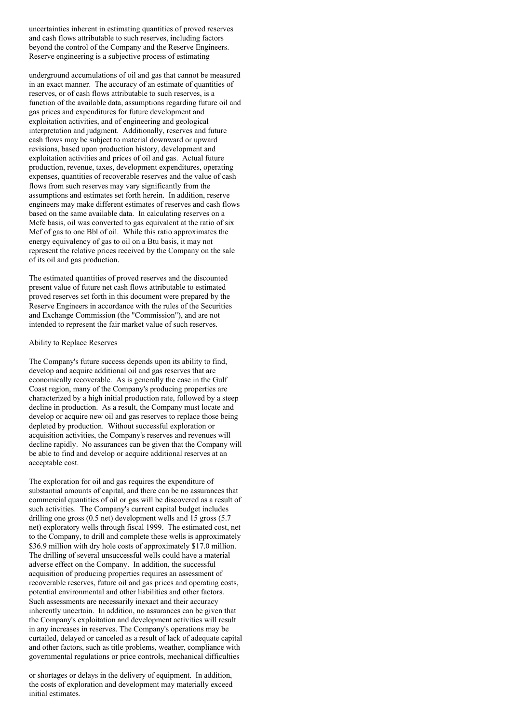uncertainties inherent in estimating quantities of proved reserves and cash flows attributable to such reserves, including factors beyond the control of the Company and the Reserve Engineers. Reserve engineering is a subjective process of estimating

underground accumulations of oil and gas that cannot be measured in an exact manner. The accuracy of an estimate of quantities of reserves, or of cash flows attributable to such reserves, is a function of the available data, assumptions regarding future oil and gas prices and expenditures for future development and exploitation activities, and of engineering and geological interpretation and judgment. Additionally, reserves and future cash flows may be subject to material downward or upward revisions, based upon production history, development and exploitation activities and prices of oil and gas. Actual future production, revenue, taxes, development expenditures, operating expenses, quantities of recoverable reserves and the value of cash flows from such reserves may vary significantly from the assumptions and estimates set forth herein. In addition, reserve engineers may make different estimates of reserves and cash flows based on the same available data. In calculating reserves on a Mcfe basis, oil was converted to gas equivalent at the ratio of six Mcf of gas to one Bbl of oil. While this ratio approximates the energy equivalency of gas to oil on a Btu basis, it may not represent the relative prices received by the Company on the sale of its oil and gas production.

The estimated quantities of proved reserves and the discounted present value of future net cash flows attributable to estimated proved reserves set forth in this document were prepared by the Reserve Engineers in accordance with the rules of the Securities and Exchange Commission (the "Commission"), and are not intended to represent the fair market value of such reserves.

# Ability to Replace Reserves

The Company's future success depends upon its ability to find, develop and acquire additional oil and gas reserves that are economically recoverable. As is generally the case in the Gulf Coast region, many of the Company's producing properties are characterized by a high initial production rate, followed by a steep decline in production. As a result, the Company must locate and develop or acquire new oil and gas reserves to replace those being depleted by production. Without successful exploration or acquisition activities, the Company's reserves and revenues will decline rapidly. No assurances can be given that the Company will be able to find and develop or acquire additional reserves at an acceptable cost.

The exploration for oil and gas requires the expenditure of substantial amounts of capital, and there can be no assurances that commercial quantities of oil or gas will be discovered as a result of such activities. The Company's current capital budget includes drilling one gross (0.5 net) development wells and 15 gross (5.7) net) exploratory wells through fiscal 1999. The estimated cost, net to the Company, to drill and complete these wells is approximately \$36.9 million with dry hole costs of approximately \$17.0 million. The drilling of several unsuccessful wells could have a material adverse effect on the Company. In addition, the successful acquisition of producing properties requires an assessment of recoverable reserves, future oil and gas prices and operating costs, potential environmental and other liabilities and other factors. Such assessments are necessarily inexact and their accuracy inherently uncertain. In addition, no assurances can be given that the Company's exploitation and development activities will result in any increases in reserves. The Company's operations may be curtailed, delayed or canceled as a result of lack of adequate capital and other factors, such as title problems, weather, compliance with governmental regulations or price controls, mechanical difficulties

or shortages or delays in the delivery of equipment. In addition, the costs of exploration and development may materially exceed initial estimates.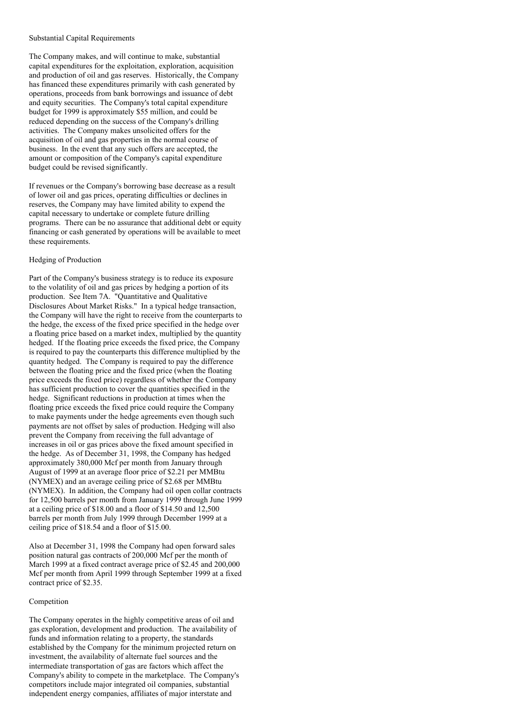#### Substantial Capital Requirements

The Company makes, and will continue to make, substantial capital expenditures for the exploitation, exploration, acquisition and production of oil and gas reserves. Historically, the Company has financed these expenditures primarily with cash generated by operations, proceeds from bank borrowings and issuance of debt and equity securities. The Company's total capital expenditure budget for 1999 is approximately \$55 million, and could be reduced depending on the success of the Company's drilling activities. The Company makes unsolicited offers for the acquisition of oil and gas properties in the normal course of business. In the event that any such offers are accepted, the amount or composition of the Company's capital expenditure budget could be revised significantly.

If revenues or the Company's borrowing base decrease as a result of lower oil and gas prices, operating difficulties or declines in reserves, the Company may have limited ability to expend the capital necessary to undertake or complete future drilling programs. There can be no assurance that additional debt or equity financing or cash generated by operations will be available to meet these requirements.

### Hedging of Production

Part of the Company's business strategy is to reduce its exposure to the volatility of oil and gas prices by hedging a portion of its production. See Item 7A. "Quantitative and Qualitative Disclosures About Market Risks." In a typical hedge transaction, the Company will have the right to receive from the counterparts to the hedge, the excess of the fixed price specified in the hedge over a floating price based on a market index, multiplied by the quantity hedged. If the floating price exceeds the fixed price, the Company is required to pay the counterparts this difference multiplied by the quantity hedged. The Company is required to pay the difference between the floating price and the fixed price (when the floating price exceeds the fixed price) regardless of whether the Company has sufficient production to cover the quantities specified in the hedge. Significant reductions in production at times when the floating price exceeds the fixed price could require the Company to make payments under the hedge agreements even though such payments are not offset by sales of production. Hedging will also prevent the Company from receiving the full advantage of increases in oil or gas prices above the fixed amount specified in the hedge. As of December 31, 1998, the Company has hedged approximately 380,000 Mcf per month from January through August of 1999 at an average floor price of \$2.21 per MMBtu (NYMEX) and an average ceiling price of \$2.68 per MMBtu (NYMEX). In addition, the Company had oil open collar contracts for 12,500 barrels per month from January 1999 through June 1999 at a ceiling price of \$18.00 and a floor of \$14.50 and 12,500 barrels per month from July 1999 through December 1999 at a ceiling price of \$18.54 and a floor of \$15.00.

Also at December 31, 1998 the Company had open forward sales position natural gas contracts of 200,000 Mcf per the month of March 1999 at a fixed contract average price of \$2.45 and 200,000 Mcf per month from April 1999 through September 1999 at a fixed contract price of \$2.35.

## Competition

The Company operates in the highly competitive areas of oil and gas exploration, development and production. The availability of funds and information relating to a property, the standards established by the Company for the minimum projected return on investment, the availability of alternate fuel sources and the intermediate transportation of gas are factors which affect the Company's ability to compete in the marketplace. The Company's competitors include major integrated oil companies, substantial independent energy companies, affiliates of major interstate and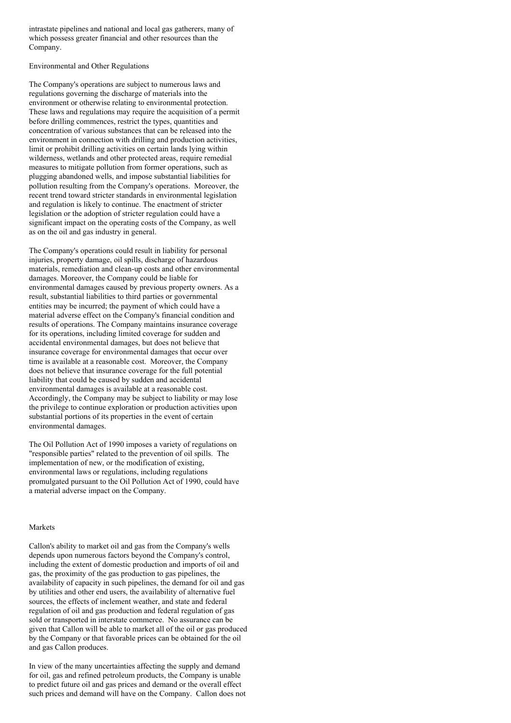intrastate pipelines and national and local gas gatherers, many of which possess greater financial and other resources than the Company.

Environmental and Other Regulations

The Company's operations are subject to numerous laws and regulations governing the discharge of materials into the environment or otherwise relating to environmental protection. These laws and regulations may require the acquisition of a permit before drilling commences, restrict the types, quantities and concentration of various substances that can be released into the environment in connection with drilling and production activities, limit or prohibit drilling activities on certain lands lying within wilderness, wetlands and other protected areas, require remedial measures to mitigate pollution from former operations, such as plugging abandoned wells, and impose substantial liabilities for pollution resulting from the Company's operations. Moreover, the recent trend toward stricter standards in environmental legislation and regulation is likely to continue. The enactment of stricter legislation or the adoption of stricter regulation could have a significant impact on the operating costs of the Company, as well as on the oil and gas industry in general.

The Company's operations could result in liability for personal injuries, property damage, oil spills, discharge of hazardous materials, remediation and clean-up costs and other environmental damages. Moreover, the Company could be liable for environmental damages caused by previous property owners. As a result, substantial liabilities to third parties or governmental entities may be incurred; the payment of which could have a material adverse effect on the Company's financial condition and results of operations. The Company maintains insurance coverage for its operations, including limited coverage for sudden and accidental environmental damages, but does not believe that insurance coverage for environmental damages that occur over time is available at a reasonable cost. Moreover, the Company does not believe that insurance coverage for the full potential liability that could be caused by sudden and accidental environmental damages is available at a reasonable cost. Accordingly, the Company may be subject to liability or may lose the privilege to continue exploration or production activities upon substantial portions of its properties in the event of certain environmental damages.

The Oil Pollution Act of 1990 imposes a variety of regulations on "responsible parties" related to the prevention of oil spills. The implementation of new, or the modification of existing, environmental laws or regulations, including regulations promulgated pursuant to the Oil Pollution Act of 1990, could have a material adverse impact on the Company.

#### Markets

Callon's ability to market oil and gas from the Company's wells depends upon numerous factors beyond the Company's control, including the extent of domestic production and imports of oil and gas, the proximity of the gas production to gas pipelines, the availability of capacity in such pipelines, the demand for oil and gas by utilities and other end users, the availability of alternative fuel sources, the effects of inclement weather, and state and federal regulation of oil and gas production and federal regulation of gas sold or transported in interstate commerce. No assurance can be given that Callon will be able to market all of the oil or gas produced by the Company or that favorable prices can be obtained for the oil and gas Callon produces.

In view of the many uncertainties affecting the supply and demand for oil, gas and refined petroleum products, the Company is unable to predict future oil and gas prices and demand or the overall effect such prices and demand will have on the Company. Callon does not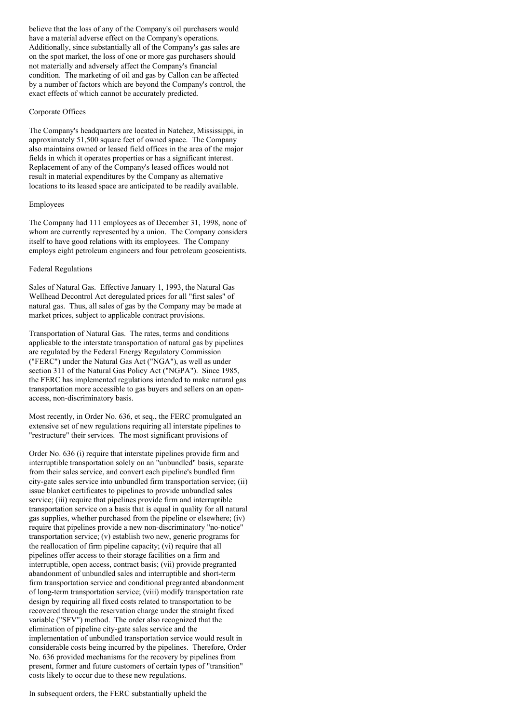believe that the loss of any of the Company's oil purchasers would have a material adverse effect on the Company's operations. Additionally, since substantially all of the Company's gas sales are on the spot market, the loss of one or more gas purchasers should not materially and adversely affect the Company's financial condition. The marketing of oil and gas by Callon can be affected by a number of factors which are beyond the Company's control, the exact effects of which cannot be accurately predicted.

## Corporate Offices

The Company's headquarters are located in Natchez, Mississippi, in approximately 51,500 square feet of owned space. The Company also maintains owned or leased field offices in the area of the major fields in which it operates properties or has a significant interest. Replacement of any of the Company's leased offices would not result in material expenditures by the Company as alternative locations to its leased space are anticipated to be readily available.

### Employees

The Company had 111 employees as of December 31, 1998, none of whom are currently represented by a union. The Company considers itself to have good relations with its employees. The Company employs eight petroleum engineers and four petroleum geoscientists.

## Federal Regulations

Sales of Natural Gas. Effective January 1, 1993, the Natural Gas Wellhead Decontrol Act deregulated prices for all "first sales" of natural gas. Thus, all sales of gas by the Company may be made at market prices, subject to applicable contract provisions.

Transportation of Natural Gas. The rates, terms and conditions applicable to the interstate transportation of natural gas by pipelines are regulated by the Federal Energy Regulatory Commission ("FERC") under the Natural Gas Act ("NGA"), as well as under section 311 of the Natural Gas Policy Act ("NGPA"). Since 1985, the FERC has implemented regulations intended to make natural gas transportation more accessible to gas buyers and sellers on an openaccess, non-discriminatory basis.

Most recently, in Order No. 636, et seq., the FERC promulgated an extensive set of new regulations requiring all interstate pipelines to "restructure" their services. The most significant provisions of

Order No. 636 (i) require that interstate pipelines provide firm and interruptible transportation solely on an "unbundled" basis, separate from their sales service, and convert each pipeline's bundled firm city-gate sales service into unbundled firm transportation service; (ii) issue blanket certificates to pipelines to provide unbundled sales service; (iii) require that pipelines provide firm and interruptible transportation service on a basis that is equal in quality for all natural gas supplies, whether purchased from the pipeline or elsewhere; (iv) require that pipelines provide a new non-discriminatory "no-notice" transportation service; (v) establish two new, generic programs for the reallocation of firm pipeline capacity; (vi) require that all pipelines offer access to their storage facilities on a firm and interruptible, open access, contract basis; (vii) provide pregranted abandonment of unbundled sales and interruptible and short-term firm transportation service and conditional pregranted abandonment of long-term transportation service; (viii) modify transportation rate design by requiring all fixed costs related to transportation to be recovered through the reservation charge under the straight fixed variable ("SFV") method. The order also recognized that the elimination of pipeline city-gate sales service and the implementation of unbundled transportation service would result in considerable costs being incurred by the pipelines. Therefore, Order No. 636 provided mechanisms for the recovery by pipelines from present, former and future customers of certain types of "transition" costs likely to occur due to these new regulations.

## In subsequent orders, the FERC substantially upheld the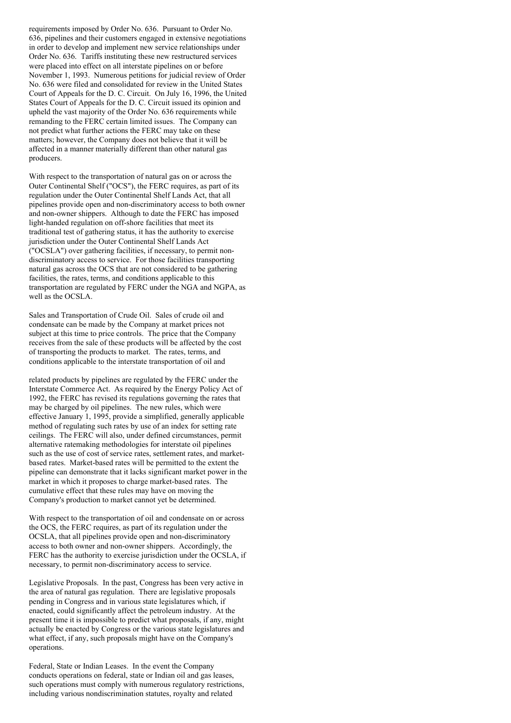requirements imposed by Order No. 636. Pursuant to Order No. 636, pipelines and their customers engaged in extensive negotiations in order to develop and implement new service relationships under Order No. 636. Tariffs instituting these new restructured services were placed into effect on all interstate pipelines on or before November 1, 1993. Numerous petitions for judicial review of Order No. 636 were filed and consolidated for review in the United States Court of Appeals for the D. C. Circuit. On July 16, 1996, the United States Court of Appeals for the D. C. Circuit issued its opinion and upheld the vast majority of the Order No. 636 requirements while remanding to the FERC certain limited issues. The Company can not predict what further actions the FERC may take on these matters; however, the Company does not believe that it will be affected in a manner materially different than other natural gas producers.

With respect to the transportation of natural gas on or across the Outer Continental Shelf ("OCS"), the FERC requires, as part of its regulation under the Outer Continental Shelf Lands Act, that all pipelines provide open and non-discriminatory access to both owner and non-owner shippers. Although to date the FERC has imposed light-handed regulation on off-shore facilities that meet its traditional test of gathering status, it has the authority to exercise jurisdiction under the Outer Continental Shelf Lands Act ("OCSLA") over gathering facilities, if necessary, to permit nondiscriminatory access to service. For those facilities transporting natural gas across the OCS that are not considered to be gathering facilities, the rates, terms, and conditions applicable to this transportation are regulated by FERC under the NGA and NGPA, as well as the OCSLA.

Sales and Transportation of Crude Oil. Sales of crude oil and condensate can be made by the Company at market prices not subject at this time to price controls. The price that the Company receives from the sale of these products will be affected by the cost of transporting the products to market. The rates, terms, and conditions applicable to the interstate transportation of oil and

related products by pipelines are regulated by the FERC under the Interstate Commerce Act. As required by the Energy Policy Act of 1992, the FERC has revised its regulations governing the rates that may be charged by oil pipelines. The new rules, which were effective January 1, 1995, provide a simplified, generally applicable method of regulating such rates by use of an index for setting rate ceilings. The FERC will also, under defined circumstances, permit alternative ratemaking methodologies for interstate oil pipelines such as the use of cost of service rates, settlement rates, and marketbased rates. Market-based rates will be permitted to the extent the pipeline can demonstrate that it lacks significant market power in the market in which it proposes to charge market-based rates. The cumulative effect that these rules may have on moving the Company's production to market cannot yet be determined.

With respect to the transportation of oil and condensate on or across the OCS, the FERC requires, as part of its regulation under the OCSLA, that all pipelines provide open and non-discriminatory access to both owner and non-owner shippers. Accordingly, the FERC has the authority to exercise jurisdiction under the OCSLA, if necessary, to permit non-discriminatory access to service.

Legislative Proposals. In the past, Congress has been very active in the area of natural gas regulation. There are legislative proposals pending in Congress and in various state legislatures which, if enacted, could significantly affect the petroleum industry. At the present time it is impossible to predict what proposals, if any, might actually be enacted by Congress or the various state legislatures and what effect, if any, such proposals might have on the Company's operations.

Federal, State or Indian Leases. In the event the Company conducts operations on federal, state or Indian oil and gas leases, such operations must comply with numerous regulatory restrictions, including various nondiscrimination statutes, royalty and related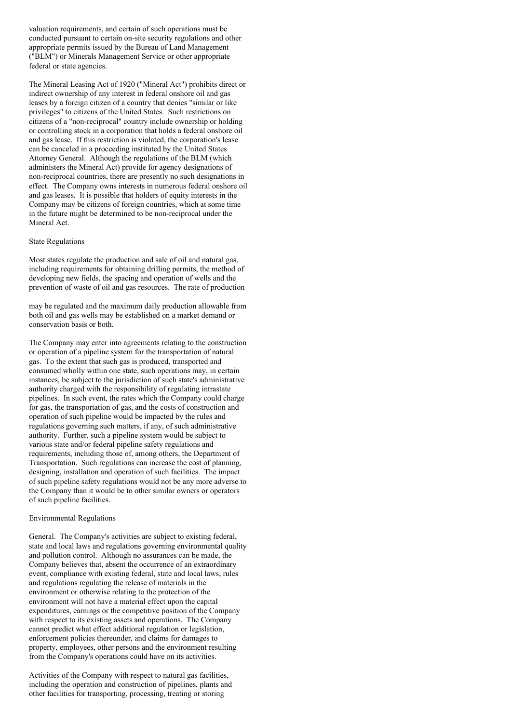valuation requirements, and certain of such operations must be conducted pursuant to certain on-site security regulations and other appropriate permits issued by the Bureau of Land Management ("BLM") or Minerals Management Service or other appropriate federal or state agencies.

The Mineral Leasing Act of 1920 ("Mineral Act") prohibits direct or indirect ownership of any interest in federal onshore oil and gas leases by a foreign citizen of a country that denies "similar or like privileges" to citizens of the United States. Such restrictions on citizens of a "non-reciprocal" country include ownership or holding or controlling stock in a corporation that holds a federal onshore oil and gas lease. If this restriction is violated, the corporation's lease can be canceled in a proceeding instituted by the United States Attorney General. Although the regulations of the BLM (which administers the Mineral Act) provide for agency designations of non-reciprocal countries, there are presently no such designations in effect. The Company owns interests in numerous federal onshore oil and gas leases. It is possible that holders of equity interests in the Company may be citizens of foreign countries, which at some time in the future might be determined to be non-reciprocal under the Mineral Act.

### State Regulations

Most states regulate the production and sale of oil and natural gas, including requirements for obtaining drilling permits, the method of developing new fields, the spacing and operation of wells and the prevention of waste of oil and gas resources. The rate of production

may be regulated and the maximum daily production allowable from both oil and gas wells may be established on a market demand or conservation basis or both.

The Company may enter into agreements relating to the construction or operation of a pipeline system for the transportation of natural gas. To the extent that such gas is produced, transported and consumed wholly within one state, such operations may, in certain instances, be subject to the jurisdiction of such state's administrative authority charged with the responsibility of regulating intrastate pipelines. In such event, the rates which the Company could charge for gas, the transportation of gas, and the costs of construction and operation of such pipeline would be impacted by the rules and regulations governing such matters, if any, of such administrative authority. Further, such a pipeline system would be subject to various state and/or federal pipeline safety regulations and requirements, including those of, among others, the Department of Transportation. Such regulations can increase the cost of planning, designing, installation and operation of such facilities. The impact of such pipeline safety regulations would not be any more adverse to the Company than it would be to other similar owners or operators of such pipeline facilities.

## Environmental Regulations

General. The Company's activities are subject to existing federal, state and local laws and regulations governing environmental quality and pollution control. Although no assurances can be made, the Company believes that, absent the occurrence of an extraordinary event, compliance with existing federal, state and local laws, rules and regulations regulating the release of materials in the environment or otherwise relating to the protection of the environment will not have a material effect upon the capital expenditures, earnings or the competitive position of the Company with respect to its existing assets and operations. The Company cannot predict what effect additional regulation or legislation, enforcement policies thereunder, and claims for damages to property, employees, other persons and the environment resulting from the Company's operations could have on its activities.

Activities of the Company with respect to natural gas facilities, including the operation and construction of pipelines, plants and other facilities for transporting, processing, treating or storing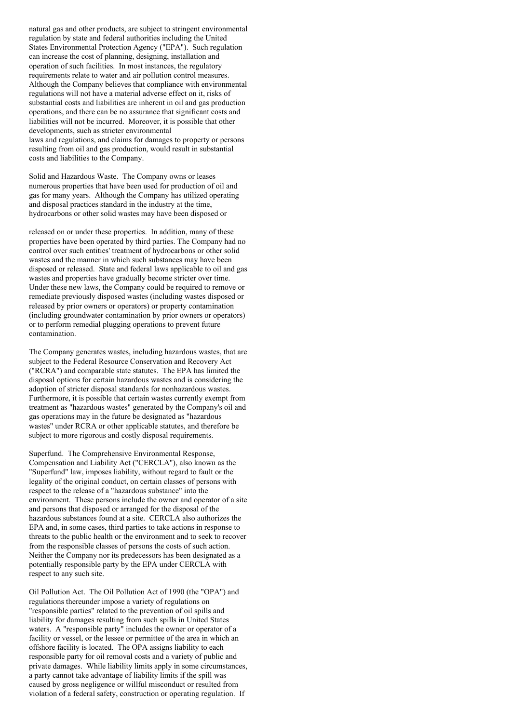natural gas and other products, are subject to stringent environmental regulation by state and federal authorities including the United States Environmental Protection Agency ("EPA"). Such regulation can increase the cost of planning, designing, installation and operation of such facilities. In most instances, the regulatory requirements relate to water and air pollution control measures. Although the Company believes that compliance with environmental regulations will not have a material adverse effect on it, risks of substantial costs and liabilities are inherent in oil and gas production operations, and there can be no assurance that significant costs and liabilities will not be incurred. Moreover, it is possible that other developments, such as stricter environmental laws and regulations, and claims for damages to property or persons resulting from oil and gas production, would result in substantial costs and liabilities to the Company.

Solid and Hazardous Waste. The Company owns or leases numerous properties that have been used for production of oil and gas for many years. Although the Company has utilized operating and disposal practices standard in the industry at the time, hydrocarbons or other solid wastes may have been disposed or

released on or under these properties. In addition, many of these properties have been operated by third parties. The Company had no control over such entities' treatment of hydrocarbons or other solid wastes and the manner in which such substances may have been disposed or released. State and federal laws applicable to oil and gas wastes and properties have gradually become stricter over time. Under these new laws, the Company could be required to remove or remediate previously disposed wastes (including wastes disposed or released by prior owners or operators) or property contamination (including groundwater contamination by prior owners or operators) or to perform remedial plugging operations to prevent future contamination.

The Company generates wastes, including hazardous wastes, that are subject to the Federal Resource Conservation and Recovery Act ("RCRA") and comparable state statutes. The EPA has limited the disposal options for certain hazardous wastes and is considering the adoption of stricter disposal standards for nonhazardous wastes. Furthermore, it is possible that certain wastes currently exempt from treatment as "hazardous wastes" generated by the Company's oil and gas operations may in the future be designated as "hazardous wastes" under RCRA or other applicable statutes, and therefore be subject to more rigorous and costly disposal requirements.

Superfund. The Comprehensive Environmental Response, Compensation and Liability Act ("CERCLA"), also known as the "Superfund" law, imposes liability, without regard to fault or the legality of the original conduct, on certain classes of persons with respect to the release of a "hazardous substance" into the environment. These persons include the owner and operator of a site and persons that disposed or arranged for the disposal of the hazardous substances found at a site. CERCLA also authorizes the EPA and, in some cases, third parties to take actions in response to threats to the public health or the environment and to seek to recover from the responsible classes of persons the costs of such action. Neither the Company nor its predecessors has been designated as a potentially responsible party by the EPA under CERCLA with respect to any such site.

Oil Pollution Act. The Oil Pollution Act of 1990 (the "OPA") and regulations thereunder impose a variety of regulations on "responsible parties" related to the prevention of oil spills and liability for damages resulting from such spills in United States waters. A "responsible party" includes the owner or operator of a facility or vessel, or the lessee or permittee of the area in which an offshore facility is located. The OPA assigns liability to each responsible party for oil removal costs and a variety of public and private damages. While liability limits apply in some circumstances, a party cannot take advantage of liability limits if the spill was caused by gross negligence or willful misconduct or resulted from violation of a federal safety, construction or operating regulation. If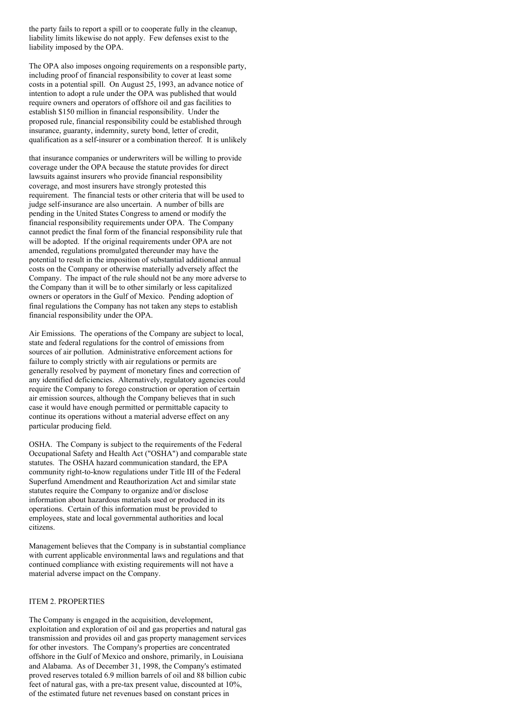the party fails to report a spill or to cooperate fully in the cleanup, liability limits likewise do not apply. Few defenses exist to the liability imposed by the OPA.

The OPA also imposes ongoing requirements on a responsible party, including proof of financial responsibility to cover at least some costs in a potential spill. On August 25, 1993, an advance notice of intention to adopt a rule under the OPA was published that would require owners and operators of offshore oil and gas facilities to establish \$150 million in financial responsibility. Under the proposed rule, financial responsibility could be established through insurance, guaranty, indemnity, surety bond, letter of credit, qualification as a self-insurer or a combination thereof. It is unlikely

that insurance companies or underwriters will be willing to provide coverage under the OPA because the statute provides for direct lawsuits against insurers who provide financial responsibility coverage, and most insurers have strongly protested this requirement. The financial tests or other criteria that will be used to judge self-insurance are also uncertain. A number of bills are pending in the United States Congress to amend or modify the financial responsibility requirements under OPA. The Company cannot predict the final form of the financial responsibility rule that will be adopted. If the original requirements under OPA are not amended, regulations promulgated thereunder may have the potential to result in the imposition of substantial additional annual costs on the Company or otherwise materially adversely affect the Company. The impact of the rule should not be any more adverse to the Company than it will be to other similarly or less capitalized owners or operators in the Gulf of Mexico. Pending adoption of final regulations the Company has not taken any steps to establish financial responsibility under the OPA.

Air Emissions. The operations of the Company are subject to local, state and federal regulations for the control of emissions from sources of air pollution. Administrative enforcement actions for failure to comply strictly with air regulations or permits are generally resolved by payment of monetary fines and correction of any identified deficiencies. Alternatively, regulatory agencies could require the Company to forego construction or operation of certain air emission sources, although the Company believes that in such case it would have enough permitted or permittable capacity to continue its operations without a material adverse effect on any particular producing field.

OSHA. The Company is subject to the requirements of the Federal Occupational Safety and Health Act ("OSHA") and comparable state statutes. The OSHA hazard communication standard, the EPA community right-to-know regulations under Title III of the Federal Superfund Amendment and Reauthorization Act and similar state statutes require the Company to organize and/or disclose information about hazardous materials used or produced in its operations. Certain of this information must be provided to employees, state and local governmental authorities and local citizens.

Management believes that the Company is in substantial compliance with current applicable environmental laws and regulations and that continued compliance with existing requirements will not have a material adverse impact on the Company.

# ITEM 2. PROPERTIES

The Company is engaged in the acquisition, development, exploitation and exploration of oil and gas properties and natural gas transmission and provides oil and gas property management services for other investors. The Company's properties are concentrated offshore in the Gulf of Mexico and onshore, primarily, in Louisiana and Alabama. As of December 31, 1998, the Company's estimated proved reserves totaled 6.9 million barrels of oil and 88 billion cubic feet of natural gas, with a pre-tax present value, discounted at 10%, of the estimated future net revenues based on constant prices in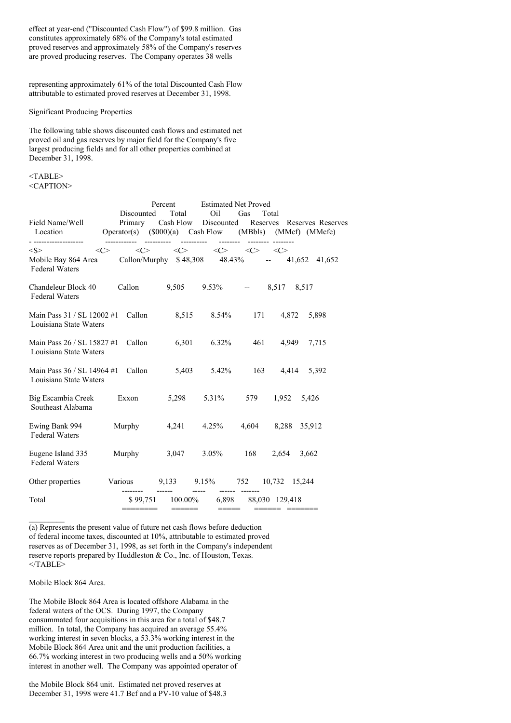effect at year-end ("Discounted Cash Flow") of \$99.8 million. Gas constitutes approximately 68% of the Company's total estimated proved reserves and approximately 58% of the Company's reserves are proved producing reserves. The Company operates 38 wells

representing approximately 61% of the total Discounted Cash Flow attributable to estimated proved reserves at December 31, 1998.

Significant Producing Properties

The following table shows discounted cash flows and estimated net proved oil and gas reserves by major field for the Company's five largest producing fields and for all other properties combined at December 31, 1998.

 $<$ TABLE> <CAPTION>

|                                                               |                                       | Percent                                                                                                                                                   |                  | <b>Estimated Net Proved</b> |                                                                                       |
|---------------------------------------------------------------|---------------------------------------|-----------------------------------------------------------------------------------------------------------------------------------------------------------|------------------|-----------------------------|---------------------------------------------------------------------------------------|
| Field Name/Well<br>Location<br>--------------------           | Discounted                            | Total<br>Primary Cash Flow Discounted<br>---------- --------- -------- -------- -                                                                         | Oil              | Gas<br>Total                | Reserves Reserves Reserves<br>Operator(s) (\$000)(a) Cash Flow (MBbls) (MMcf) (MMcfe) |
| < S ><br>Mobile Bay 864 Area<br><b>Federal Waters</b>         | <<>                                   | $\langle \zeta \rangle$ $\langle \zeta \rangle$ $\langle \zeta \rangle$ $\langle \zeta \rangle$ $\langle \zeta \rangle$<br>Callon/Murphy $$48,308$ 48.43% |                  |                             | $-41,652$ 41,652                                                                      |
| Chandeleur Block 40<br><b>Federal Waters</b>                  |                                       |                                                                                                                                                           |                  |                             | Callon 9,505 9.53% -- 8,517 8,517                                                     |
| Main Pass $31 / SL$ 12002 #1 Callon<br>Louisiana State Waters |                                       | 8,515 8.54% 171 4,872                                                                                                                                     |                  |                             | 5,898                                                                                 |
| Main Pass 26 / SL 15827 #1<br>Louisiana State Waters          | Callon                                |                                                                                                                                                           | $6,301$ $6.32\%$ | 461                         | 4,949<br>7,715                                                                        |
| Main Pass 36 / SL 14964 #1<br>Louisiana State Waters          | Callon                                |                                                                                                                                                           | 5,403 5.42%      | 163                         | 5,392<br>4,414                                                                        |
| <b>Big Escambia Creek</b><br>Southeast Alabama                | Exxon                                 | 5,298 5.31%                                                                                                                                               |                  | 579                         | 1,952<br>5,426                                                                        |
| Ewing Bank 994<br><b>Federal Waters</b>                       | Murphy                                |                                                                                                                                                           | 4,241 4.25%      | 4,604                       | 8,288 35,912                                                                          |
| Eugene Island 335<br><b>Federal Waters</b>                    | Murphy                                |                                                                                                                                                           | $3,047$ $3.05\%$ | 168                         | 2,654<br>3,662                                                                        |
| Other properties                                              | Various 9,133 9.15% 752 10,732 15,244 |                                                                                                                                                           |                  |                             |                                                                                       |
| Total                                                         | ========                              | \$99,751 100.00% 6,898 88,030 129,418<br>$\qquad \qquad \displaystyle =\!=\!=\!=\!=\!=\!=$                                                                | -------<br>===== |                             | ====== =======                                                                        |

(a) Represents the present value of future net cash flows before deduction of federal income taxes, discounted at 10%, attributable to estimated proved reserves as of December 31, 1998, as set forth in the Company's independent reserve reports prepared by Huddleston & Co., Inc. of Houston, Texas. </TABLE>

Mobile Block 864 Area.

The Mobile Block 864 Area is located offshore Alabama in the federal waters of the OCS. During 1997, the Company consummated four acquisitions in this area for a total of \$48.7 million. In total, the Company has acquired an average 55.4% working interest in seven blocks, a 53.3% working interest in the Mobile Block 864 Area unit and the unit production facilities, a 66.7% working interest in two producing wells and a 50% working interest in another well. The Company was appointed operator of

the Mobile Block 864 unit. Estimated net proved reserves at December 31, 1998 were 41.7 Bcf and a PV-10 value of \$48.3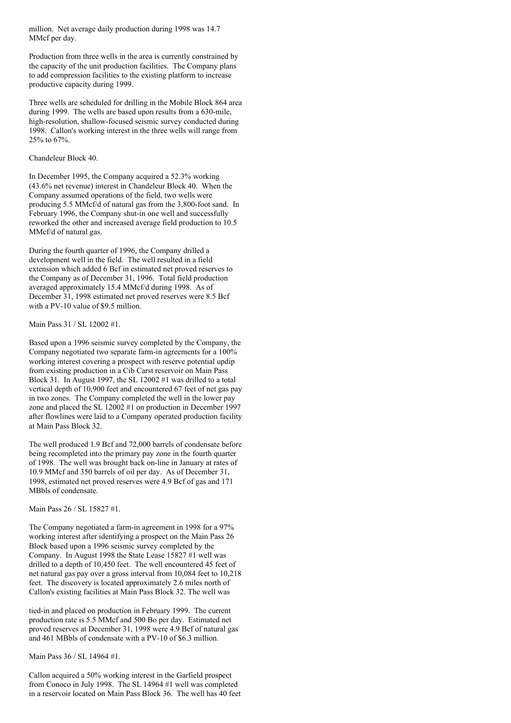million. Net average daily production during 1998 was 14.7 MMcf per day.

Production from three wells in the area is currently constrained by the capacity of the unit production facilities. The Company plans to add compression facilities to the existing platform to increase productive capacity during 1999.

Three wells are scheduled for drilling in the Mobile Block 864 area during 1999. The wells are based upon results from a 630-mile, high-resolution, shallow-focused seismic survey conducted during 1998. Callon's working interest in the three wells will range from 25% to 67%.

### Chandeleur Block 40.

In December 1995, the Company acquired a 52.3% working (43.6% net revenue) interest in Chandeleur Block 40. When the Company assumed operations of the field, two wells were producing 5.5 MMcf/d of natural gas from the 3,800-foot sand. In February 1996, the Company shut-in one well and successfully reworked the other and increased average field production to 10.5 MMcf/d of natural gas.

During the fourth quarter of 1996, the Company drilled a development well in the field. The well resulted in a field extension which added 6 Bcf in estimated net proved reserves to the Company as of December 31, 1996. Total field production averaged approximately 15.4 MMcf/d during 1998. As of December 31, 1998 estimated net proved reserves were 8.5 Bcf with a PV-10 value of \$9.5 million.

Main Pass 31 / SL 12002 #1.

Based upon a 1996 seismic survey completed by the Company, the Company negotiated two separate farm-in agreements for a 100% working interest covering a prospect with reserve potential updip from existing production in a Cib Carst reservoir on Main Pass Block 31. In August 1997, the SL 12002 #1 was drilled to a total vertical depth of 10,900 feet and encountered 67 feet of net gas pay in two zones. The Company completed the well in the lower pay zone and placed the SL 12002 #1 on production in December 1997 after flowlines were laid to a Company operated production facility at Main Pass Block 32.

The well produced 1.9 Bcf and 72,000 barrels of condensate before being recompleted into the primary pay zone in the fourth quarter of 1998. The well was brought back on-line in January at rates of 10.9 MMcf and 350 barrels of oil per day. As of December 31, 1998, estimated net proved reserves were 4.9 Bcf of gas and 171 MBbls of condensate.

Main Pass 26 / SL 15827 #1.

The Company negotiated a farm-in agreement in 1998 for a 97% working interest after identifying a prospect on the Main Pass 26 Block based upon a 1996 seismic survey completed by the Company. In August 1998 the State Lease 15827 #1 well was drilled to a depth of 10,450 feet. The well encountered 45 feet of net natural gas pay over a gross interval from 10,084 feet to 10,218 feet. The discovery is located approximately 2.6 miles north of Callon's existing facilities at Main Pass Block 32. The well was

tied-in and placed on production in February 1999. The current production rate is 5.5 MMcf and 500 Bo per day. Estimated net proved reserves at December 31, 1998 were 4.9 Bcf of natural gas and 461 MBbls of condensate with a PV-10 of \$6.3 million.

Main Pass 36 / SL 14964 #1.

Callon acquired a 50% working interest in the Garfield prospect from Conoco in July 1998. The SL 14964 #1 well was completed in a reservoir located on Main Pass Block 36. The well has 40 feet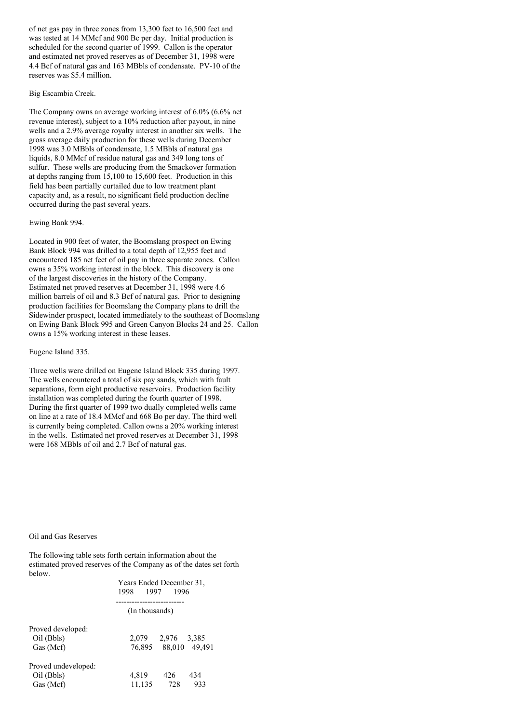of net gas pay in three zones from 13,300 feet to 16,500 feet and was tested at 14 MMcf and 900 Bc per day. Initial production is scheduled for the second quarter of 1999. Callon is the operator and estimated net proved reserves as of December 31, 1998 were 4.4 Bcf of natural gas and 163 MBbls of condensate. PV-10 of the reserves was \$5.4 million.

### Big Escambia Creek.

The Company owns an average working interest of 6.0% (6.6% net revenue interest), subject to a 10% reduction after payout, in nine wells and a 2.9% average royalty interest in another six wells. The gross average daily production for these wells during December 1998 was 3.0 MBbls of condensate, 1.5 MBbls of natural gas liquids, 8.0 MMcf of residue natural gas and 349 long tons of sulfur. These wells are producing from the Smackover formation at depths ranging from 15,100 to 15,600 feet. Production in this field has been partially curtailed due to low treatment plant capacity and, as a result, no significant field production decline occurred during the past several years.

### Ewing Bank 994.

Located in 900 feet of water, the Boomslang prospect on Ewing Bank Block 994 was drilled to a total depth of 12,955 feet and encountered 185 net feet of oil pay in three separate zones. Callon owns a 35% working interest in the block. This discovery is one of the largest discoveries in the history of the Company. Estimated net proved reserves at December 31, 1998 were 4.6 million barrels of oil and 8.3 Bcf of natural gas. Prior to designing production facilities for Boomslang the Company plans to drill the Sidewinder prospect, located immediately to the southeast of Boomslang on Ewing Bank Block 995 and Green Canyon Blocks 24 and 25. Callon owns a 15% working interest in these leases.

# Eugene Island 335.

Three wells were drilled on Eugene Island Block 335 during 1997. The wells encountered a total of six pay sands, which with fault separations, form eight productive reservoirs. Production facility installation was completed during the fourth quarter of 1998. During the first quarter of 1999 two dually completed wells came on line at a rate of 18.4 MMcf and 668 Bo per day. The third well is currently being completed. Callon owns a 20% working interest in the wells. Estimated net proved reserves at December 31, 1998 were 168 MBbls of oil and 2.7 Bcf of natural gas.

#### Oil and Gas Reserves

The following table sets forth certain information about the estimated proved reserves of the Company as of the dates set forth below.

|      | Years Ended December 31, |
|------|--------------------------|
| 1998 | 1997 1996                |
|      |                          |

#### (In thousands)

| Proved developed:                              |                 |            |            |
|------------------------------------------------|-----------------|------------|------------|
| Oil (Bbls)                                     | 2.079           | 2,976      | 3,385      |
| Gas (Mcf)                                      | 76,895          | 88,010     | 49.491     |
| Proved undeveloped:<br>Oil (Bbls)<br>Gas (Mcf) | 4,819<br>11,135 | 426<br>728 | 434<br>933 |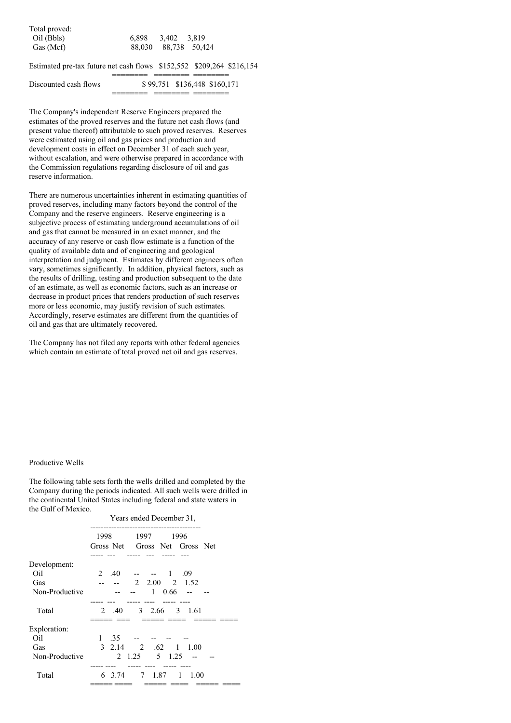| Total proved: |                   |                      |
|---------------|-------------------|----------------------|
| Oil (Bbls)    | 6.898 3.402 3.819 |                      |
| Gas (Mcf)     |                   | 88,030 88,738 50,424 |

Estimated pre-tax future net cash flows \$152,552 \$209,264 \$216,154

======== ======== ========

| Discounted cash flows | \$99,751 \$136,448 \$160,171 |
|-----------------------|------------------------------|
|                       |                              |

The Company's independent Reserve Engineers prepared the estimates of the proved reserves and the future net cash flows (and present value thereof) attributable to such proved reserves. Reserves were estimated using oil and gas prices and production and development costs in effect on December 31 of each such year, without escalation, and were otherwise prepared in accordance with the Commission regulations regarding disclosure of oil and gas reserve information.

There are numerous uncertainties inherent in estimating quantities of proved reserves, including many factors beyond the control of the Company and the reserve engineers. Reserve engineering is a subjective process of estimating underground accumulations of oil and gas that cannot be measured in an exact manner, and the accuracy of any reserve or cash flow estimate is a function of the quality of available data and of engineering and geological interpretation and judgment. Estimates by different engineers often vary, sometimes significantly. In addition, physical factors, such as the results of drilling, testing and production subsequent to the date of an estimate, as well as economic factors, such as an increase or decrease in product prices that renders production of such reserves more or less economic, may justify revision of such estimates. Accordingly, reserve estimates are different from the quantities of oil and gas that are ultimately recovered.

The Company has not filed any reports with other federal agencies which contain an estimate of total proved net oil and gas reserves.

### Productive Wells

The following table sets forth the wells drilled and completed by the Company during the periods indicated. All such wells were drilled in the continental United States including federal and state waters in the Gulf of Mexico.

|                | Years ended December 31,                              |
|----------------|-------------------------------------------------------|
|                | 1998<br>1997<br>1996<br>Gross Net Gross Net Gross Net |
|                |                                                       |
| Development:   |                                                       |
| Oil            | $2.40 - - - 1.09$                                     |
| Gas            | $-2$ 2.00 2 1.52<br>$-$                               |
| Non-Productive | 1 0.66<br>$-$                                         |
|                |                                                       |
| Total          | 3 2.66 3 1.61<br>2 .40                                |
|                |                                                       |
| Exploration:   |                                                       |
| Oil            | 1 .35                                                 |
| Gas            | 3 2.14 2 .62 1 1.00                                   |
| Non-Productive | 2 1.25 5 1.25                                         |
|                |                                                       |
| Total          | 7 1.87 1<br>6 3.74<br>1.00                            |
|                |                                                       |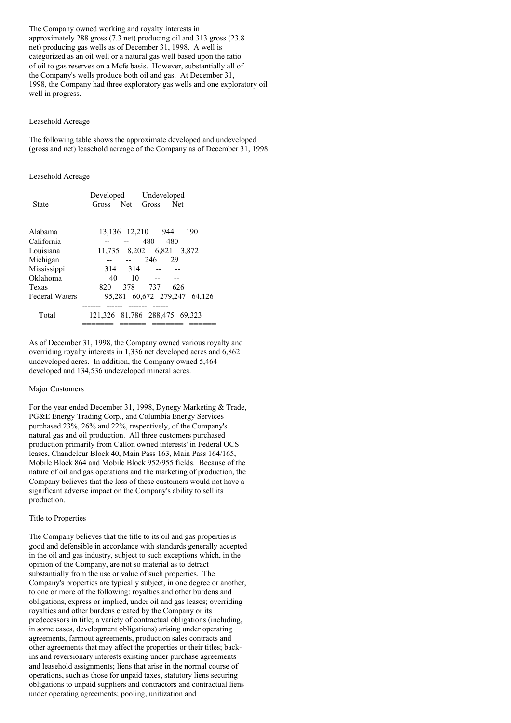The Company owned working and royalty interests in approximately 288 gross (7.3 net) producing oil and 313 gross (23.8 net) producing gas wells as of December 31, 1998. A well is categorized as an oil well or a natural gas well based upon the ratio of oil to gas reserves on a Mcfe basis. However, substantially all of the Company's wells produce both oil and gas. At December 31, 1998, the Company had three exploratory gas wells and one exploratory oil well in progress.

### Leasehold Acreage

The following table shows the approximate developed and undeveloped (gross and net) leasehold acreage of the Company as of December 31, 1998.

### Leasehold Acreage

|                       | Developed         | Undeveloped                   |
|-----------------------|-------------------|-------------------------------|
| State                 | Net<br>Gross      | – Net<br>Gross                |
|                       |                   |                               |
| Alabama               | 13,136 12,210 944 | 190                           |
| California            |                   | 480<br>480                    |
| Louisiana             |                   | 11,735 8,202 6,821 3,872      |
| Michigan              | $\overline{a}$    | 246<br>29                     |
| Mississippi           | 314 314           |                               |
| Oklahoma              | 40<br>10          |                               |
| Texas                 | 378<br>820        | 737<br>626                    |
| <b>Federal Waters</b> |                   | 95,281 60,672 279,247 64,126  |
| Total                 |                   | 121,326 81,786 288,475 69,323 |

As of December 31, 1998, the Company owned various royalty and overriding royalty interests in 1,336 net developed acres and 6,862 undeveloped acres. In addition, the Company owned 5,464 developed and 134,536 undeveloped mineral acres.

### Major Customers

For the year ended December 31, 1998, Dynegy Marketing & Trade, PG&E Energy Trading Corp., and Columbia Energy Services purchased 23%, 26% and 22%, respectively, of the Company's natural gas and oil production. All three customers purchased production primarily from Callon owned interests' in Federal OCS leases, Chandeleur Block 40, Main Pass 163, Main Pass 164/165, Mobile Block 864 and Mobile Block 952/955 fields. Because of the nature of oil and gas operations and the marketing of production, the Company believes that the loss of these customers would not have a significant adverse impact on the Company's ability to sell its production.

#### Title to Properties

The Company believes that the title to its oil and gas properties is good and defensible in accordance with standards generally accepted in the oil and gas industry, subject to such exceptions which, in the opinion of the Company, are not so material as to detract substantially from the use or value of such properties. The Company's properties are typically subject, in one degree or another, to one or more of the following: royalties and other burdens and obligations, express or implied, under oil and gas leases; overriding royalties and other burdens created by the Company or its predecessors in title; a variety of contractual obligations (including, in some cases, development obligations) arising under operating agreements, farmout agreements, production sales contracts and other agreements that may affect the properties or their titles; backins and reversionary interests existing under purchase agreements and leasehold assignments; liens that arise in the normal course of operations, such as those for unpaid taxes, statutory liens securing obligations to unpaid suppliers and contractors and contractual liens under operating agreements; pooling, unitization and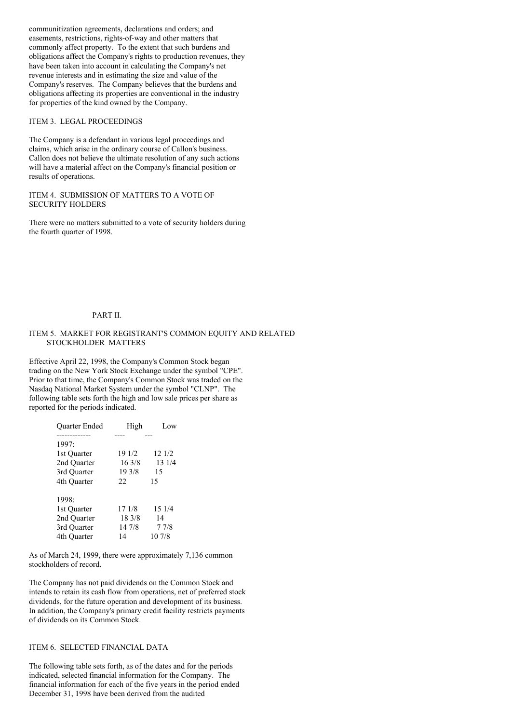communitization agreements, declarations and orders; and easements, restrictions, rights-of-way and other matters that commonly affect property. To the extent that such burdens and obligations affect the Company's rights to production revenues, they have been taken into account in calculating the Company's net revenue interests and in estimating the size and value of the Company's reserves. The Company believes that the burdens and obligations affecting its properties are conventional in the industry for properties of the kind owned by the Company.

# ITEM 3. LEGAL PROCEEDINGS

The Company is a defendant in various legal proceedings and claims, which arise in the ordinary course of Callon's business. Callon does not believe the ultimate resolution of any such actions will have a material affect on the Company's financial position or results of operations.

# ITEM 4. SUBMISSION OF MATTERS TO A VOTE OF SECURITY HOLDERS

There were no matters submitted to a vote of security holders during the fourth quarter of 1998.

### PART II.

# ITEM 5. MARKET FOR REGISTRANT'S COMMON EQUITY AND RELATED STOCKHOLDER MATTERS

Effective April 22, 1998, the Company's Common Stock began trading on the New York Stock Exchange under the symbol "CPE". Prior to that time, the Company's Common Stock was traded on the Nasdaq National Market System under the symbol "CLNP". The following table sets forth the high and low sale prices per share as reported for the periods indicated.

| Quarter Ended | High   | Low    |
|---------------|--------|--------|
|               |        |        |
| 1997:         |        |        |
| 1st Quarter   | 19 1/2 | 12 1/2 |
| 2nd Quarter   | 163/8  | 13 1/4 |
| 3rd Quarter   | 19 3/8 | 15     |
| 4th Quarter   | 22.    | 15     |
| 1998:         |        |        |
| 1st Quarter   | 17 1/8 | 15 1/4 |
| 2nd Quarter   | 18 3/8 | 14     |
| 3rd Ouarter   | 14 7/8 | 77/8   |
| 4th Ouarter   | 14     | 10 7/8 |

As of March 24, 1999, there were approximately 7,136 common stockholders of record.

The Company has not paid dividends on the Common Stock and intends to retain its cash flow from operations, net of preferred stock dividends, for the future operation and development of its business. In addition, the Company's primary credit facility restricts payments of dividends on its Common Stock.

# ITEM 6. SELECTED FINANCIAL DATA

The following table sets forth, as of the dates and for the periods indicated, selected financial information for the Company. The financial information for each of the five years in the period ended December 31, 1998 have been derived from the audited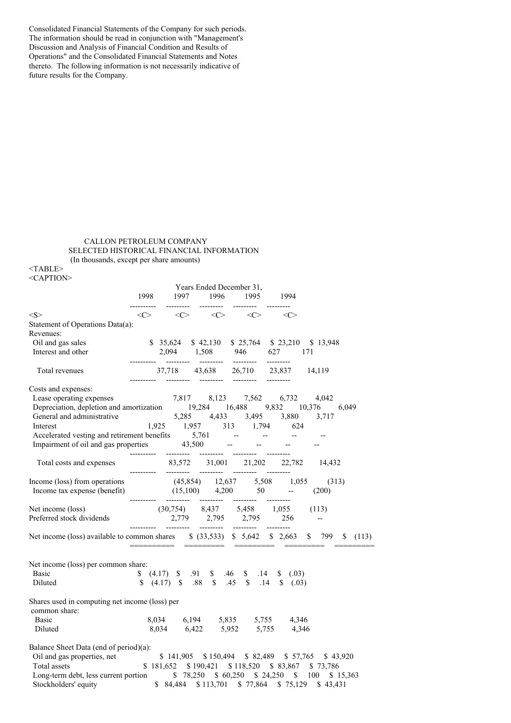Consolidated Financial Statements of the Company for such periods. The information should be read in conjunction with "Management's Discussion and Analysis of Financial Condition and Results of Operations" and the Consolidated Financial Statements and Notes thereto. The following information is not necessarily indicative of future results for the Company.

# CALLON PETROLEUM COMPANY SELECTED HISTORICAL FINANCIAL INFORMATION (In thousands, except per share amounts)

<TABLE> <CAPTION>

|                                                                                                                                                                                                                                         |                    |                   | Years Ended December 31,                                                                                                                                                                                 |                     |                     |                                                |
|-----------------------------------------------------------------------------------------------------------------------------------------------------------------------------------------------------------------------------------------|--------------------|-------------------|----------------------------------------------------------------------------------------------------------------------------------------------------------------------------------------------------------|---------------------|---------------------|------------------------------------------------|
|                                                                                                                                                                                                                                         | 1998<br>---------- | 1997<br>--------- |                                                                                                                                                                                                          | 1996 1995 1994      |                     |                                                |
| $<\leq>$                                                                                                                                                                                                                                | <<>                | <<>               | $\langle C \rangle$                                                                                                                                                                                      | $\langle C \rangle$ | $\langle C \rangle$ |                                                |
| Statement of Operations Data(a):                                                                                                                                                                                                        |                    |                   |                                                                                                                                                                                                          |                     |                     |                                                |
| Revenues:                                                                                                                                                                                                                               |                    |                   |                                                                                                                                                                                                          |                     |                     |                                                |
| Oil and gas sales                                                                                                                                                                                                                       |                    |                   | \$ 35,624 \$ 42,130 \$ 25,764 \$ 23,210 \$ 13,948                                                                                                                                                        |                     |                     |                                                |
| Interest and other                                                                                                                                                                                                                      |                    |                   | 2,094 1,508 946 627 171                                                                                                                                                                                  |                     |                     |                                                |
| Total revenues                                                                                                                                                                                                                          |                    |                   |                                                                                                                                                                                                          |                     |                     |                                                |
| Costs and expenses:                                                                                                                                                                                                                     |                    |                   |                                                                                                                                                                                                          |                     |                     |                                                |
|                                                                                                                                                                                                                                         |                    |                   |                                                                                                                                                                                                          |                     |                     |                                                |
| Costs and expenses:<br>Lease operating expenses<br>Depreciation, depletion and amortization<br>$19,284$ 16,488 9,832 10,376<br>General and administrative<br>$5,285$ 4,433 3,495 3,880 3,717<br>Interest<br>$1,925$ 1,957 313 1,794 624 |                    |                   |                                                                                                                                                                                                          |                     |                     | 6,049                                          |
|                                                                                                                                                                                                                                         |                    |                   |                                                                                                                                                                                                          |                     |                     |                                                |
|                                                                                                                                                                                                                                         |                    |                   |                                                                                                                                                                                                          |                     |                     |                                                |
| Accelerated vesting and retirement benefits 5,761 -- -- -- --<br>Impairment of oil and gas properties 43,500 -- -- --                                                                                                                   |                    |                   |                                                                                                                                                                                                          |                     |                     |                                                |
|                                                                                                                                                                                                                                         |                    |                   |                                                                                                                                                                                                          |                     |                     |                                                |
|                                                                                                                                                                                                                                         |                    |                   |                                                                                                                                                                                                          |                     |                     |                                                |
| Income (loss) from operations (45,854) 12,637 5,508 1,055 (313)                                                                                                                                                                         |                    |                   |                                                                                                                                                                                                          |                     |                     |                                                |
| Income tax expense (benefit) $(15,100)$ $4,200$ $50$ $ (200)$                                                                                                                                                                           |                    |                   |                                                                                                                                                                                                          |                     |                     |                                                |
|                                                                                                                                                                                                                                         |                    |                   |                                                                                                                                                                                                          |                     |                     |                                                |
|                                                                                                                                                                                                                                         |                    |                   |                                                                                                                                                                                                          |                     |                     |                                                |
| Net income (loss) available to common shares \$ (33,533) \$ 5,642 \$ 2,663 \$ 799 \$ (113)                                                                                                                                              |                    |                   |                                                                                                                                                                                                          |                     |                     |                                                |
| Net income (loss) per common share:                                                                                                                                                                                                     |                    |                   |                                                                                                                                                                                                          |                     |                     |                                                |
| <b>Basic</b>                                                                                                                                                                                                                            |                    |                   | \$(4.17) \$3.91 \$3.46 \$3.14 \$6.03)                                                                                                                                                                    |                     |                     |                                                |
| Diluted                                                                                                                                                                                                                                 |                    |                   |                                                                                                                                                                                                          |                     |                     |                                                |
| Shares used in computing net income (loss) per<br>common share:                                                                                                                                                                         |                    |                   |                                                                                                                                                                                                          |                     |                     |                                                |
| <b>Basic</b>                                                                                                                                                                                                                            |                    |                   |                                                                                                                                                                                                          |                     |                     |                                                |
| Diluted                                                                                                                                                                                                                                 |                    |                   | $\begin{array}{cccc} 8,034 & \phantom{-}6,194 & \phantom{-}5,835 & \phantom{-}5,755 & \phantom{-}4,346 \\ 8,034 & \phantom{-}6,422 & \phantom{-}5,952 & \phantom{-}5,755 & \phantom{-}4,346 \end{array}$ |                     |                     |                                                |
|                                                                                                                                                                                                                                         |                    |                   |                                                                                                                                                                                                          |                     |                     |                                                |
| Balance Sheet Data (end of period)(a):                                                                                                                                                                                                  |                    |                   |                                                                                                                                                                                                          |                     |                     |                                                |
| Salance Shoet Lem.                                                                                                                                                                                                                      |                    |                   |                                                                                                                                                                                                          |                     |                     | \$141,905 \$150,494 \$82,489 \$57,765 \$43,920 |
|                                                                                                                                                                                                                                         |                    |                   | \$181,652 \$190,421 \$118,520 \$83,867 \$73,786                                                                                                                                                          |                     |                     |                                                |
| Long-term debt, less current portion \$78,250 \$60,250 \$24,250 \$100 \$15,363                                                                                                                                                          |                    |                   |                                                                                                                                                                                                          |                     |                     |                                                |
| Stockholders' equity \$84,484 \$113,701 \$77,864 \$75,129 \$43,431                                                                                                                                                                      |                    |                   |                                                                                                                                                                                                          |                     |                     |                                                |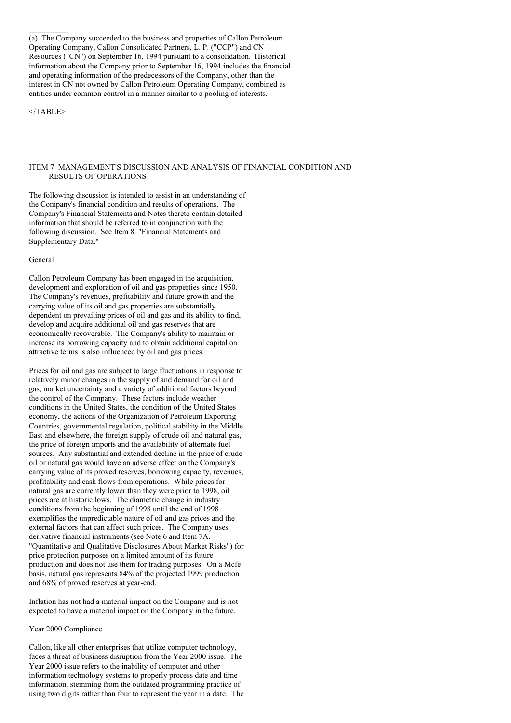(a) The Company succeeded to the business and properties of Callon Petroleum Operating Company, Callon Consolidated Partners, L. P. ("CCP") and CN Resources ("CN") on September 16, 1994 pursuant to a consolidation. Historical information about the Company prior to September 16, 1994 includes the financial and operating information of the predecessors of the Company, other than the interest in CN not owned by Callon Petroleum Operating Company, combined as entities under common control in a manner similar to a pooling of interests.

 $<$ /TABLE>

## ITEM 7 MANAGEMENT'S DISCUSSION AND ANALYSIS OF FINANCIAL CONDITION AND RESULTS OF OPERATIONS

The following discussion is intended to assist in an understanding of the Company's financial condition and results of operations. The Company's Financial Statements and Notes thereto contain detailed information that should be referred to in conjunction with the following discussion. See Item 8. "Financial Statements and Supplementary Data."

### General

Callon Petroleum Company has been engaged in the acquisition, development and exploration of oil and gas properties since 1950. The Company's revenues, profitability and future growth and the carrying value of its oil and gas properties are substantially dependent on prevailing prices of oil and gas and its ability to find, develop and acquire additional oil and gas reserves that are economically recoverable. The Company's ability to maintain or increase its borrowing capacity and to obtain additional capital on attractive terms is also influenced by oil and gas prices.

Prices for oil and gas are subject to large fluctuations in response to relatively minor changes in the supply of and demand for oil and gas, market uncertainty and a variety of additional factors beyond the control of the Company. These factors include weather conditions in the United States, the condition of the United States economy, the actions of the Organization of Petroleum Exporting Countries, governmental regulation, political stability in the Middle East and elsewhere, the foreign supply of crude oil and natural gas, the price of foreign imports and the availability of alternate fuel sources. Any substantial and extended decline in the price of crude oil or natural gas would have an adverse effect on the Company's carrying value of its proved reserves, borrowing capacity, revenues, profitability and cash flows from operations. While prices for natural gas are currently lower than they were prior to 1998, oil prices are at historic lows. The diametric change in industry conditions from the beginning of 1998 until the end of 1998 exemplifies the unpredictable nature of oil and gas prices and the external factors that can affect such prices. The Company uses derivative financial instruments (see Note 6 and Item 7A. "Quantitative and Qualitative Disclosures About Market Risks") for price protection purposes on a limited amount of its future production and does not use them for trading purposes. On a Mcfe basis, natural gas represents 84% of the projected 1999 production and 68% of proved reserves at year-end.

Inflation has not had a material impact on the Company and is not expected to have a material impact on the Company in the future.

### Year 2000 Compliance

Callon, like all other enterprises that utilize computer technology, faces a threat of business disruption from the Year 2000 issue. The Year 2000 issue refers to the inability of computer and other information technology systems to properly process date and time information, stemming from the outdated programming practice of using two digits rather than four to represent the year in a date. The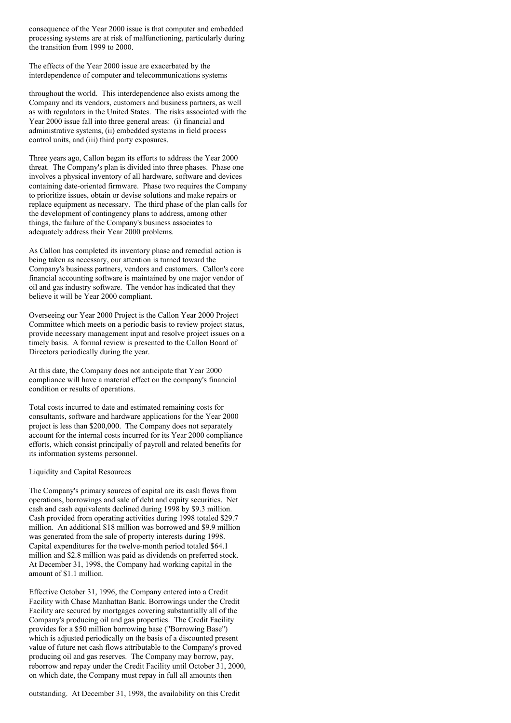consequence of the Year 2000 issue is that computer and embedded processing systems are at risk of malfunctioning, particularly during the transition from 1999 to 2000.

The effects of the Year 2000 issue are exacerbated by the interdependence of computer and telecommunications systems

throughout the world. This interdependence also exists among the Company and its vendors, customers and business partners, as well as with regulators in the United States. The risks associated with the Year 2000 issue fall into three general areas: (i) financial and administrative systems, (ii) embedded systems in field process control units, and (iii) third party exposures.

Three years ago, Callon began its efforts to address the Year 2000 threat. The Company's plan is divided into three phases. Phase one involves a physical inventory of all hardware, software and devices containing date-oriented firmware. Phase two requires the Company to prioritize issues, obtain or devise solutions and make repairs or replace equipment as necessary. The third phase of the plan calls for the development of contingency plans to address, among other things, the failure of the Company's business associates to adequately address their Year 2000 problems.

As Callon has completed its inventory phase and remedial action is being taken as necessary, our attention is turned toward the Company's business partners, vendors and customers. Callon's core financial accounting software is maintained by one major vendor of oil and gas industry software. The vendor has indicated that they believe it will be Year 2000 compliant.

Overseeing our Year 2000 Project is the Callon Year 2000 Project Committee which meets on a periodic basis to review project status, provide necessary management input and resolve project issues on a timely basis. A formal review is presented to the Callon Board of Directors periodically during the year.

At this date, the Company does not anticipate that Year 2000 compliance will have a material effect on the company's financial condition or results of operations.

Total costs incurred to date and estimated remaining costs for consultants, software and hardware applications for the Year 2000 project is less than \$200,000. The Company does not separately account for the internal costs incurred for its Year 2000 compliance efforts, which consist principally of payroll and related benefits for its information systems personnel.

Liquidity and Capital Resources

The Company's primary sources of capital are its cash flows from operations, borrowings and sale of debt and equity securities. Net cash and cash equivalents declined during 1998 by \$9.3 million. Cash provided from operating activities during 1998 totaled \$29.7 million. An additional \$18 million was borrowed and \$9.9 million was generated from the sale of property interests during 1998. Capital expenditures for the twelve-month period totaled \$64.1 million and \$2.8 million was paid as dividends on preferred stock. At December 31, 1998, the Company had working capital in the amount of \$1.1 million.

Effective October 31, 1996, the Company entered into a Credit Facility with Chase Manhattan Bank. Borrowings under the Credit Facility are secured by mortgages covering substantially all of the Company's producing oil and gas properties. The Credit Facility provides for a \$50 million borrowing base ("Borrowing Base") which is adjusted periodically on the basis of a discounted present value of future net cash flows attributable to the Company's proved producing oil and gas reserves. The Company may borrow, pay, reborrow and repay under the Credit Facility until October 31, 2000, on which date, the Company must repay in full all amounts then

outstanding. At December 31, 1998, the availability on this Credit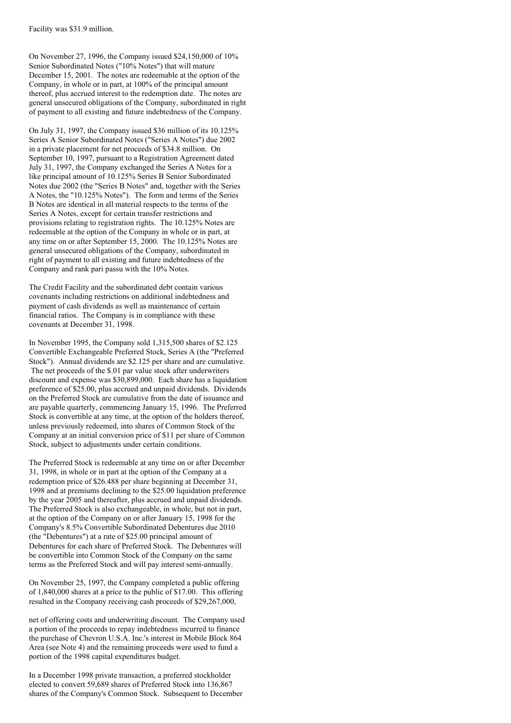On November 27, 1996, the Company issued \$24,150,000 of 10% Senior Subordinated Notes ("10% Notes") that will mature December 15, 2001. The notes are redeemable at the option of the Company, in whole or in part, at 100% of the principal amount thereof, plus accrued interest to the redemption date. The notes are general unsecured obligations of the Company, subordinated in right of payment to all existing and future indebtedness of the Company.

On July 31, 1997, the Company issued \$36 million of its 10.125% Series A Senior Subordinated Notes ("Series A Notes") due 2002 in a private placement for net proceeds of \$34.8 million. On September 10, 1997, pursuant to a Registration Agreement dated July 31, 1997, the Company exchanged the Series A Notes for a like principal amount of 10.125% Series B Senior Subordinated Notes due 2002 (the "Series B Notes" and, together with the Series A Notes, the "10.125% Notes"). The form and terms of the Series B Notes are identical in all material respects to the terms of the Series A Notes, except for certain transfer restrictions and provisions relating to registration rights. The 10.125% Notes are redeemable at the option of the Company in whole or in part, at any time on or after September 15, 2000. The 10.125% Notes are general unsecured obligations of the Company, subordinated in right of payment to all existing and future indebtedness of the Company and rank pari passu with the 10% Notes.

The Credit Facility and the subordinated debt contain various covenants including restrictions on additional indebtedness and payment of cash dividends as well as maintenance of certain financial ratios. The Company is in compliance with these covenants at December 31, 1998.

In November 1995, the Company sold 1,315,500 shares of \$2.125 Convertible Exchangeable Preferred Stock, Series A (the "Preferred Stock"). Annual dividends are \$2.125 per share and are cumulative. The net proceeds of the \$.01 par value stock after underwriters discount and expense was \$30,899,000. Each share has a liquidation preference of \$25.00, plus accrued and unpaid dividends. Dividends on the Preferred Stock are cumulative from the date of issuance and are payable quarterly, commencing January 15, 1996. The Preferred Stock is convertible at any time, at the option of the holders thereof, unless previously redeemed, into shares of Common Stock of the Company at an initial conversion price of \$11 per share of Common Stock, subject to adjustments under certain conditions.

The Preferred Stock is redeemable at any time on or after December 31, 1998, in whole or in part at the option of the Company at a redemption price of \$26.488 per share beginning at December 31, 1998 and at premiums declining to the \$25.00 liquidation preference by the year 2005 and thereafter, plus accrued and unpaid dividends. The Preferred Stock is also exchangeable, in whole, but not in part, at the option of the Company on or after January 15, 1998 for the Company's 8.5% Convertible Subordinated Debentures due 2010 (the "Debentures") at a rate of \$25.00 principal amount of Debentures for each share of Preferred Stock. The Debentures will be convertible into Common Stock of the Company on the same terms as the Preferred Stock and will pay interest semi-annually.

On November 25, 1997, the Company completed a public offering of 1,840,000 shares at a price to the public of \$17.00. This offering resulted in the Company receiving cash proceeds of \$29,267,000,

net of offering costs and underwriting discount. The Company used a portion of the proceeds to repay indebtedness incurred to finance the purchase of Chevron U.S.A. Inc.'s interest in Mobile Block 864 Area (see Note 4) and the remaining proceeds were used to fund a portion of the 1998 capital expenditures budget.

In a December 1998 private transaction, a preferred stockholder elected to convert 59,689 shares of Preferred Stock into 136,867 shares of the Company's Common Stock. Subsequent to December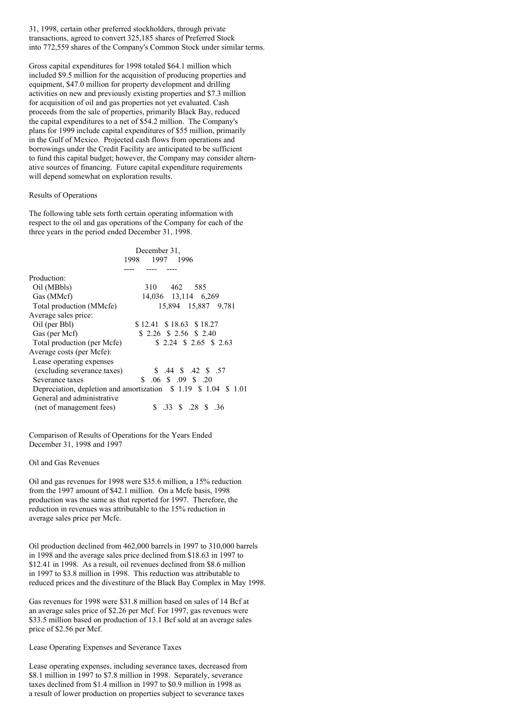31, 1998, certain other preferred stockholders, through private transactions, agreed to convert 325,185 shares of Preferred Stock into 772,559 shares of the Company's Common Stock under similar terms.

Gross capital expenditures for 1998 totaled \$64.1 million which included \$9.5 million for the acquisition of producing properties and equipment, \$47.0 million for property development and drilling activities on new and previously existing properties and \$7.3 million for acquisition of oil and gas properties not yet evaluated. Cash proceeds from the sale of properties, primarily Black Bay, reduced the capital expenditures to a net of \$54.2 million. The Company's plans for 1999 include capital expenditures of \$55 million, primarily in the Gulf of Mexico. Projected cash flows from operations and borrowings under the Credit Facility are anticipated to be sufficient to fund this capital budget; however, the Company may consider alternative sources of financing. Future capital expenditure requirements will depend somewhat on exploration results.

### Results of Operations

The following table sets forth certain operating information with respect to the oil and gas operations of the Company for each of the three years in the period ended December 31, 1998.

|                             | December 31,                                                  |
|-----------------------------|---------------------------------------------------------------|
|                             | 1997 1996<br>1998.                                            |
|                             |                                                               |
| Production:                 |                                                               |
| Oil (MBbls)                 | 462<br>310<br>585                                             |
| Gas (MMcf)                  | 14,036 13,114 6,269                                           |
| Total production (MMcfe)    | 15,894 15,887 9,781                                           |
| Average sales price:        |                                                               |
| Oil (per Bbl)               | \$12.41 \$18.63 \$18.27                                       |
| Gas (per Mcf)               | $$2.26$ \$ 2.56 \$ 2.40                                       |
| Total production (per Mcfe) | $$2.24$ \$ 2.65 \$ 2.63                                       |
| Average costs (per Mcfe):   |                                                               |
| Lease operating expenses    |                                                               |
| (excluding severance taxes) | \$ .44 \$ .42 \$ .57                                          |
| Severance taxes             | $$.06 \t$.09 \t$.20$                                          |
|                             | Depreciation, depletion and amortization \$1.19 \$1.04 \$1.01 |
| General and administrative  |                                                               |
| (net of management fees)    | .33 \$ .28 \$ .36                                             |

Comparison of Results of Operations for the Years Ended December 31, 1998 and 1997

Oil and Gas Revenues

Oil and gas revenues for 1998 were \$35.6 million, a 15% reduction from the 1997 amount of \$42.1 million. On a Mcfe basis, 1998 production was the same as that reported for 1997. Therefore, the reduction in revenues was attributable to the 15% reduction in average sales price per Mcfe.

Oil production declined from 462,000 barrels in 1997 to 310,000 barrels in 1998 and the average sales price declined from \$18.63 in 1997 to \$12.41 in 1998. As a result, oil revenues declined from \$8.6 million in 1997 to \$3.8 million in 1998. This reduction was attributable to reduced prices and the divestiture of the Black Bay Complex in May 1998.

Gas revenues for 1998 were \$31.8 million based on sales of 14 Bcf at an average sales price of \$2.26 per Mcf. For 1997, gas revenues were \$33.5 million based on production of 13.1 Bcf sold at an average sales price of \$2.56 per Mcf.

Lease Operating Expenses and Severance Taxes

Lease operating expenses, including severance taxes, decreased from \$8.1 million in 1997 to \$7.8 million in 1998. Separately, severance taxes declined from \$1.4 million in 1997 to \$0.9 million in 1998 as a result of lower production on properties subject to severance taxes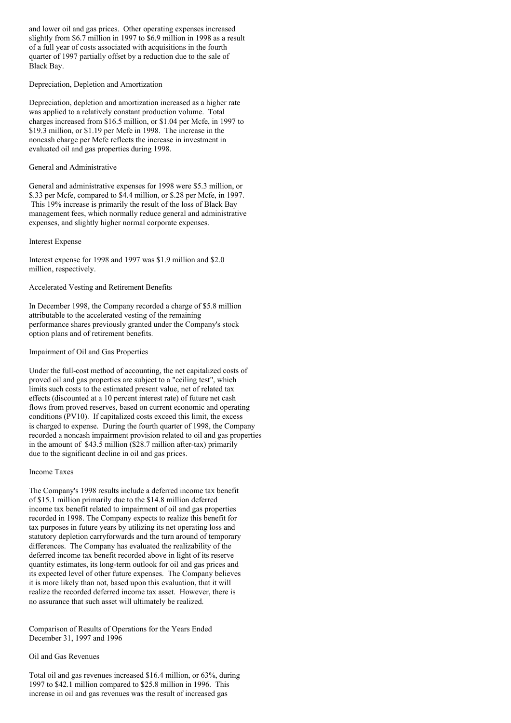and lower oil and gas prices. Other operating expenses increased slightly from \$6.7 million in 1997 to \$6.9 million in 1998 as a result of a full year of costs associated with acquisitions in the fourth quarter of 1997 partially offset by a reduction due to the sale of Black Bay.

## Depreciation, Depletion and Amortization

Depreciation, depletion and amortization increased as a higher rate was applied to a relatively constant production volume. Total charges increased from \$16.5 million, or \$1.04 per Mcfe, in 1997 to \$19.3 million, or \$1.19 per Mcfe in 1998. The increase in the noncash charge per Mcfe reflects the increase in investment in evaluated oil and gas properties during 1998.

# General and Administrative

General and administrative expenses for 1998 were \$5.3 million, or \$.33 per Mcfe, compared to \$4.4 million, or \$.28 per Mcfe, in 1997. This 19% increase is primarily the result of the loss of Black Bay management fees, which normally reduce general and administrative expenses, and slightly higher normal corporate expenses.

### Interest Expense

Interest expense for 1998 and 1997 was \$1.9 million and \$2.0 million, respectively.

# Accelerated Vesting and Retirement Benefits

In December 1998, the Company recorded a charge of \$5.8 million attributable to the accelerated vesting of the remaining performance shares previously granted under the Company's stock option plans and of retirement benefits.

# Impairment of Oil and Gas Properties

Under the full-cost method of accounting, the net capitalized costs of proved oil and gas properties are subject to a "ceiling test", which limits such costs to the estimated present value, net of related tax effects (discounted at a 10 percent interest rate) of future net cash flows from proved reserves, based on current economic and operating conditions (PV10). If capitalized costs exceed this limit, the excess is charged to expense. During the fourth quarter of 1998, the Company recorded a noncash impairment provision related to oil and gas properties in the amount of \$43.5 million (\$28.7 million after-tax) primarily due to the significant decline in oil and gas prices.

#### Income Taxes

The Company's 1998 results include a deferred income tax benefit of \$15.1 million primarily due to the \$14.8 million deferred income tax benefit related to impairment of oil and gas properties recorded in 1998. The Company expects to realize this benefit for tax purposes in future years by utilizing its net operating loss and statutory depletion carryforwards and the turn around of temporary differences. The Company has evaluated the realizability of the deferred income tax benefit recorded above in light of its reserve quantity estimates, its long-term outlook for oil and gas prices and its expected level of other future expenses. The Company believes it is more likely than not, based upon this evaluation, that it will realize the recorded deferred income tax asset. However, there is no assurance that such asset will ultimately be realized.

Comparison of Results of Operations for the Years Ended December 31, 1997 and 1996

# Oil and Gas Revenues

Total oil and gas revenues increased \$16.4 million, or 63%, during 1997 to \$42.1 million compared to \$25.8 million in 1996. This increase in oil and gas revenues was the result of increased gas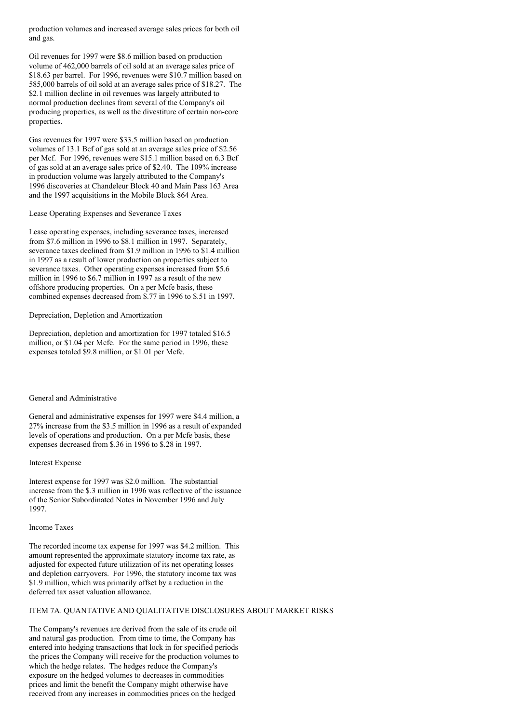production volumes and increased average sales prices for both oil and gas.

Oil revenues for 1997 were \$8.6 million based on production volume of 462,000 barrels of oil sold at an average sales price of \$18.63 per barrel. For 1996, revenues were \$10.7 million based on 585,000 barrels of oil sold at an average sales price of \$18.27. The \$2.1 million decline in oil revenues was largely attributed to normal production declines from several of the Company's oil producing properties, as well as the divestiture of certain non-core properties.

Gas revenues for 1997 were \$33.5 million based on production volumes of 13.1 Bcf of gas sold at an average sales price of \$2.56 per Mcf. For 1996, revenues were \$15.1 million based on 6.3 Bcf of gas sold at an average sales price of \$2.40. The 109% increase in production volume was largely attributed to the Company's 1996 discoveries at Chandeleur Block 40 and Main Pass 163 Area and the 1997 acquisitions in the Mobile Block 864 Area.

Lease Operating Expenses and Severance Taxes

Lease operating expenses, including severance taxes, increased from \$7.6 million in 1996 to \$8.1 million in 1997. Separately, severance taxes declined from \$1.9 million in 1996 to \$1.4 million in 1997 as a result of lower production on properties subject to severance taxes. Other operating expenses increased from \$5.6 million in 1996 to \$6.7 million in 1997 as a result of the new offshore producing properties. On a per Mcfe basis, these combined expenses decreased from \$.77 in 1996 to \$.51 in 1997.

Depreciation, Depletion and Amortization

Depreciation, depletion and amortization for 1997 totaled \$16.5 million, or \$1.04 per Mcfe. For the same period in 1996, these expenses totaled \$9.8 million, or \$1.01 per Mcfe.

### General and Administrative

General and administrative expenses for 1997 were \$4.4 million, a 27% increase from the \$3.5 million in 1996 as a result of expanded levels of operations and production. On a per Mcfe basis, these expenses decreased from \$.36 in 1996 to \$.28 in 1997.

Interest Expense

Interest expense for 1997 was \$2.0 million. The substantial increase from the \$.3 million in 1996 was reflective of the issuance of the Senior Subordinated Notes in November 1996 and July 1997.

### Income Taxes

The recorded income tax expense for 1997 was \$4.2 million. This amount represented the approximate statutory income tax rate, as adjusted for expected future utilization of its net operating losses and depletion carryovers. For 1996, the statutory income tax was \$1.9 million, which was primarily offset by a reduction in the deferred tax asset valuation allowance.

# ITEM 7A. QUANTATIVE AND QUALITATIVE DISCLOSURES ABOUT MARKET RISKS

The Company's revenues are derived from the sale of its crude oil and natural gas production. From time to time, the Company has entered into hedging transactions that lock in for specified periods the prices the Company will receive for the production volumes to which the hedge relates. The hedges reduce the Company's exposure on the hedged volumes to decreases in commodities prices and limit the benefit the Company might otherwise have received from any increases in commodities prices on the hedged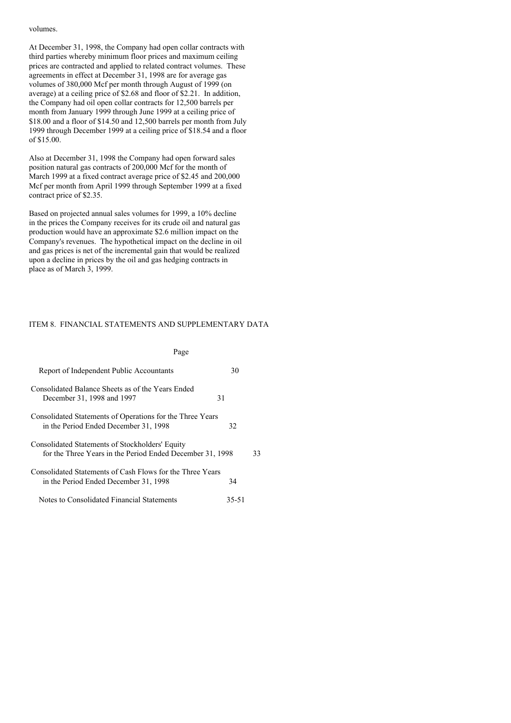### volumes.

At December 31, 1998, the Company had open collar contracts with third parties whereby minimum floor prices and maximum ceiling prices are contracted and applied to related contract volumes. These agreements in effect at December 31, 1998 are for average gas volumes of 380,000 Mcf per month through August of 1999 (on average) at a ceiling price of \$2.68 and floor of \$2.21. In addition, the Company had oil open collar contracts for 12,500 barrels per month from January 1999 through June 1999 at a ceiling price of \$18.00 and a floor of \$14.50 and 12,500 barrels per month from July 1999 through December 1999 at a ceiling price of \$18.54 and a floor of \$15.00.

Also at December 31, 1998 the Company had open forward sales position natural gas contracts of 200,000 Mcf for the month of March 1999 at a fixed contract average price of \$2.45 and 200,000 Mcf per month from April 1999 through September 1999 at a fixed contract price of \$2.35.

Based on projected annual sales volumes for 1999, a 10% decline in the prices the Company receives for its crude oil and natural gas production would have an approximate \$2.6 million impact on the Company's revenues. The hypothetical impact on the decline in oil and gas prices is net of the incremental gain that would be realized upon a decline in prices by the oil and gas hedging contracts in place as of March 3, 1999.

## ITEM 8. FINANCIAL STATEMENTS AND SUPPLEMENTARY DATA

| Page                                                                                                         |       |    |
|--------------------------------------------------------------------------------------------------------------|-------|----|
| Report of Independent Public Accountants                                                                     | 30    |    |
| Consolidated Balance Sheets as of the Years Ended<br>December 31, 1998 and 1997                              | 31    |    |
| Consolidated Statements of Operations for the Three Years<br>in the Period Ended December 31, 1998           | 32    |    |
| Consolidated Statements of Stockholders' Equity<br>for the Three Years in the Period Ended December 31, 1998 |       | 33 |
| Consolidated Statements of Cash Flows for the Three Years<br>in the Period Ended December 31, 1998           | 34    |    |
| Notes to Consolidated Financial Statements                                                                   | 35-51 |    |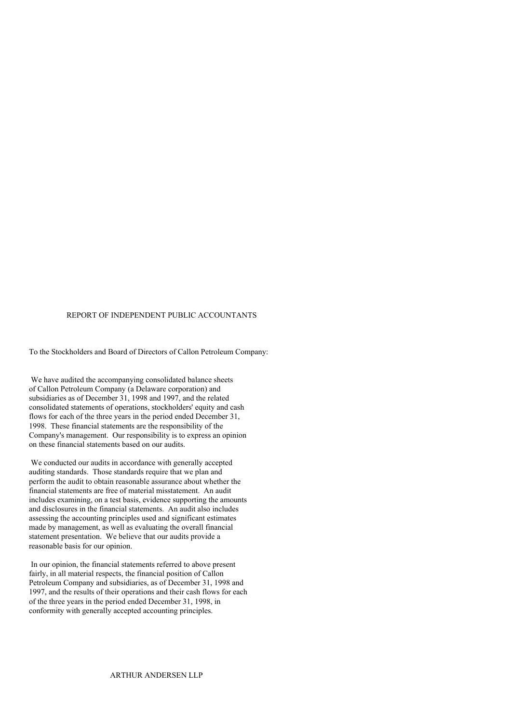# REPORT OF INDEPENDENT PUBLIC ACCOUNTANTS

To the Stockholders and Board of Directors of Callon Petroleum Company:

We have audited the accompanying consolidated balance sheets of Callon Petroleum Company (a Delaware corporation) and subsidiaries as of December 31, 1998 and 1997, and the related consolidated statements of operations, stockholders' equity and cash flows for each of the three years in the period ended December 31, 1998. These financial statements are the responsibility of the Company's management. Our responsibility is to express an opinion on these financial statements based on our audits.

We conducted our audits in accordance with generally accepted auditing standards. Those standards require that we plan and perform the audit to obtain reasonable assurance about whether the financial statements are free of material misstatement. An audit includes examining, on a test basis, evidence supporting the amounts and disclosures in the financial statements. An audit also includes assessing the accounting principles used and significant estimates made by management, as well as evaluating the overall financial statement presentation. We believe that our audits provide a reasonable basis for our opinion.

In our opinion, the financial statements referred to above present fairly, in all material respects, the financial position of Callon Petroleum Company and subsidiaries, as of December 31, 1998 and 1997, and the results of their operations and their cash flows for each of the three years in the period ended December 31, 1998, in conformity with generally accepted accounting principles.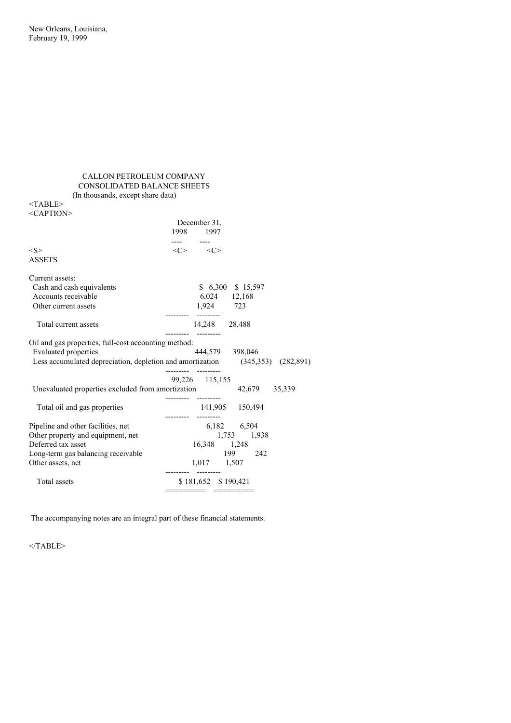# CALLON PETROLEUM COMPANY CONSOLIDATED BALANCE SHEETS (In thousands, except share data)

<TABLE>

| <caption></caption>                                                                 |                                                                                                  |
|-------------------------------------------------------------------------------------|--------------------------------------------------------------------------------------------------|
|                                                                                     | December 31,                                                                                     |
|                                                                                     | 1998 1997                                                                                        |
|                                                                                     |                                                                                                  |
| < S >                                                                               | $\langle C \rangle$ $\langle C \rangle$                                                          |
| <b>ASSETS</b>                                                                       |                                                                                                  |
| Current assets:                                                                     |                                                                                                  |
| Cash and cash equivalents                                                           | \$ 6,300 \$ 15,597                                                                               |
| Accounts receivable                                                                 | 6,024 12,168                                                                                     |
| Other current assets                                                                | 1,924 723                                                                                        |
| Total current assets                                                                | 14,248 28,488                                                                                    |
| Oil and gas properties, full-cost accounting method:<br><b>Evaluated properties</b> | 444,579 398,046<br>Less accumulated depreciation, depletion and amortization (345,353) (282,891) |
| Unevaluated properties excluded from amortization 42,679 35,339                     | 99,226 115,155                                                                                   |
| Total oil and gas properties                                                        | 141,905 150,494                                                                                  |
| Pipeline and other facilities, net                                                  | 6,182 6,504                                                                                      |
| Other property and equipment, net                                                   | 1,753 1,938                                                                                      |
| Deferred tax asset                                                                  | 16,348 1,248                                                                                     |
| Long-term gas balancing receivable                                                  | 199 242                                                                                          |
| Other assets, net                                                                   | 1,017 1,507                                                                                      |
| Total assets                                                                        | \$181,652 \$190,421                                                                              |

The accompanying notes are an integral part of these financial statements.

 $<$ /TABLE>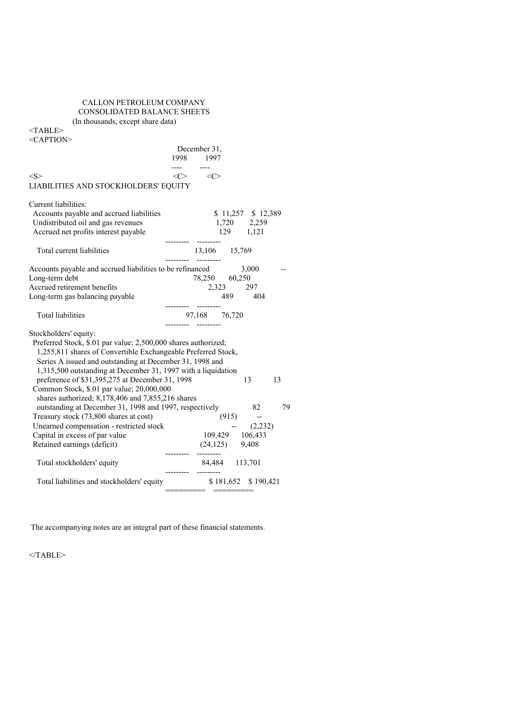# CALLON PETROLEUM COMPANY CONSOLIDATED BALANCE SHEETS (In thousands, except share data)

<TABLE>

<CAPTION>

| $\langle C \rangle$ $\langle C \rangle$<br>LIABILITIES AND STOCKHOLDERS' EQUITY<br>$$11,257$ $$12,389$<br>Accounts payable and accrued liabilities<br>Undistributed oil and gas revenues<br>1,720 2,259<br>Accrued net profits interest payable<br>129 1,121<br>---------<br>13,106 15,769<br>Total current liabilities<br>Accounts payable and accrued liabilities to be refinanced<br>3,000<br>78,250 60,250<br>2,323 297<br>489 404<br>97,168 76,720<br><b>Total liabilities</b><br>Preferred Stock, \$.01 par value; 2,500,000 shares authorized;<br>1,255,811 shares of Convertible Exchangeable Preferred Stock,<br>Series A issued and outstanding at December 31, 1998 and<br>1,315,500 outstanding at December 31, 1997 with a liquidation<br>preference of \$31,395,275 at December 31, 1998<br>13<br>13<br>Common Stock, \$.01 par value; 20,000,000<br>shares authorized; 8,178,406 and 7,855,216 shares<br>outstanding at December 31, 1998 and 1997, respectively 82<br>79<br>$(915)$ --<br>Treasury stock (73,800 shares at cost)<br>Unearned compensation - restricted stock<br>$- (2,232)$<br>Capital in excess of par value<br>109,429 106,433<br>Retained earnings (deficit)<br>$(24,125)$ 9,408<br>---------<br>84,484 113,701<br>Total stockholders' equity<br>\$181,652 \$190,421<br>Total liabilities and stockholders' equity<br>=========      ========= |                                                                                  | ---- ---- | December 31,<br>1998 1997 |  |  |
|-----------------------------------------------------------------------------------------------------------------------------------------------------------------------------------------------------------------------------------------------------------------------------------------------------------------------------------------------------------------------------------------------------------------------------------------------------------------------------------------------------------------------------------------------------------------------------------------------------------------------------------------------------------------------------------------------------------------------------------------------------------------------------------------------------------------------------------------------------------------------------------------------------------------------------------------------------------------------------------------------------------------------------------------------------------------------------------------------------------------------------------------------------------------------------------------------------------------------------------------------------------------------------------------------------------------------------------------------------------------------------------|----------------------------------------------------------------------------------|-----------|---------------------------|--|--|
|                                                                                                                                                                                                                                                                                                                                                                                                                                                                                                                                                                                                                                                                                                                                                                                                                                                                                                                                                                                                                                                                                                                                                                                                                                                                                                                                                                                   | <s></s>                                                                          |           |                           |  |  |
|                                                                                                                                                                                                                                                                                                                                                                                                                                                                                                                                                                                                                                                                                                                                                                                                                                                                                                                                                                                                                                                                                                                                                                                                                                                                                                                                                                                   |                                                                                  |           |                           |  |  |
|                                                                                                                                                                                                                                                                                                                                                                                                                                                                                                                                                                                                                                                                                                                                                                                                                                                                                                                                                                                                                                                                                                                                                                                                                                                                                                                                                                                   | Current liabilities:                                                             |           |                           |  |  |
|                                                                                                                                                                                                                                                                                                                                                                                                                                                                                                                                                                                                                                                                                                                                                                                                                                                                                                                                                                                                                                                                                                                                                                                                                                                                                                                                                                                   |                                                                                  |           |                           |  |  |
|                                                                                                                                                                                                                                                                                                                                                                                                                                                                                                                                                                                                                                                                                                                                                                                                                                                                                                                                                                                                                                                                                                                                                                                                                                                                                                                                                                                   | Long-term debt<br>Accrued retirement benefits<br>Long-term gas balancing payable |           |                           |  |  |
|                                                                                                                                                                                                                                                                                                                                                                                                                                                                                                                                                                                                                                                                                                                                                                                                                                                                                                                                                                                                                                                                                                                                                                                                                                                                                                                                                                                   |                                                                                  |           |                           |  |  |
|                                                                                                                                                                                                                                                                                                                                                                                                                                                                                                                                                                                                                                                                                                                                                                                                                                                                                                                                                                                                                                                                                                                                                                                                                                                                                                                                                                                   | Stockholders' equity:                                                            |           |                           |  |  |
|                                                                                                                                                                                                                                                                                                                                                                                                                                                                                                                                                                                                                                                                                                                                                                                                                                                                                                                                                                                                                                                                                                                                                                                                                                                                                                                                                                                   |                                                                                  |           |                           |  |  |
|                                                                                                                                                                                                                                                                                                                                                                                                                                                                                                                                                                                                                                                                                                                                                                                                                                                                                                                                                                                                                                                                                                                                                                                                                                                                                                                                                                                   |                                                                                  |           |                           |  |  |
|                                                                                                                                                                                                                                                                                                                                                                                                                                                                                                                                                                                                                                                                                                                                                                                                                                                                                                                                                                                                                                                                                                                                                                                                                                                                                                                                                                                   |                                                                                  |           |                           |  |  |
|                                                                                                                                                                                                                                                                                                                                                                                                                                                                                                                                                                                                                                                                                                                                                                                                                                                                                                                                                                                                                                                                                                                                                                                                                                                                                                                                                                                   |                                                                                  |           |                           |  |  |
|                                                                                                                                                                                                                                                                                                                                                                                                                                                                                                                                                                                                                                                                                                                                                                                                                                                                                                                                                                                                                                                                                                                                                                                                                                                                                                                                                                                   |                                                                                  |           |                           |  |  |
|                                                                                                                                                                                                                                                                                                                                                                                                                                                                                                                                                                                                                                                                                                                                                                                                                                                                                                                                                                                                                                                                                                                                                                                                                                                                                                                                                                                   |                                                                                  |           |                           |  |  |
|                                                                                                                                                                                                                                                                                                                                                                                                                                                                                                                                                                                                                                                                                                                                                                                                                                                                                                                                                                                                                                                                                                                                                                                                                                                                                                                                                                                   |                                                                                  |           |                           |  |  |

The accompanying notes are an integral part of these financial statements.

 $<$ /TABLE>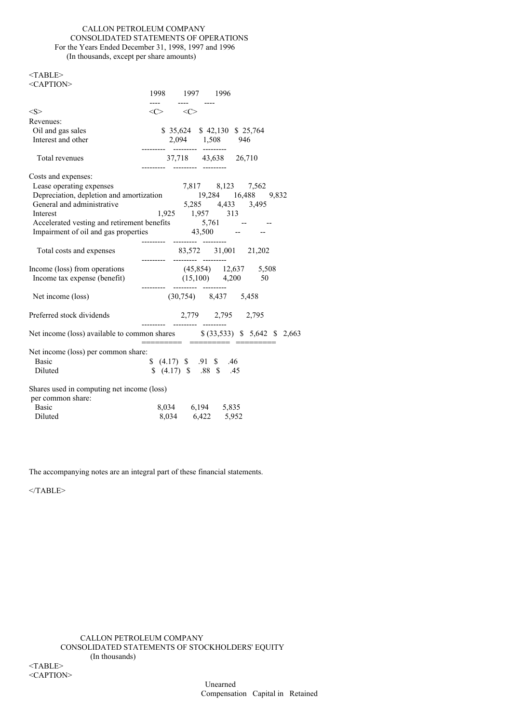# CALLON PETROLEUM COMPANY CONSOLIDATED STATEMENTS OF OPERATIONS For the Years Ended December 31, 1998, 1997 and 1996 (In thousands, except per share amounts)

| $<$ TABLE><br><caption></caption>                                                                                                                  |                                                          |                           |                               |  |
|----------------------------------------------------------------------------------------------------------------------------------------------------|----------------------------------------------------------|---------------------------|-------------------------------|--|
|                                                                                                                                                    |                                                          | 1998 1997 1996            |                               |  |
| <s></s>                                                                                                                                            | $\frac{1}{2}$<br>$\langle C \rangle$ $\langle C \rangle$ | ---- ----                 |                               |  |
| Revenues:                                                                                                                                          |                                                          |                           |                               |  |
| Oil and gas sales                                                                                                                                  |                                                          |                           | \$ 35,624 \$ 42,130 \$ 25,764 |  |
| Interest and other                                                                                                                                 |                                                          |                           | 2,094 1,508 946               |  |
|                                                                                                                                                    | --------- -------- --------                              |                           |                               |  |
| Total revenues                                                                                                                                     |                                                          |                           | 37,718 43,638 26,710          |  |
| Costs and expenses:                                                                                                                                |                                                          |                           |                               |  |
|                                                                                                                                                    |                                                          |                           |                               |  |
|                                                                                                                                                    |                                                          |                           |                               |  |
| Lease operating expenses<br>Depreciation, depletion and amortization<br>$19,284$ 16,488 9,832<br>General and administrative<br>$5,285$ 4,433 3,495 |                                                          |                           |                               |  |
| Interest                                                                                                                                           |                                                          |                           | $1,925$ 1,957 313             |  |
|                                                                                                                                                    |                                                          |                           |                               |  |
| Accelerated vesting and retirement benefits 5,761 --<br>Impairment of oil and gas properties 43,500 --                                             |                                                          |                           |                               |  |
|                                                                                                                                                    | --------- -------- --------                              |                           |                               |  |
| Total costs and expenses                                                                                                                           | --------- --------- ---------                            |                           | 83,572 31,001 21,202          |  |
| Income (loss) from operations                                                                                                                      |                                                          |                           | $(45,854)$ 12,637 5,508       |  |
| Income tax expense (benefit)                                                                                                                       |                                                          |                           | $(15,100)$ 4,200 50           |  |
|                                                                                                                                                    |                                                          | --------- ---------       |                               |  |
| Net income (loss)                                                                                                                                  |                                                          |                           | $(30,754)$ 8,437 5,458        |  |
| Preferred stock dividends                                                                                                                          |                                                          |                           | 2,779 2,795 2,795             |  |
| Net income (loss) available to common shares \$ (33,533) \$ 5,642 \$ 2,663                                                                         |                                                          |                           |                               |  |
| Net income (loss) per common share:                                                                                                                |                                                          |                           |                               |  |
| <b>Basic</b>                                                                                                                                       |                                                          | \$ (4.17) \$ , 91 \$ , 46 |                               |  |
| Diluted                                                                                                                                            |                                                          |                           | \$(4.17) \$3.88 \$45          |  |
|                                                                                                                                                    |                                                          |                           |                               |  |
| Shares used in computing net income (loss)                                                                                                         |                                                          |                           |                               |  |
| per common share:                                                                                                                                  |                                                          |                           |                               |  |
| <b>Basic</b>                                                                                                                                       |                                                          |                           | 8,034 6,194 5,835             |  |
| Diluted                                                                                                                                            |                                                          |                           | 8,034 6,422 5,952             |  |
|                                                                                                                                                    |                                                          |                           |                               |  |

The accompanying notes are an integral part of these financial statements.

 $<$ /TABLE>

<CAPTION>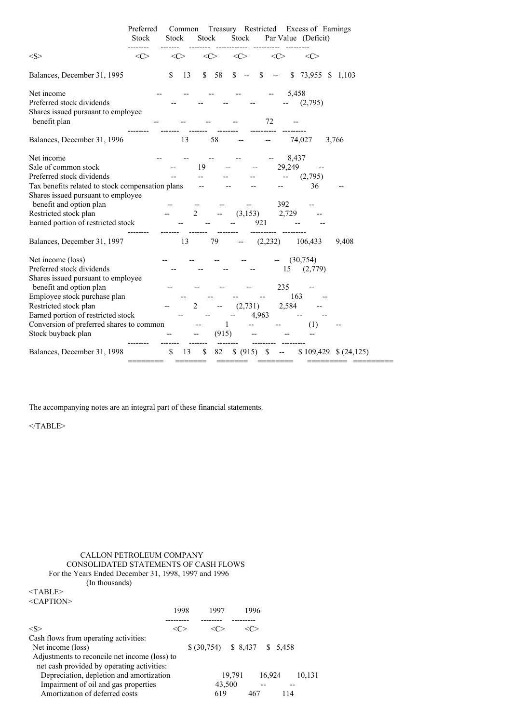|                                                  | Preferred<br><b>Stock</b> | Stock | Common    | Stock          |       | Stock     |         |                          | Treasury Restricted Excess of Earnings<br>Par Value (Deficit) |                 |
|--------------------------------------------------|---------------------------|-------|-----------|----------------|-------|-----------|---------|--------------------------|---------------------------------------------------------------|-----------------|
| <s></s>                                          | $<\infty$                 |       | $<\infty$ | $<\infty$      |       | $<\infty$ |         | <<>                      | $\langle C \rangle$                                           |                 |
| Balances, December 31, 1995                      |                           | \$    | 13        | $\mathbb{S}$   | 58    | \$        | \$      | $\overline{\phantom{m}}$ | <sup>\$</sup>                                                 | 73,955 \$ 1,103 |
| Net income                                       |                           |       |           |                |       |           |         |                          | 5,458                                                         |                 |
| Preferred stock dividends                        |                           |       |           |                |       |           |         |                          | (2,795)                                                       |                 |
| Shares issued pursuant to employee               |                           |       |           |                |       |           |         |                          |                                                               |                 |
| benefit plan                                     |                           |       |           |                |       |           | 72      |                          |                                                               |                 |
| Balances, December 31, 1996                      |                           |       | 13        |                | 58    |           |         |                          | 74,027                                                        | 3,766           |
| Net income                                       |                           |       |           |                |       |           |         |                          | 8,437                                                         |                 |
| Sale of common stock                             |                           |       |           | 19             |       |           |         | 29,249                   |                                                               |                 |
| Preferred stock dividends                        |                           |       |           |                |       |           |         |                          | (2,795)                                                       |                 |
| Tax benefits related to stock compensation plans |                           |       |           |                |       |           |         |                          | 36                                                            |                 |
| Shares issued pursuant to employee               |                           |       |           |                |       |           |         |                          |                                                               |                 |
| benefit and option plan                          |                           |       |           |                |       |           |         | 392                      |                                                               |                 |
| Restricted stock plan                            |                           |       |           | 2              |       | (3, 153)  |         | 2,729                    |                                                               |                 |
| Earned portion of restricted stock               |                           |       |           |                |       |           | 921     |                          |                                                               |                 |
| Balances, December 31, 1997                      |                           |       | 13        |                | 79    |           | (2,232) |                          | 106,433                                                       | 9,408           |
| Net income (loss)                                |                           |       |           |                |       |           |         |                          | (30,754)                                                      |                 |
| Preferred stock dividends                        |                           |       |           |                |       |           |         | 15                       | (2,779)                                                       |                 |
| Shares issued pursuant to employee               |                           |       |           |                |       |           |         |                          |                                                               |                 |
| benefit and option plan                          |                           |       |           |                |       |           |         | 235                      |                                                               |                 |
| Employee stock purchase plan                     |                           |       |           |                |       |           |         |                          | 163                                                           |                 |
| Restricted stock plan                            |                           |       |           | $\overline{c}$ |       | (2,731)   |         | 2,584                    |                                                               |                 |
| Earned portion of restricted stock               |                           |       |           |                |       |           | 4,963   |                          |                                                               |                 |
| Conversion of preferred shares to common         |                           |       |           |                | 1     |           |         |                          | (1)                                                           |                 |
| Stock buyback plan                               |                           |       |           |                | (915) |           |         |                          |                                                               |                 |
| Balances, December 31, 1998                      |                           | \$    | 13        | \$             | 82    | \$ (915)  | \$      |                          | \$109,429                                                     | \$(24,125)      |

The accompanying notes are an integral part of these financial statements.

 $<$ /TABLE>

# CALLON PETROLEUM COMPANY CONSOLIDATED STATEMENTS OF CASH FLOWS For the Years Ended December 31, 1998, 1997 and 1996 (In thousands)

 $<$ TABLE $>$  $\langle CAPTION \rangle$ 

| $\sim$ AT TIVIV                               |      |                                        |        |        |     |        |
|-----------------------------------------------|------|----------------------------------------|--------|--------|-----|--------|
|                                               | 1998 | 1997                                   | 1996   |        |     |        |
|                                               |      |                                        |        |        |     |        |
| <s></s>                                       |      |                                        |        |        |     |        |
| Cash flows from operating activities:         |      |                                        |        |        |     |        |
| Net income (loss)                             |      | $$ (30,754) \quad $8,437 \quad $5,458$ |        |        |     |        |
| Adjustments to reconcile net income (loss) to |      |                                        |        |        |     |        |
| net cash provided by operating activities:    |      |                                        |        |        |     |        |
| Depreciation, depletion and amortization      |      |                                        | 19,791 | 16.924 |     | 10.131 |
| Impairment of oil and gas properties          |      | 43,500                                 |        |        |     |        |
| Amortization of deferred costs                |      | 619                                    | 467    |        | 114 |        |
|                                               |      |                                        |        |        |     |        |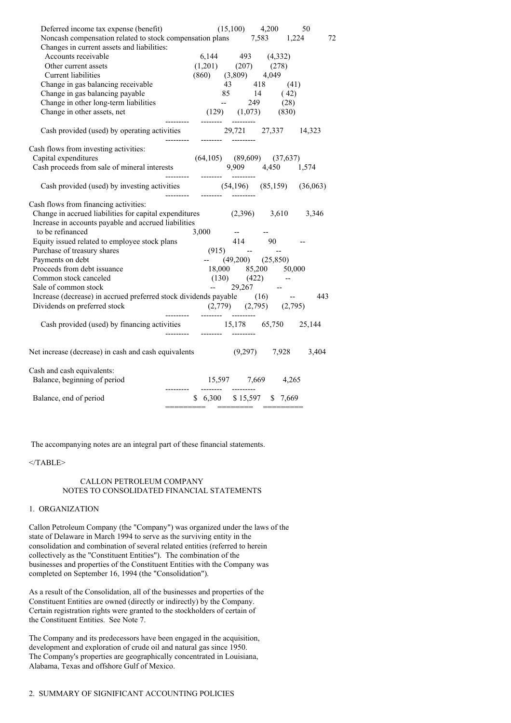| Deferred income tax expense (benefit)                                    | $(15,100)$ 4,200<br>50                                                                                                                                                 |
|--------------------------------------------------------------------------|------------------------------------------------------------------------------------------------------------------------------------------------------------------------|
|                                                                          | Noncash compensation related to stock compensation plans 7,583 1,224<br>72                                                                                             |
| Changes in current assets and liabilities:                               |                                                                                                                                                                        |
| Accounts receivable                                                      | $\begin{array}{cccc} 6,144 & 493 & (4,332) \\ (1,201) & (207) & (278) \\ (860) & (3,809) & 4,049 \end{array}$                                                          |
| Other current assets                                                     |                                                                                                                                                                        |
| Current liabilities                                                      |                                                                                                                                                                        |
| Change in gas balancing receivable                                       |                                                                                                                                                                        |
| Change in gas balancing payable                                          | 43 418 (41)<br>85 14 (42)                                                                                                                                              |
| Change in other long-term liabilities                                    |                                                                                                                                                                        |
| Change in other assets, net                                              | $(129)$ $(1,073)$ $(830)$<br>---------                                                                                                                                 |
|                                                                          | Cash provided (used) by operating activities 29,721 27,337 14,323                                                                                                      |
| Cash flows from investing activities:                                    |                                                                                                                                                                        |
|                                                                          |                                                                                                                                                                        |
|                                                                          | Capital expenditures (64,105) (89,609) (37,637)<br>Cash proceeds from sale of mineral interests 9,909 4,450 1,574<br>9,909 4,450 1,574<br>--------- -------- --------- |
|                                                                          |                                                                                                                                                                        |
| Cash flows from financing activities:                                    |                                                                                                                                                                        |
|                                                                          | Change in accrued liabilities for capital expenditures (2,396) 3,610 3,346                                                                                             |
| Increase in accounts payable and accrued liabilities                     |                                                                                                                                                                        |
| to be refinanced                                                         |                                                                                                                                                                        |
| Equity issued related to employee stock plans                            |                                                                                                                                                                        |
| Purchase of treasury shares                                              |                                                                                                                                                                        |
| Payments on debt                                                         | $-$ (49,200) (25,850)                                                                                                                                                  |
| Proceeds from debt issuance                                              | 18,000 85,200 50,000                                                                                                                                                   |
| Common stock canceled                                                    | $(130)$ $(422)$ --                                                                                                                                                     |
| Sale of common stock                                                     | $-29,267$ $-$                                                                                                                                                          |
| Increase (decrease) in accrued preferred stock dividends payable (16) -- | - 443                                                                                                                                                                  |
| Dividends on preferred stock                                             | $(2,779)$ $(2,795)$ $(2,795)$<br>--------- -------- ---------                                                                                                          |
|                                                                          | Cash provided (used) by financing activities 15,178 65,750 25,144                                                                                                      |
|                                                                          | Net increase (decrease) in cash and cash equivalents (9,297) 7,928 3,404                                                                                               |
|                                                                          |                                                                                                                                                                        |
| Cash and cash equivalents:                                               |                                                                                                                                                                        |
| Balance, beginning of period                                             | 15,597 7,669 4,265<br>_________<br>----------                                                                                                                          |
| Balance, end of period                                                   | $$6,300$ $$15,597$ $$7,669$                                                                                                                                            |
|                                                                          |                                                                                                                                                                        |

The accompanying notes are an integral part of these financial statements.

## </TABLE>

## CALLON PETROLEUM COMPANY NOTES TO CONSOLIDATED FINANCIAL STATEMENTS

## 1. ORGANIZATION

Callon Petroleum Company (the "Company") was organized under the laws of the state of Delaware in March 1994 to serve as the surviving entity in the consolidation and combination of several related entities (referred to herein collectively as the "Constituent Entities"). The combination of the businesses and properties of the Constituent Entities with the Company was completed on September 16, 1994 (the "Consolidation").

As a result of the Consolidation, all of the businesses and properties of the Constituent Entities are owned (directly or indirectly) by the Company. Certain registration rights were granted to the stockholders of certain of the Constituent Entities. See Note 7.

The Company and its predecessors have been engaged in the acquisition, development and exploration of crude oil and natural gas since 1950. The Company's properties are geographically concentrated in Louisiana, Alabama, Texas and offshore Gulf of Mexico.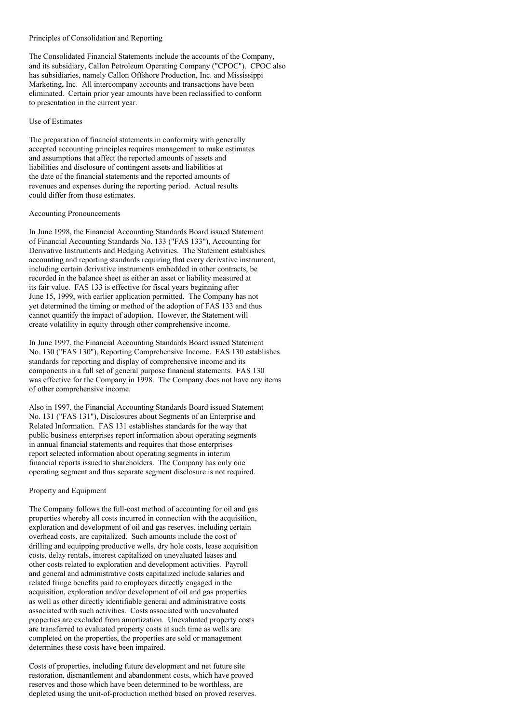#### Principles of Consolidation and Reporting

The Consolidated Financial Statements include the accounts of the Company, and its subsidiary, Callon Petroleum Operating Company ("CPOC"). CPOC also has subsidiaries, namely Callon Offshore Production, Inc. and Mississippi Marketing, Inc. All intercompany accounts and transactions have been eliminated. Certain prior year amounts have been reclassified to conform to presentation in the current year.

### Use of Estimates

The preparation of financial statements in conformity with generally accepted accounting principles requires management to make estimates and assumptions that affect the reported amounts of assets and liabilities and disclosure of contingent assets and liabilities at the date of the financial statements and the reported amounts of revenues and expenses during the reporting period. Actual results could differ from those estimates.

### Accounting Pronouncements

In June 1998, the Financial Accounting Standards Board issued Statement of Financial Accounting Standards No. 133 ("FAS 133"), Accounting for Derivative Instruments and Hedging Activities. The Statement establishes accounting and reporting standards requiring that every derivative instrument, including certain derivative instruments embedded in other contracts, be recorded in the balance sheet as either an asset or liability measured at its fair value. FAS 133 is effective for fiscal years beginning after June 15, 1999, with earlier application permitted. The Company has not yet determined the timing or method of the adoption of FAS 133 and thus cannot quantify the impact of adoption. However, the Statement will create volatility in equity through other comprehensive income.

In June 1997, the Financial Accounting Standards Board issued Statement No. 130 ("FAS 130"), Reporting Comprehensive Income. FAS 130 establishes standards for reporting and display of comprehensive income and its components in a full set of general purpose financial statements. FAS 130 was effective for the Company in 1998. The Company does not have any items of other comprehensive income.

Also in 1997, the Financial Accounting Standards Board issued Statement No. 131 ("FAS 131"), Disclosures about Segments of an Enterprise and Related Information. FAS 131 establishes standards for the way that public business enterprises report information about operating segments in annual financial statements and requires that those enterprises report selected information about operating segments in interim financial reports issued to shareholders. The Company has only one operating segment and thus separate segment disclosure is not required.

## Property and Equipment

The Company follows the full-cost method of accounting for oil and gas properties whereby all costs incurred in connection with the acquisition, exploration and development of oil and gas reserves, including certain overhead costs, are capitalized. Such amounts include the cost of drilling and equipping productive wells, dry hole costs, lease acquisition costs, delay rentals, interest capitalized on unevaluated leases and other costs related to exploration and development activities. Payroll and general and administrative costs capitalized include salaries and related fringe benefits paid to employees directly engaged in the acquisition, exploration and/or development of oil and gas properties as well as other directly identifiable general and administrative costs associated with such activities. Costs associated with unevaluated properties are excluded from amortization. Unevaluated property costs are transferred to evaluated property costs at such time as wells are completed on the properties, the properties are sold or management determines these costs have been impaired.

Costs of properties, including future development and net future site restoration, dismantlement and abandonment costs, which have proved reserves and those which have been determined to be worthless, are depleted using the unit-of-production method based on proved reserves.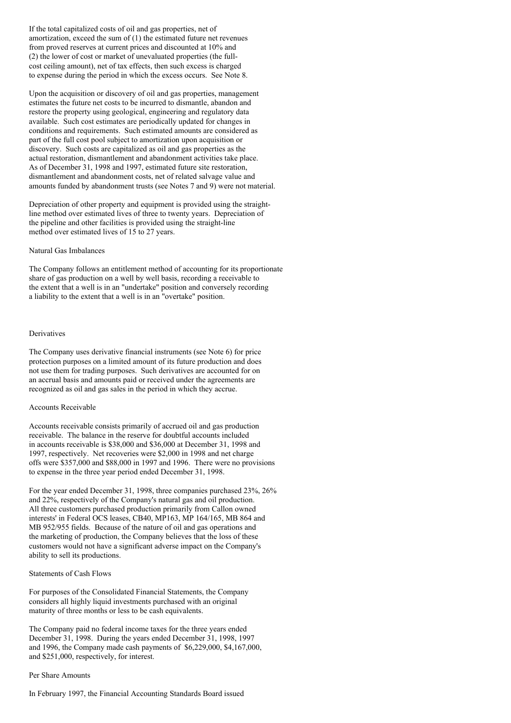If the total capitalized costs of oil and gas properties, net of amortization, exceed the sum of (1) the estimated future net revenues from proved reserves at current prices and discounted at 10% and (2) the lower of cost or market of unevaluated properties (the fullcost ceiling amount), net of tax effects, then such excess is charged to expense during the period in which the excess occurs. See Note 8.

Upon the acquisition or discovery of oil and gas properties, management estimates the future net costs to be incurred to dismantle, abandon and restore the property using geological, engineering and regulatory data available. Such cost estimates are periodically updated for changes in conditions and requirements. Such estimated amounts are considered as part of the full cost pool subject to amortization upon acquisition or discovery. Such costs are capitalized as oil and gas properties as the actual restoration, dismantlement and abandonment activities take place. As of December 31, 1998 and 1997, estimated future site restoration, dismantlement and abandonment costs, net of related salvage value and amounts funded by abandonment trusts (see Notes 7 and 9) were not material.

Depreciation of other property and equipment is provided using the straightline method over estimated lives of three to twenty years. Depreciation of the pipeline and other facilities is provided using the straight-line method over estimated lives of 15 to 27 years.

### Natural Gas Imbalances

The Company follows an entitlement method of accounting for its proportionate share of gas production on a well by well basis, recording a receivable to the extent that a well is in an "undertake" position and conversely recording a liability to the extent that a well is in an "overtake" position.

## Derivatives

The Company uses derivative financial instruments (see Note 6) for price protection purposes on a limited amount of its future production and does not use them for trading purposes. Such derivatives are accounted for on an accrual basis and amounts paid or received under the agreements are recognized as oil and gas sales in the period in which they accrue.

## Accounts Receivable

Accounts receivable consists primarily of accrued oil and gas production receivable. The balance in the reserve for doubtful accounts included in accounts receivable is \$38,000 and \$36,000 at December 31, 1998 and 1997, respectively. Net recoveries were \$2,000 in 1998 and net charge offs were \$357,000 and \$88,000 in 1997 and 1996. There were no provisions to expense in the three year period ended December 31, 1998.

For the year ended December 31, 1998, three companies purchased 23%, 26% and 22%, respectively of the Company's natural gas and oil production. All three customers purchased production primarily from Callon owned interests' in Federal OCS leases, CB40, MP163, MP 164/165, MB 864 and MB 952/955 fields. Because of the nature of oil and gas operations and the marketing of production, the Company believes that the loss of these customers would not have a significant adverse impact on the Company's ability to sell its productions.

## Statements of Cash Flows

For purposes of the Consolidated Financial Statements, the Company considers all highly liquid investments purchased with an original maturity of three months or less to be cash equivalents.

The Company paid no federal income taxes for the three years ended December 31, 1998. During the years ended December 31, 1998, 1997 and 1996, the Company made cash payments of \$6,229,000, \$4,167,000, and \$251,000, respectively, for interest.

#### Per Share Amounts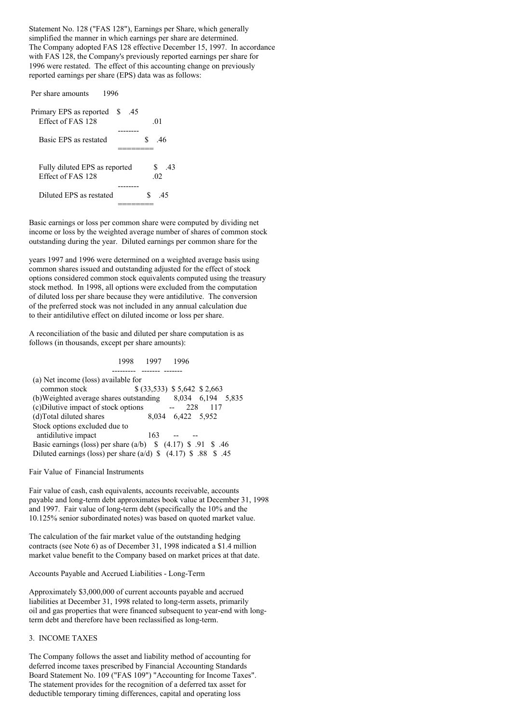Statement No. 128 ("FAS 128"), Earnings per Share, which generally simplified the manner in which earnings per share are determined. The Company adopted FAS 128 effective December 15, 1997. In accordance with FAS 128, the Company's previously reported earnings per share for 1996 were restated. The effect of this accounting change on previously reported earnings per share (EPS) data was as follows:

| 1996<br>Per share amounts                          |          |                  |
|----------------------------------------------------|----------|------------------|
| Primary EPS as reported<br>Effect of FAS 128       | S<br>.45 | .01              |
|                                                    |          |                  |
| Basic EPS as restated                              |          | S.<br>-46        |
|                                                    |          |                  |
| Fully diluted EPS as reported<br>Effect of FAS 128 |          | S.<br>-43<br>.02 |
|                                                    |          |                  |
| Diluted EPS as restated                            |          | ς<br>45          |
|                                                    |          |                  |

Basic earnings or loss per common share were computed by dividing net income or loss by the weighted average number of shares of common stock outstanding during the year. Diluted earnings per common share for the

years 1997 and 1996 were determined on a weighted average basis using common shares issued and outstanding adjusted for the effect of stock options considered common stock equivalents computed using the treasury stock method. In 1998, all options were excluded from the computation of diluted loss per share because they were antidilutive. The conversion of the preferred stock was not included in any annual calculation due to their antidilutive effect on diluted income or loss per share.

A reconciliation of the basic and diluted per share computation is as follows (in thousands, except per share amounts):

## 1998 1997 1996 --------- ------- ------- (a) Net income (loss) available for common stock \$ (33,533) \$ 5,642 \$ 2,663 (b)Weighted average shares outstanding 8,034 6,194 5,835 (c)Dilutive impact of stock options -- 228 117 (d)Total diluted shares  $8,034$  6,422 5,952 Stock options excluded due to antidilutive impact 163 --Basic earnings (loss) per share  $(a/b)$  \$ (4.17) \$ .91 \$ .46 Diluted earnings (loss) per share  $(a/d)$  \$ (4.17) \$ .88 \$ .45

Fair Value of Financial Instruments

Fair value of cash, cash equivalents, accounts receivable, accounts payable and long-term debt approximates book value at December 31, 1998 and 1997. Fair value of long-term debt (specifically the 10% and the 10.125% senior subordinated notes) was based on quoted market value.

The calculation of the fair market value of the outstanding hedging contracts (see Note 6) as of December 31, 1998 indicated a \$1.4 million market value benefit to the Company based on market prices at that date.

Accounts Payable and Accrued Liabilities - Long-Term

Approximately \$3,000,000 of current accounts payable and accrued liabilities at December 31, 1998 related to long-term assets, primarily oil and gas properties that were financed subsequent to year-end with longterm debt and therefore have been reclassified as long-term.

## 3. INCOME TAXES

The Company follows the asset and liability method of accounting for deferred income taxes prescribed by Financial Accounting Standards Board Statement No. 109 ("FAS 109") "Accounting for Income Taxes". The statement provides for the recognition of a deferred tax asset for deductible temporary timing differences, capital and operating loss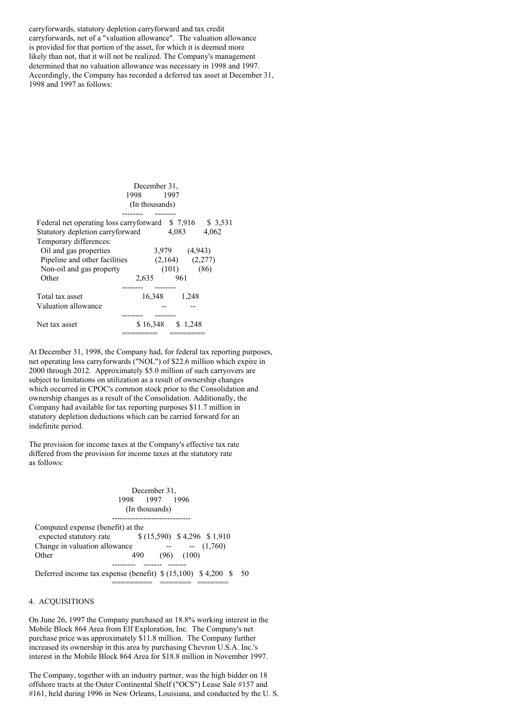carryforwards, statutory depletion carryforward and tax credit carryforwards, net of a "valuation allowance". The valuation allowance is provided for that portion of the asset, for which it is deemed more likely than not, that it will not be realized. The Company's management determined that no valuation allowance was necessary in 1998 and 1997. Accordingly, the Company has recorded a deferred tax asset at December 31, 1998 and 1997 as follows:

|                                                                                             | December 31,<br>1998 1997<br>(In thousands) |                                       |       |
|---------------------------------------------------------------------------------------------|---------------------------------------------|---------------------------------------|-------|
| Federal net operating loss carryforward \$7,916 \$3,531<br>Statutory depletion carryforward |                                             | 4.083                                 | 4,062 |
| Temporary differences:<br>Oil and gas properties                                            |                                             | 3,979 (4,943)                         |       |
| Pipeline and other facilities                                                               |                                             | $(2,164)$ $(2,277)$<br>$(101)$ $(86)$ |       |
| Non-oil and gas property<br>Other                                                           | 2,635                                       | 961                                   |       |
| Total tax asset                                                                             | 16,348                                      | ------<br>1,248                       |       |
| Valuation allowance                                                                         |                                             |                                       |       |
| Net tax asset                                                                               | \$16,348                                    | \$1,248                               |       |

At December 31, 1998, the Company had, for federal tax reporting purposes, net operating loss carryforwards ("NOL") of \$22.6 million which expire in 2000 through 2012. Approximately \$5.0 million of such carryovers are subject to limitations on utilization as a result of ownership changes which occurred in CPOC's common stock prior to the Consolidation and ownership changes as a result of the Consolidation. Additionally, the Company had available for tax reporting purposes \$11.7 million in statutory depletion deductions which can be carried forward for an indefinite period.

The provision for income taxes at the Company's effective tax rate differed from the provision for income taxes at the statutory rate as follows:

|                                                                                                                         | December 31.<br>1998 1997<br>(In thousands) |      | 1996        |      |
|-------------------------------------------------------------------------------------------------------------------------|---------------------------------------------|------|-------------|------|
| Computed expense (benefit) at the<br>expected statutory rate $$(15,590) $4,296 $1,910$<br>Change in valuation allowance |                                             |      | $- (1,760)$ |      |
| Other                                                                                                                   | 490                                         | (96) | (100)       |      |
| Deferred income tax expense (benefit) $\{(15,100)$ \\$ 4,200 \\$                                                        |                                             |      |             | - 50 |

### 4. ACQUISITIONS

On June 26, 1997 the Company purchased an 18.8% working interest in the Mobile Block 864 Area from Elf Exploration, Inc. The Company's net purchase price was approximately \$11.8 million. The Company further increased its ownership in this area by purchasing Chevron U.S.A. Inc.'s interest in the Mobile Block 864 Area for \$18.8 million in November 1997.

The Company, together with an industry partner, was the high bidder on 18 offshore tracts at the Outer Continental Shelf ("OCS") Lease Sale #157 and #161, held during 1996 in New Orleans, Louisiana, and conducted by the U. S.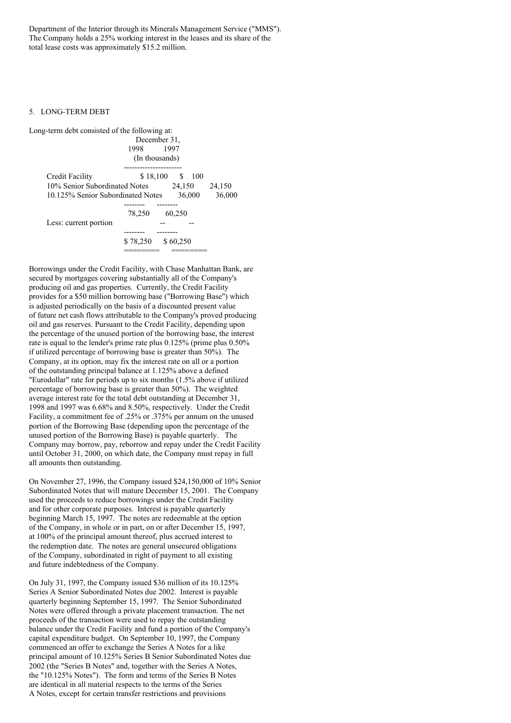Department of the Interior through its Minerals Management Service ("MMS"). The Company holds a 25% working interest in the leases and its share of the total lease costs was approximately \$15.2 million.

### 5. LONG-TERM DEBT

| Long-term debt consisted of the following at: |                |             |          |       |        |
|-----------------------------------------------|----------------|-------------|----------|-------|--------|
|                                               | December 31.   |             |          |       |        |
|                                               | 1998           | 1997        |          |       |        |
|                                               | (In thousands) |             |          |       |        |
| Credit Facility                               |                | \$18,100 \$ |          | - 100 |        |
| 10% Senior Subordinated Notes                 |                |             | 24,150   |       | 24,150 |
| 10.125% Senior Subordinated Notes             |                |             | 36,000   |       | 36,000 |
|                                               |                |             |          |       |        |
|                                               | 78.250         |             | 60.250   |       |        |
| Less: current portion                         |                |             |          |       |        |
|                                               |                |             |          |       |        |
|                                               | \$78,250       |             | \$60,250 |       |        |
|                                               |                |             |          |       |        |

Borrowings under the Credit Facility, with Chase Manhattan Bank, are secured by mortgages covering substantially all of the Company's producing oil and gas properties. Currently, the Credit Facility provides for a \$50 million borrowing base ("Borrowing Base") which is adjusted periodically on the basis of a discounted present value of future net cash flows attributable to the Company's proved producing oil and gas reserves. Pursuant to the Credit Facility, depending upon the percentage of the unused portion of the borrowing base, the interest rate is equal to the lender's prime rate plus 0.125% (prime plus 0.50% if utilized percentage of borrowing base is greater than 50%). The Company, at its option, may fix the interest rate on all or a portion of the outstanding principal balance at 1.125% above a defined "Eurodollar" rate for periods up to six months (1.5% above if utilized percentage of borrowing base is greater than 50%). The weighted average interest rate for the total debt outstanding at December 31, 1998 and 1997 was 6.68% and 8.50%, respectively. Under the Credit Facility, a commitment fee of .25% or .375% per annum on the unused portion of the Borrowing Base (depending upon the percentage of the unused portion of the Borrowing Base) is payable quarterly. The Company may borrow, pay, reborrow and repay under the Credit Facility until October 31, 2000, on which date, the Company must repay in full all amounts then outstanding.

On November 27, 1996, the Company issued \$24,150,000 of 10% Senior Subordinated Notes that will mature December 15, 2001. The Company used the proceeds to reduce borrowings under the Credit Facility and for other corporate purposes. Interest is payable quarterly beginning March 15, 1997. The notes are redeemable at the option of the Company, in whole or in part, on or after December 15, 1997, at 100% of the principal amount thereof, plus accrued interest to the redemption date. The notes are general unsecured obligations of the Company, subordinated in right of payment to all existing and future indebtedness of the Company.

On July 31, 1997, the Company issued \$36 million of its 10.125% Series A Senior Subordinated Notes due 2002. Interest is payable quarterly beginning September 15, 1997. The Senior Subordinated Notes were offered through a private placement transaction. The net proceeds of the transaction were used to repay the outstanding balance under the Credit Facility and fund a portion of the Company's capital expenditure budget. On September 10, 1997, the Company commenced an offer to exchange the Series A Notes for a like principal amount of 10.125% Series B Senior Subordinated Notes due 2002 (the "Series B Notes" and, together with the Series A Notes, the "10.125% Notes"). The form and terms of the Series B Notes are identical in all material respects to the terms of the Series A Notes, except for certain transfer restrictions and provisions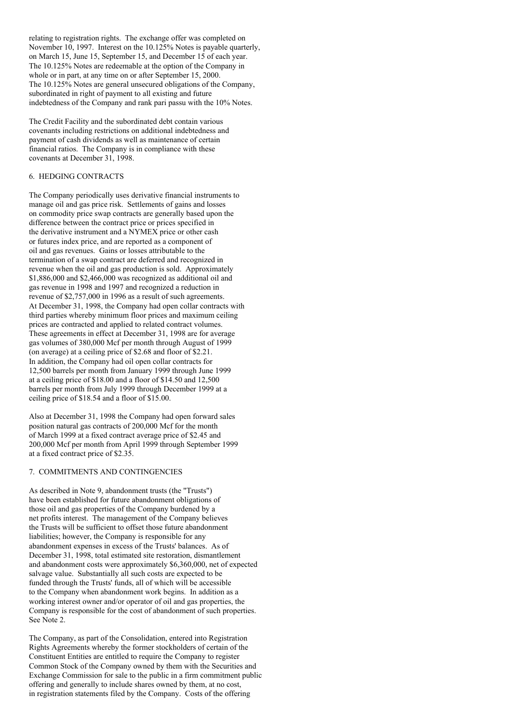relating to registration rights. The exchange offer was completed on November 10, 1997. Interest on the 10.125% Notes is payable quarterly, on March 15, June 15, September 15, and December 15 of each year. The 10.125% Notes are redeemable at the option of the Company in whole or in part, at any time on or after September 15, 2000. The 10.125% Notes are general unsecured obligations of the Company, subordinated in right of payment to all existing and future indebtedness of the Company and rank pari passu with the 10% Notes.

The Credit Facility and the subordinated debt contain various covenants including restrictions on additional indebtedness and payment of cash dividends as well as maintenance of certain financial ratios. The Company is in compliance with these covenants at December 31, 1998.

# 6. HEDGING CONTRACTS

The Company periodically uses derivative financial instruments to manage oil and gas price risk. Settlements of gains and losses on commodity price swap contracts are generally based upon the difference between the contract price or prices specified in the derivative instrument and a NYMEX price or other cash or futures index price, and are reported as a component of oil and gas revenues. Gains or losses attributable to the termination of a swap contract are deferred and recognized in revenue when the oil and gas production is sold. Approximately \$1,886,000 and \$2,466,000 was recognized as additional oil and gas revenue in 1998 and 1997 and recognized a reduction in revenue of \$2,757,000 in 1996 as a result of such agreements. At December 31, 1998, the Company had open collar contracts with third parties whereby minimum floor prices and maximum ceiling prices are contracted and applied to related contract volumes. These agreements in effect at December 31, 1998 are for average gas volumes of 380,000 Mcf per month through August of 1999 (on average) at a ceiling price of \$2.68 and floor of \$2.21. In addition, the Company had oil open collar contracts for 12,500 barrels per month from January 1999 through June 1999 at a ceiling price of \$18.00 and a floor of \$14.50 and 12,500 barrels per month from July 1999 through December 1999 at a ceiling price of \$18.54 and a floor of \$15.00.

Also at December 31, 1998 the Company had open forward sales position natural gas contracts of 200,000 Mcf for the month of March 1999 at a fixed contract average price of \$2.45 and 200,000 Mcf per month from April 1999 through September 1999 at a fixed contract price of \$2.35.

## 7. COMMITMENTS AND CONTINGENCIES

As described in Note 9, abandonment trusts (the "Trusts") have been established for future abandonment obligations of those oil and gas properties of the Company burdened by a net profits interest. The management of the Company believes the Trusts will be sufficient to offset those future abandonment liabilities; however, the Company is responsible for any abandonment expenses in excess of the Trusts' balances. As of December 31, 1998, total estimated site restoration, dismantlement and abandonment costs were approximately \$6,360,000, net of expected salvage value. Substantially all such costs are expected to be funded through the Trusts' funds, all of which will be accessible to the Company when abandonment work begins. In addition as a working interest owner and/or operator of oil and gas properties, the Company is responsible for the cost of abandonment of such properties. See Note 2.

The Company, as part of the Consolidation, entered into Registration Rights Agreements whereby the former stockholders of certain of the Constituent Entities are entitled to require the Company to register Common Stock of the Company owned by them with the Securities and Exchange Commission for sale to the public in a firm commitment public offering and generally to include shares owned by them, at no cost, in registration statements filed by the Company. Costs of the offering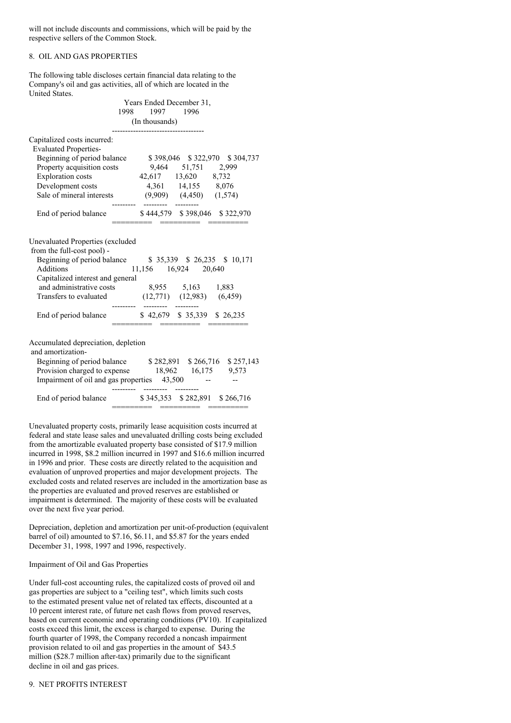will not include discounts and commissions, which will be paid by the respective sellers of the Common Stock.

# 8. OIL AND GAS PROPERTIES

The following table discloses certain financial data relating to the Company's oil and gas activities, all of which are located in the United States.

|                                                                                                                        | Years Ended December 31,<br>1998 1997 1996<br>(In thousands)                                                                                                                       |
|------------------------------------------------------------------------------------------------------------------------|------------------------------------------------------------------------------------------------------------------------------------------------------------------------------------|
| Capitalized costs incurred:<br><b>Evaluated Properties-</b>                                                            |                                                                                                                                                                                    |
| Beginning of period balance                                                                                            | \$398,046 \$322,970 \$304,737                                                                                                                                                      |
| Property acquisition costs                                                                                             | 9,464 51,751 2,999                                                                                                                                                                 |
| <b>Exploration</b> costs                                                                                               | 42,617 13,620 8,732                                                                                                                                                                |
|                                                                                                                        | Development costs 4,361 14,155 8,076                                                                                                                                               |
|                                                                                                                        | Sale of mineral interests (9,909) (4,450) (1,574)                                                                                                                                  |
| End of period balance                                                                                                  | \$444,579 \$398,046 \$322,970                                                                                                                                                      |
| <b>Unevaluated Properties (excluded</b><br>from the full-cost pool) -<br>Additions<br>Capitalized interest and general | Beginning of period balance \$35,339 \$26,235 \$10,171<br>11,156 16,924 20,640<br>and administrative costs $8,955$ 5,163 1,883<br>Transfers to evaluated (12,771) (12,983) (6,459) |
|                                                                                                                        | --------- --------<br>End of period balance \$42,679 \$35,339 \$26,235                                                                                                             |
| Accumulated depreciation, depletion<br>and amortization-<br>Impairment of oil and gas properties 43,500                | Beginning of period balance \$282,891 \$266,716 \$257,143<br>Provision charged to expense 18,962 16,175 9,573                                                                      |
| End of period balance                                                                                                  | \$345,353 \$282,891 \$266,716                                                                                                                                                      |

Unevaluated property costs, primarily lease acquisition costs incurred at federal and state lease sales and unevaluated drilling costs being excluded from the amortizable evaluated property base consisted of \$17.9 million incurred in 1998, \$8.2 million incurred in 1997 and \$16.6 million incurred in 1996 and prior. These costs are directly related to the acquisition and evaluation of unproved properties and major development projects. The excluded costs and related reserves are included in the amortization base as the properties are evaluated and proved reserves are established or impairment is determined. The majority of these costs will be evaluated over the next five year period.

Depreciation, depletion and amortization per unit-of-production (equivalent barrel of oil) amounted to \$7.16, \$6.11, and \$5.87 for the years ended December 31, 1998, 1997 and 1996, respectively.

### Impairment of Oil and Gas Properties

Under full-cost accounting rules, the capitalized costs of proved oil and gas properties are subject to a "ceiling test", which limits such costs to the estimated present value net of related tax effects, discounted at a 10 percent interest rate, of future net cash flows from proved reserves, based on current economic and operating conditions (PV10). If capitalized costs exceed this limit, the excess is charged to expense. During the fourth quarter of 1998, the Company recorded a noncash impairment provision related to oil and gas properties in the amount of \$43.5 million (\$28.7 million after-tax) primarily due to the significant decline in oil and gas prices.

## 9. NET PROFITS INTEREST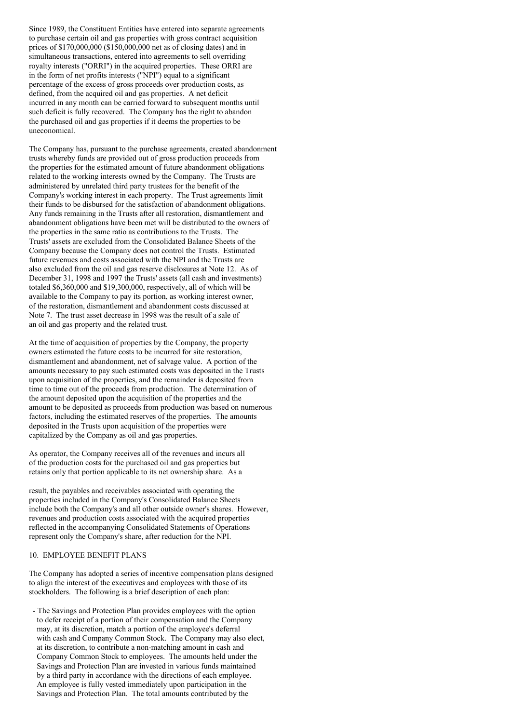Since 1989, the Constituent Entities have entered into separate agreements to purchase certain oil and gas properties with gross contract acquisition prices of \$170,000,000 (\$150,000,000 net as of closing dates) and in simultaneous transactions, entered into agreements to sell overriding royalty interests ("ORRI") in the acquired properties. These ORRI are in the form of net profits interests ("NPI") equal to a significant percentage of the excess of gross proceeds over production costs, as defined, from the acquired oil and gas properties. A net deficit incurred in any month can be carried forward to subsequent months until such deficit is fully recovered. The Company has the right to abandon the purchased oil and gas properties if it deems the properties to be uneconomical.

The Company has, pursuant to the purchase agreements, created abandonment trusts whereby funds are provided out of gross production proceeds from the properties for the estimated amount of future abandonment obligations related to the working interests owned by the Company. The Trusts are administered by unrelated third party trustees for the benefit of the Company's working interest in each property. The Trust agreements limit their funds to be disbursed for the satisfaction of abandonment obligations. Any funds remaining in the Trusts after all restoration, dismantlement and abandonment obligations have been met will be distributed to the owners of the properties in the same ratio as contributions to the Trusts. The Trusts' assets are excluded from the Consolidated Balance Sheets of the Company because the Company does not control the Trusts. Estimated future revenues and costs associated with the NPI and the Trusts are also excluded from the oil and gas reserve disclosures at Note 12. As of December 31, 1998 and 1997 the Trusts' assets (all cash and investments) totaled \$6,360,000 and \$19,300,000, respectively, all of which will be available to the Company to pay its portion, as working interest owner, of the restoration, dismantlement and abandonment costs discussed at Note 7. The trust asset decrease in 1998 was the result of a sale of an oil and gas property and the related trust.

At the time of acquisition of properties by the Company, the property owners estimated the future costs to be incurred for site restoration, dismantlement and abandonment, net of salvage value. A portion of the amounts necessary to pay such estimated costs was deposited in the Trusts upon acquisition of the properties, and the remainder is deposited from time to time out of the proceeds from production. The determination of the amount deposited upon the acquisition of the properties and the amount to be deposited as proceeds from production was based on numerous factors, including the estimated reserves of the properties. The amounts deposited in the Trusts upon acquisition of the properties were capitalized by the Company as oil and gas properties.

As operator, the Company receives all of the revenues and incurs all of the production costs for the purchased oil and gas properties but retains only that portion applicable to its net ownership share. As a

result, the payables and receivables associated with operating the properties included in the Company's Consolidated Balance Sheets include both the Company's and all other outside owner's shares. However, revenues and production costs associated with the acquired properties reflected in the accompanying Consolidated Statements of Operations represent only the Company's share, after reduction for the NPI.

## 10. EMPLOYEE BENEFIT PLANS

The Company has adopted a series of incentive compensation plans designed to align the interest of the executives and employees with those of its stockholders. The following is a brief description of each plan:

- The Savings and Protection Plan provides employees with the option to defer receipt of a portion of their compensation and the Company may, at its discretion, match a portion of the employee's deferral with cash and Company Common Stock. The Company may also elect, at its discretion, to contribute a non-matching amount in cash and Company Common Stock to employees. The amounts held under the Savings and Protection Plan are invested in various funds maintained by a third party in accordance with the directions of each employee. An employee is fully vested immediately upon participation in the Savings and Protection Plan. The total amounts contributed by the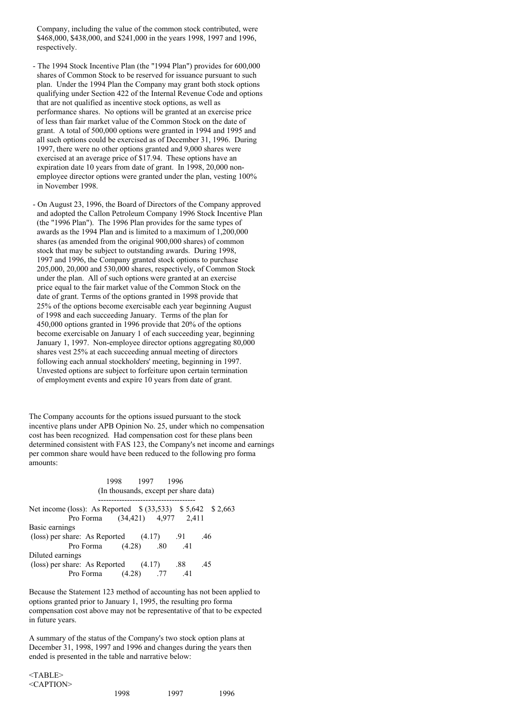Company, including the value of the common stock contributed, were \$468,000, \$438,000, and \$241,000 in the years 1998, 1997 and 1996, respectively.

- The 1994 Stock Incentive Plan (the "1994 Plan") provides for 600,000 shares of Common Stock to be reserved for issuance pursuant to such plan. Under the 1994 Plan the Company may grant both stock options qualifying under Section 422 of the Internal Revenue Code and options that are not qualified as incentive stock options, as well as performance shares. No options will be granted at an exercise price of less than fair market value of the Common Stock on the date of grant. A total of 500,000 options were granted in 1994 and 1995 and all such options could be exercised as of December 31, 1996. During 1997, there were no other options granted and 9,000 shares were exercised at an average price of \$17.94. These options have an expiration date 10 years from date of grant. In 1998, 20,000 nonemployee director options were granted under the plan, vesting 100% in November 1998.
- On August 23, 1996, the Board of Directors of the Company approved and adopted the Callon Petroleum Company 1996 Stock Incentive Plan (the "1996 Plan"). The 1996 Plan provides for the same types of awards as the 1994 Plan and is limited to a maximum of 1,200,000 shares (as amended from the original 900,000 shares) of common stock that may be subject to outstanding awards. During 1998, 1997 and 1996, the Company granted stock options to purchase 205,000, 20,000 and 530,000 shares, respectively, of Common Stock under the plan. All of such options were granted at an exercise price equal to the fair market value of the Common Stock on the date of grant. Terms of the options granted in 1998 provide that 25% of the options become exercisable each year beginning August of 1998 and each succeeding January. Terms of the plan for 450,000 options granted in 1996 provide that 20% of the options become exercisable on January 1 of each succeeding year, beginning January 1, 1997. Non-employee director options aggregating 80,000 shares vest 25% at each succeeding annual meeting of directors following each annual stockholders' meeting, beginning in 1997. Unvested options are subject to forfeiture upon certain termination of employment events and expire 10 years from date of grant.

The Company accounts for the options issued pursuant to the stock incentive plans under APB Opinion No. 25, under which no compensation cost has been recognized. Had compensation cost for these plans been determined consistent with FAS 123, the Company's net income and earnings per common share would have been reduced to the following pro forma amounts:

1998 1997 1996 (In thousands, except per share data) ------------------------------------- Net income (loss): As Reported  $$ (33,533) \ $ 5,642 \ $ 2,663$ Pro Forma (34,421) 4,977 2,411 Basic earnings (loss) per share: As Reported  $(4.17)$  .91 .46 Pro Forma (4.28) .80 .41 Diluted earnings (loss) per share: As Reported  $(4.17)$  .88 .45 Pro Forma (4.28) .77 .41

Because the Statement 123 method of accounting has not been applied to options granted prior to January 1, 1995, the resulting pro forma compensation cost above may not be representative of that to be expected in future years.

A summary of the status of the Company's two stock option plans at December 31, 1998, 1997 and 1996 and changes during the years then ended is presented in the table and narrative below:

<TABLE> <CAPTION>

| 1998 | 1997 | 1996 |
|------|------|------|
|------|------|------|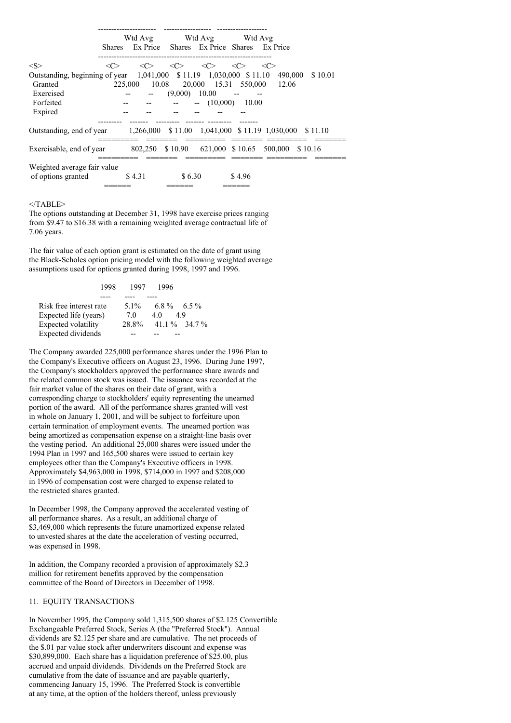|                                                                                |                     |                     |                   | Wtd Avg Wtd Avg Wtd Avg                  |                     |                                                                                    |
|--------------------------------------------------------------------------------|---------------------|---------------------|-------------------|------------------------------------------|---------------------|------------------------------------------------------------------------------------|
|                                                                                | <b>Shares</b>       |                     |                   | Ex Price Shares Ex Price Shares Ex Price |                     |                                                                                    |
|                                                                                |                     |                     |                   |                                          |                     |                                                                                    |
| $<\!S>$                                                                        | $\langle C \rangle$ | $\langle C \rangle$ | <<                | <<                                       | $\langle C \rangle$ | $\langle$ C>                                                                       |
|                                                                                |                     |                     |                   |                                          |                     | Outstanding, beginning of year 1,041,000 \$11.19 1,030,000 \$11.10 490,000 \$10.01 |
| Granted                                                                        |                     |                     |                   |                                          |                     | 225,000 10.08 20,000 15.31 550,000 12.06                                           |
| Exercised                                                                      |                     |                     | $-$ (9,000) 10.00 |                                          |                     |                                                                                    |
| Forfeited                                                                      |                     |                     |                   | $   (10,000)$ $10.00$                    |                     |                                                                                    |
| Expired                                                                        |                     |                     |                   |                                          |                     |                                                                                    |
|                                                                                |                     |                     |                   |                                          |                     |                                                                                    |
| Outstanding, end of year 1,266,000 \$11.00 1,041,000 \$11.19 1,030,000 \$11.10 |                     |                     |                   |                                          |                     |                                                                                    |
|                                                                                |                     |                     |                   |                                          |                     |                                                                                    |
| Exercisable, end of year                                                       |                     |                     |                   |                                          |                     | 802,250 \$10.90 621,000 \$10.65 500,000 \$10.16                                    |
|                                                                                |                     |                     |                   |                                          |                     |                                                                                    |
| Weighted average fair value                                                    |                     |                     |                   |                                          |                     |                                                                                    |
| of options granted                                                             | \$4.31              |                     | \$6.30            |                                          | \$4.96              |                                                                                    |
|                                                                                |                     |                     |                   |                                          |                     |                                                                                    |

### $<$ /TABLE>

The options outstanding at December 31, 1998 have exercise prices ranging from \$9.47 to \$16.38 with a remaining weighted average contractual life of 7.06 years.

The fair value of each option grant is estimated on the date of grant using the Black-Scholes option pricing model with the following weighted average assumptions used for options granted during 1998, 1997 and 1996.

|                         | 1998<br>1997 | -1996 |                     |
|-------------------------|--------------|-------|---------------------|
|                         |              |       |                     |
| Risk free interest rate | $5.1\%$      |       | $6.8\%$ $6.5\%$     |
| Expected life (years)   | 7.0          | 4.0   | 49                  |
| Expected volatility     | 28.8%        |       | 41.1 $\%$ 34.7 $\%$ |
| Expected dividends      |              |       |                     |

The Company awarded 225,000 performance shares under the 1996 Plan to the Company's Executive officers on August 23, 1996. During June 1997, the Company's stockholders approved the performance share awards and the related common stock was issued. The issuance was recorded at the fair market value of the shares on their date of grant, with a corresponding charge to stockholders' equity representing the unearned portion of the award. All of the performance shares granted will vest in whole on January 1, 2001, and will be subject to forfeiture upon certain termination of employment events. The unearned portion was being amortized as compensation expense on a straight-line basis over the vesting period. An additional 25,000 shares were issued under the 1994 Plan in 1997 and 165,500 shares were issued to certain key employees other than the Company's Executive officers in 1998. Approximately \$4,963,000 in 1998, \$714,000 in 1997 and \$208,000 in 1996 of compensation cost were charged to expense related to the restricted shares granted.

In December 1998, the Company approved the accelerated vesting of all performance shares. As a result, an additional charge of \$3,469,000 which represents the future unamortized expense related to unvested shares at the date the acceleration of vesting occurred, was expensed in 1998.

In addition, the Company recorded a provision of approximately \$2.3 million for retirement benefits approved by the compensation committee of the Board of Directors in December of 1998.

### 11. EQUITY TRANSACTIONS

In November 1995, the Company sold 1,315,500 shares of \$2.125 Convertible Exchangeable Preferred Stock, Series A (the "Preferred Stock"). Annual dividends are \$2.125 per share and are cumulative. The net proceeds of the \$.01 par value stock after underwriters discount and expense was \$30,899,000. Each share has a liquidation preference of \$25.00, plus accrued and unpaid dividends. Dividends on the Preferred Stock are cumulative from the date of issuance and are payable quarterly, commencing January 15, 1996. The Preferred Stock is convertible at any time, at the option of the holders thereof, unless previously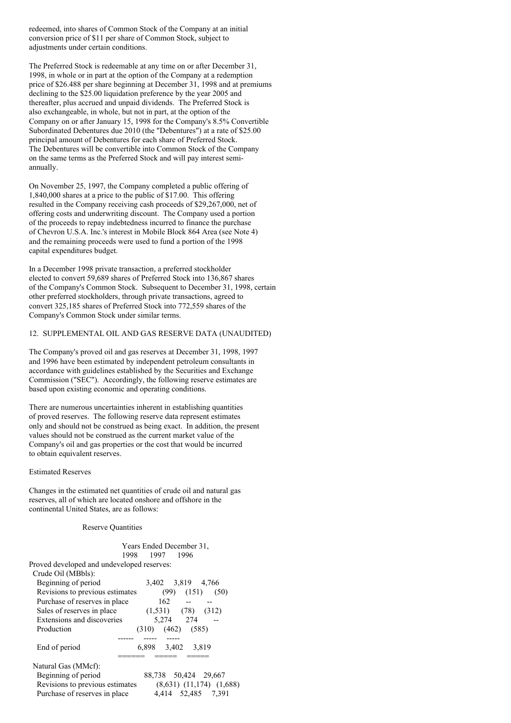redeemed, into shares of Common Stock of the Company at an initial conversion price of \$11 per share of Common Stock, subject to adjustments under certain conditions.

The Preferred Stock is redeemable at any time on or after December 31, 1998, in whole or in part at the option of the Company at a redemption price of \$26.488 per share beginning at December 31, 1998 and at premiums declining to the \$25.00 liquidation preference by the year 2005 and thereafter, plus accrued and unpaid dividends. The Preferred Stock is also exchangeable, in whole, but not in part, at the option of the Company on or after January 15, 1998 for the Company's 8.5% Convertible Subordinated Debentures due 2010 (the "Debentures") at a rate of \$25.00 principal amount of Debentures for each share of Preferred Stock. The Debentures will be convertible into Common Stock of the Company on the same terms as the Preferred Stock and will pay interest semiannually.

On November 25, 1997, the Company completed a public offering of 1,840,000 shares at a price to the public of \$17.00. This offering resulted in the Company receiving cash proceeds of \$29,267,000, net of offering costs and underwriting discount. The Company used a portion of the proceeds to repay indebtedness incurred to finance the purchase of Chevron U.S.A. Inc.'s interest in Mobile Block 864 Area (see Note 4) and the remaining proceeds were used to fund a portion of the 1998 capital expenditures budget.

In a December 1998 private transaction, a preferred stockholder elected to convert 59,689 shares of Preferred Stock into 136,867 shares of the Company's Common Stock. Subsequent to December 31, 1998, certain other preferred stockholders, through private transactions, agreed to convert 325,185 shares of Preferred Stock into 772,559 shares of the Company's Common Stock under similar terms.

# 12. SUPPLEMENTAL OIL AND GAS RESERVE DATA (UNAUDITED)

The Company's proved oil and gas reserves at December 31, 1998, 1997 and 1996 have been estimated by independent petroleum consultants in accordance with guidelines established by the Securities and Exchange Commission ("SEC"). Accordingly, the following reserve estimates are based upon existing economic and operating conditions.

There are numerous uncertainties inherent in establishing quantities of proved reserves. The following reserve data represent estimates only and should not be construed as being exact. In addition, the present values should not be construed as the current market value of the Company's oil and gas properties or the cost that would be incurred to obtain equivalent reserves.

## Estimated Reserves

Changes in the estimated net quantities of crude oil and natural gas reserves, all of which are located onshore and offshore in the continental United States, are as follows:

#### Reserve Quantities

|      |      | Years Ended December 31, |
|------|------|--------------------------|
| 1998 | 1997 | 1996                     |

Proved developed and undeveloped reserves:

| Crude Oil (MBbls):              |                                |
|---------------------------------|--------------------------------|
| Beginning of period             | 3,402 3,819 4,766              |
| Revisions to previous estimates | (151)<br>(99)<br>(50)          |
| Purchase of reserves in place   | 162                            |
| Sales of reserves in place      | $(1,531)$ $(78)$<br>(312)      |
| Extensions and discoveries      | 5.274 274                      |
| Production                      | $(462)$ $(585)$<br>(310)       |
|                                 |                                |
| End of period                   | 6,898 3,402<br>3.819           |
|                                 |                                |
| Natural Gas (MMcf):             |                                |
| Beginning of period             | 88,738 50,424 29,667           |
| Revisions to previous estimates | $(8,631)$ $(11,174)$ $(1,688)$ |
| Purchase of reserves in place   | 4,414 52,485 7,391             |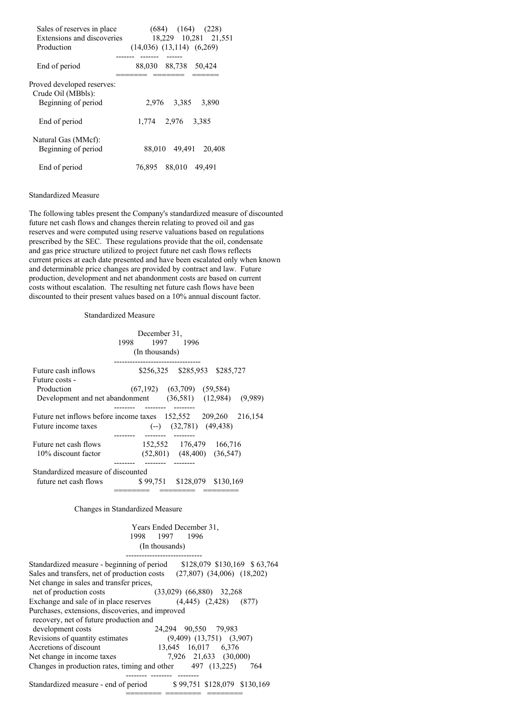| Sales of reserves in place<br>Extensions and discoveries<br>Production  | $(684)$ $(164)$ $(228)$<br>18,229 10,281 21,551<br>$(14,036)$ $(13,114)$ $(6,269)$ |
|-------------------------------------------------------------------------|------------------------------------------------------------------------------------|
| End of period                                                           | 88,030 88,738<br>50.424                                                            |
| Proved developed reserves:<br>Crude Oil (MBbls):<br>Beginning of period | 2.976 3.385<br>3.890                                                               |
| End of period                                                           | 1.774 2.976<br>3.385                                                               |
| Natural Gas (MMcf):<br>Beginning of period                              | 88,010 49,491<br>20,408                                                            |
| End of period                                                           | 88,010<br>76,895<br>49.491                                                         |

### Standardized Measure

The following tables present the Company's standardized measure of discounted future net cash flows and changes therein relating to proved oil and gas reserves and were computed using reserve valuations based on regulations prescribed by the SEC. These regulations provide that the oil, condensate and gas price structure utilized to project future net cash flows reflects current prices at each date presented and have been escalated only when known and determinable price changes are provided by contract and law. Future production, development and net abandonment costs are based on current costs without escalation. The resulting net future cash flows have been discounted to their present values based on a 10% annual discount factor.

# Standardized Measure

| 1998.                              |                                |                                                                                                                                                                                                                                                                                                                                                   |
|------------------------------------|--------------------------------|---------------------------------------------------------------------------------------------------------------------------------------------------------------------------------------------------------------------------------------------------------------------------------------------------------------------------------------------------|
|                                    |                                |                                                                                                                                                                                                                                                                                                                                                   |
|                                    |                                |                                                                                                                                                                                                                                                                                                                                                   |
|                                    |                                |                                                                                                                                                                                                                                                                                                                                                   |
|                                    |                                |                                                                                                                                                                                                                                                                                                                                                   |
|                                    |                                |                                                                                                                                                                                                                                                                                                                                                   |
|                                    |                                |                                                                                                                                                                                                                                                                                                                                                   |
|                                    |                                |                                                                                                                                                                                                                                                                                                                                                   |
|                                    |                                |                                                                                                                                                                                                                                                                                                                                                   |
|                                    |                                |                                                                                                                                                                                                                                                                                                                                                   |
|                                    |                                |                                                                                                                                                                                                                                                                                                                                                   |
|                                    |                                |                                                                                                                                                                                                                                                                                                                                                   |
|                                    |                                |                                                                                                                                                                                                                                                                                                                                                   |
| Standardized measure of discounted |                                |                                                                                                                                                                                                                                                                                                                                                   |
| future net cash flows              |                                |                                                                                                                                                                                                                                                                                                                                                   |
|                                    |                                |                                                                                                                                                                                                                                                                                                                                                   |
|                                    | December 31,<br>(In thousands) | 1997 1996<br>\$256,325 \$285,953 \$285,727<br>$(67,192)$ $(63,709)$ $(59,584)$<br>Development and net abandonment (36,581) (12,984) (9,989)<br>Future net inflows before income taxes $152,552$ $209,260$ $216,154$<br>$(-)$ $(32,781)$ $(49,438)$<br>152,552 176,479 166,716<br>$(52,801)$ $(48,400)$ $(36,547)$<br>\$99,751 \$128,079 \$130,169 |

# Changes in Standardized Measure

| Years Ended December 31, |  |  |  |  |
|--------------------------|--|--|--|--|
| 1998 1997 1996           |  |  |  |  |
| (In thousands)           |  |  |  |  |
|                          |  |  |  |  |

======== ======== ========

| Standardized measure - beginning of period                          | \$128,079 \$130,169 \$63,764     |
|---------------------------------------------------------------------|----------------------------------|
| Sales and transfers, net of production costs                        | $(27,807)$ $(34,006)$ $(18,202)$ |
| Net change in sales and transfer prices,                            |                                  |
| net of production costs                                             | $(33,029)$ $(66,880)$ 32,268     |
| Exchange and sale of in place reserves $(4,445)$ $(2,428)$          | (877)                            |
| Purchases, extensions, discoveries, and improved                    |                                  |
| recovery, net of future production and                              |                                  |
| development costs                                                   | 24.294 90.550 79.983             |
| Revisions of quantity estimates                                     | $(9,409)$ $(13,751)$ $(3,907)$   |
| Accretions of discount                                              | 13,645 16,017 6,376              |
| Net change in income taxes                                          | 7.926 21.633 (30.000)            |
| Changes in production rates, timing and other $\qquad$ 497 (13,225) | 764                              |
|                                                                     |                                  |
| Standardized measure - end of period                                | \$99,751 \$128,079 \$130,169     |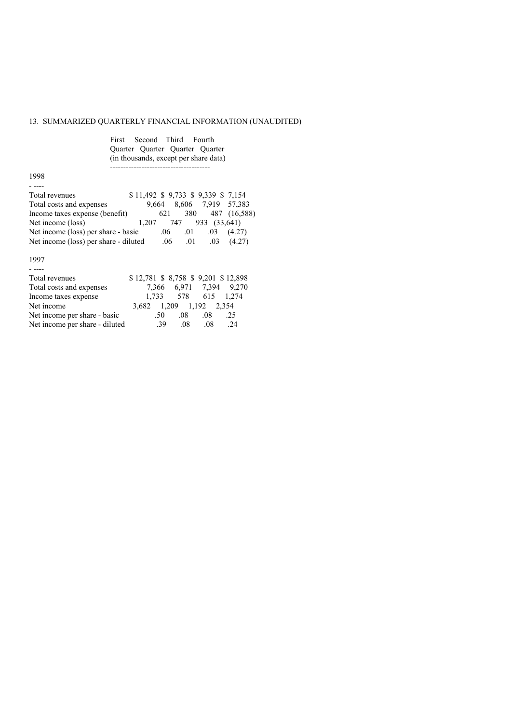# 13. SUMMARIZED QUARTERLY FINANCIAL INFORMATION (UNAUDITED)

|                                     | First Second Third Fourth<br>Quarter Quarter Quarter Quarter<br>(in thousands, except per share data) |
|-------------------------------------|-------------------------------------------------------------------------------------------------------|
| 1998                                |                                                                                                       |
|                                     |                                                                                                       |
| Total revenues                      | \$11,492 \$9,733 \$9,339 \$7,154                                                                      |
| Total costs and expenses            | 9,664 8,606 7,919 57,383                                                                              |
| Income taxes expense (benefit)      | 621 380 487 (16,588)                                                                                  |
| Net income (loss)                   | $1,207$ 747 933 (33,641)                                                                              |
| Net income (loss) per share - basic | $.06$ $.01$ $.03$ $(4.27)$                                                                            |
|                                     | Net income (loss) per share - diluted $.06$ $.01$ $.03$ $(4.27)$                                      |
| 1997                                |                                                                                                       |
|                                     |                                                                                                       |
| Total revenues                      | \$12,781 \$8,758 \$9,201 \$12,898                                                                     |
| Total costs and expenses            | 7,366 6,971 7,394 9,270                                                                               |

Income taxes expense 1,733 578 615 1,274 Net income 3,682 1,209 1,192 2,354 Net income per share - basic .50 .08 .08 .25 Net income per share - diluted .39 .08 .08 .24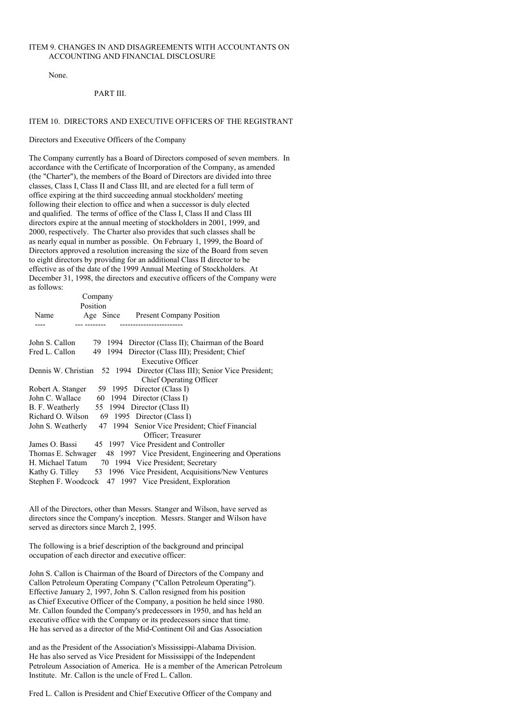### ITEM 9. CHANGES IN AND DISAGREEMENTS WITH ACCOUNTANTS ON ACCOUNTING AND FINANCIAL DISCLOSURE

None.

### PART III.

### ITEM 10. DIRECTORS AND EXECUTIVE OFFICERS OF THE REGISTRANT

Directors and Executive Officers of the Company

The Company currently has a Board of Directors composed of seven members. In accordance with the Certificate of Incorporation of the Company, as amended (the "Charter"), the members of the Board of Directors are divided into three classes, Class I, Class II and Class III, and are elected for a full term of office expiring at the third succeeding annual stockholders' meeting following their election to office and when a successor is duly elected and qualified. The terms of office of the Class I, Class II and Class III directors expire at the annual meeting of stockholders in 2001, 1999, and 2000, respectively. The Charter also provides that such classes shall be as nearly equal in number as possible. On February 1, 1999, the Board of Directors approved a resolution increasing the size of the Board from seven to eight directors by providing for an additional Class II director to be effective as of the date of the 1999 Annual Meeting of Stockholders. At December 31, 1998, the directors and executive officers of the Company were as follows:

|                   | Company  |                                                                                                            |
|-------------------|----------|------------------------------------------------------------------------------------------------------------|
|                   | Position |                                                                                                            |
| Name              |          | Age Since Present Company Position                                                                         |
|                   |          | ---------------------                                                                                      |
| John S. Callon    |          | 79 1994 Director (Class II); Chairman of the Board                                                         |
| Fred L. Callon    |          | 49 1994 Director (Class III); President; Chief                                                             |
|                   |          | Executive Officer                                                                                          |
|                   |          | Dennis W. Christian 52 1994 Director (Class III); Senior Vice President;<br><b>Chief Operating Officer</b> |
|                   |          | Robert A. Stanger 59 1995 Director (Class I)                                                               |
| John C. Wallace   |          | 60 1994 Director (Class I)                                                                                 |
|                   |          | B. F. Weatherly 55 1994 Director (Class II)                                                                |
| Richard O. Wilson |          | 69 1995 Director (Class I)                                                                                 |
|                   |          | John S. Weatherly 47 1994 Senior Vice President; Chief Financial                                           |
|                   |          | Officer; Treasurer                                                                                         |
| James O. Bassi    |          | 45 1997 Vice President and Controller                                                                      |
|                   |          | Thomas E. Schwager 48 1997 Vice President, Engineering and Operations                                      |
| H. Michael Tatum  |          | 70 1994 Vice President; Secretary                                                                          |
|                   |          | Kathy G. Tilley 53 1996 Vice President, Acquisitions/New Ventures                                          |
|                   |          | Stephen F. Woodcock 47 1997 Vice President, Exploration                                                    |

All of the Directors, other than Messrs. Stanger and Wilson, have served as directors since the Company's inception. Messrs. Stanger and Wilson have served as directors since March 2, 1995.

The following is a brief description of the background and principal occupation of each director and executive officer:

John S. Callon is Chairman of the Board of Directors of the Company and Callon Petroleum Operating Company ("Callon Petroleum Operating"). Effective January 2, 1997, John S. Callon resigned from his position as Chief Executive Officer of the Company, a position he held since 1980. Mr. Callon founded the Company's predecessors in 1950, and has held an executive office with the Company or its predecessors since that time. He has served as a director of the Mid-Continent Oil and Gas Association

and as the President of the Association's Mississippi-Alabama Division. He has also served as Vice President for Mississippi of the Independent Petroleum Association of America. He is a member of the American Petroleum Institute. Mr. Callon is the uncle of Fred L. Callon.

Fred L. Callon is President and Chief Executive Officer of the Company and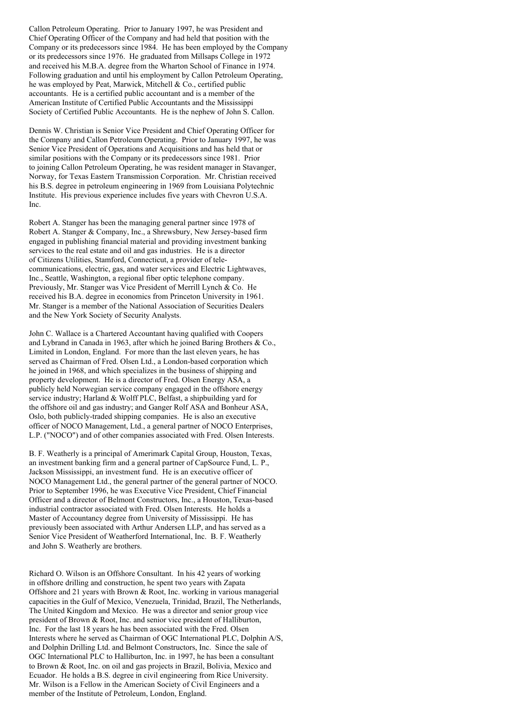Callon Petroleum Operating. Prior to January 1997, he was President and Chief Operating Officer of the Company and had held that position with the Company or its predecessors since 1984. He has been employed by the Company or its predecessors since 1976. He graduated from Millsaps College in 1972 and received his M.B.A. degree from the Wharton School of Finance in 1974. Following graduation and until his employment by Callon Petroleum Operating, he was employed by Peat, Marwick, Mitchell & Co., certified public accountants. He is a certified public accountant and is a member of the American Institute of Certified Public Accountants and the Mississippi Society of Certified Public Accountants. He is the nephew of John S. Callon.

Dennis W. Christian is Senior Vice President and Chief Operating Officer for the Company and Callon Petroleum Operating. Prior to January 1997, he was Senior Vice President of Operations and Acquisitions and has held that or similar positions with the Company or its predecessors since 1981. Prior to joining Callon Petroleum Operating, he was resident manager in Stavanger, Norway, for Texas Eastern Transmission Corporation. Mr. Christian received his B.S. degree in petroleum engineering in 1969 from Louisiana Polytechnic Institute. His previous experience includes five years with Chevron U.S.A. Inc.

Robert A. Stanger has been the managing general partner since 1978 of Robert A. Stanger & Company, Inc., a Shrewsbury, New Jersey-based firm engaged in publishing financial material and providing investment banking services to the real estate and oil and gas industries. He is a director of Citizens Utilities, Stamford, Connecticut, a provider of telecommunications, electric, gas, and water services and Electric Lightwaves, Inc., Seattle, Washington, a regional fiber optic telephone company. Previously, Mr. Stanger was Vice President of Merrill Lynch & Co. He received his B.A. degree in economics from Princeton University in 1961. Mr. Stanger is a member of the National Association of Securities Dealers and the New York Society of Security Analysts.

John C. Wallace is a Chartered Accountant having qualified with Coopers and Lybrand in Canada in 1963, after which he joined Baring Brothers & Co., Limited in London, England. For more than the last eleven years, he has served as Chairman of Fred. Olsen Ltd., a London-based corporation which he joined in 1968, and which specializes in the business of shipping and property development. He is a director of Fred. Olsen Energy ASA, a publicly held Norwegian service company engaged in the offshore energy service industry; Harland & Wolff PLC, Belfast, a shipbuilding yard for the offshore oil and gas industry; and Ganger Rolf ASA and Bonheur ASA, Oslo, both publicly-traded shipping companies. He is also an executive officer of NOCO Management, Ltd., a general partner of NOCO Enterprises, L.P. ("NOCO") and of other companies associated with Fred. Olsen Interests.

B. F. Weatherly is a principal of Amerimark Capital Group, Houston, Texas, an investment banking firm and a general partner of CapSource Fund, L. P., Jackson Mississippi, an investment fund. He is an executive officer of NOCO Management Ltd., the general partner of the general partner of NOCO. Prior to September 1996, he was Executive Vice President, Chief Financial Officer and a director of Belmont Constructors, Inc., a Houston, Texas-based industrial contractor associated with Fred. Olsen Interests. He holds a Master of Accountancy degree from University of Mississippi. He has previously been associated with Arthur Andersen LLP, and has served as a Senior Vice President of Weatherford International, Inc. B. F. Weatherly and John S. Weatherly are brothers.

Richard O. Wilson is an Offshore Consultant. In his 42 years of working in offshore drilling and construction, he spent two years with Zapata Offshore and 21 years with Brown & Root, Inc. working in various managerial capacities in the Gulf of Mexico, Venezuela, Trinidad, Brazil, The Netherlands, The United Kingdom and Mexico. He was a director and senior group vice president of Brown & Root, Inc. and senior vice president of Halliburton, Inc. For the last 18 years he has been associated with the Fred. Olsen Interests where he served as Chairman of OGC International PLC, Dolphin A/S, and Dolphin Drilling Ltd. and Belmont Constructors, Inc. Since the sale of OGC International PLC to Halliburton, Inc. in 1997, he has been a consultant to Brown & Root, Inc. on oil and gas projects in Brazil, Bolivia, Mexico and Ecuador. He holds a B.S. degree in civil engineering from Rice University. Mr. Wilson is a Fellow in the American Society of Civil Engineers and a member of the Institute of Petroleum, London, England.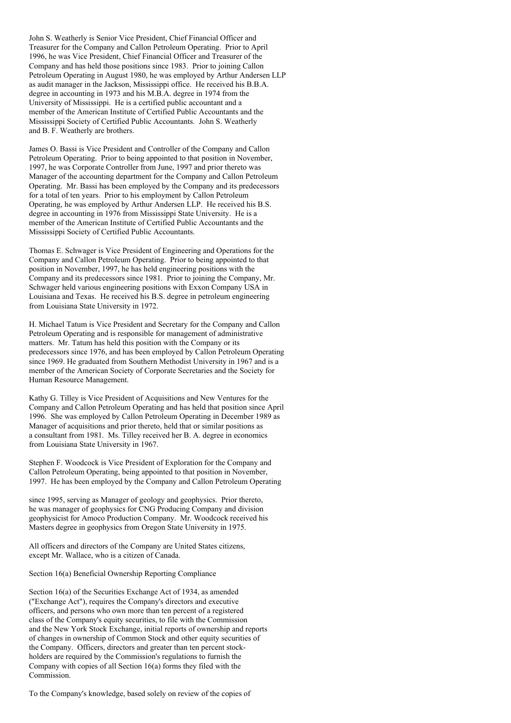John S. Weatherly is Senior Vice President, Chief Financial Officer and Treasurer for the Company and Callon Petroleum Operating. Prior to April 1996, he was Vice President, Chief Financial Officer and Treasurer of the Company and has held those positions since 1983. Prior to joining Callon Petroleum Operating in August 1980, he was employed by Arthur Andersen LLP as audit manager in the Jackson, Mississippi office. He received his B.B.A. degree in accounting in 1973 and his M.B.A. degree in 1974 from the University of Mississippi. He is a certified public accountant and a member of the American Institute of Certified Public Accountants and the Mississippi Society of Certified Public Accountants. John S. Weatherly and B. F. Weatherly are brothers.

James O. Bassi is Vice President and Controller of the Company and Callon Petroleum Operating. Prior to being appointed to that position in November, 1997, he was Corporate Controller from June, 1997 and prior thereto was Manager of the accounting department for the Company and Callon Petroleum Operating. Mr. Bassi has been employed by the Company and its predecessors for a total of ten years. Prior to his employment by Callon Petroleum Operating, he was employed by Arthur Andersen LLP. He received his B.S. degree in accounting in 1976 from Mississippi State University. He is a member of the American Institute of Certified Public Accountants and the Mississippi Society of Certified Public Accountants.

Thomas E. Schwager is Vice President of Engineering and Operations for the Company and Callon Petroleum Operating. Prior to being appointed to that position in November, 1997, he has held engineering positions with the Company and its predecessors since 1981. Prior to joining the Company, Mr. Schwager held various engineering positions with Exxon Company USA in Louisiana and Texas. He received his B.S. degree in petroleum engineering from Louisiana State University in 1972.

H. Michael Tatum is Vice President and Secretary for the Company and Callon Petroleum Operating and is responsible for management of administrative matters. Mr. Tatum has held this position with the Company or its predecessors since 1976, and has been employed by Callon Petroleum Operating since 1969. He graduated from Southern Methodist University in 1967 and is a member of the American Society of Corporate Secretaries and the Society for Human Resource Management.

Kathy G. Tilley is Vice President of Acquisitions and New Ventures for the Company and Callon Petroleum Operating and has held that position since April 1996. She was employed by Callon Petroleum Operating in December 1989 as Manager of acquisitions and prior thereto, held that or similar positions as a consultant from 1981. Ms. Tilley received her B. A. degree in economics from Louisiana State University in 1967.

Stephen F. Woodcock is Vice President of Exploration for the Company and Callon Petroleum Operating, being appointed to that position in November, 1997. He has been employed by the Company and Callon Petroleum Operating

since 1995, serving as Manager of geology and geophysics. Prior thereto, he was manager of geophysics for CNG Producing Company and division geophysicist for Amoco Production Company. Mr. Woodcock received his Masters degree in geophysics from Oregon State University in 1975.

All officers and directors of the Company are United States citizens, except Mr. Wallace, who is a citizen of Canada.

Section 16(a) Beneficial Ownership Reporting Compliance

Section 16(a) of the Securities Exchange Act of 1934, as amended ("Exchange Act"), requires the Company's directors and executive officers, and persons who own more than ten percent of a registered class of the Company's equity securities, to file with the Commission and the New York Stock Exchange, initial reports of ownership and reports of changes in ownership of Common Stock and other equity securities of the Company. Officers, directors and greater than ten percent stockholders are required by the Commission's regulations to furnish the Company with copies of all Section 16(a) forms they filed with the Commission.

To the Company's knowledge, based solely on review of the copies of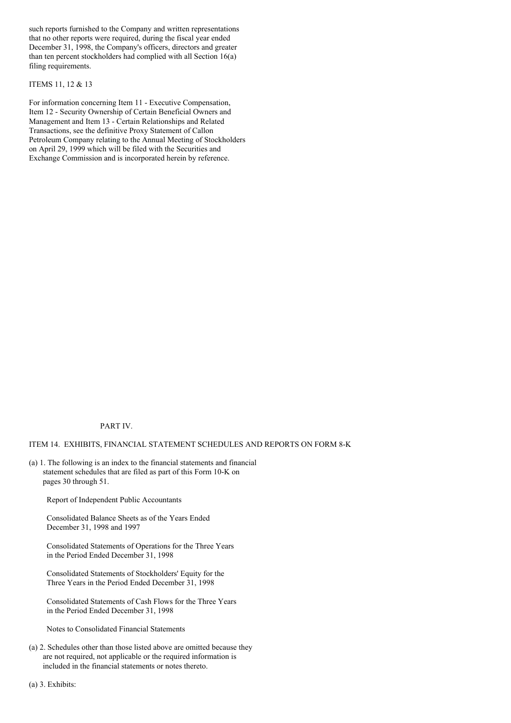such reports furnished to the Company and written representations that no other reports were required, during the fiscal year ended December 31, 1998, the Company's officers, directors and greater than ten percent stockholders had complied with all Section 16(a) filing requirements.

## ITEMS 11, 12 & 13

For information concerning Item 11 - Executive Compensation, Item 12 - Security Ownership of Certain Beneficial Owners and Management and Item 13 - Certain Relationships and Related Transactions, see the definitive Proxy Statement of Callon Petroleum Company relating to the Annual Meeting of Stockholders on April 29, 1999 which will be filed with the Securities and Exchange Commission and is incorporated herein by reference.

## PART IV.

### ITEM 14. EXHIBITS, FINANCIAL STATEMENT SCHEDULES AND REPORTS ON FORM 8-K

(a) 1. The following is an index to the financial statements and financial statement schedules that are filed as part of this Form 10-K on pages 30 through 51.

Report of Independent Public Accountants

Consolidated Balance Sheets as of the Years Ended December 31, 1998 and 1997

Consolidated Statements of Operations for the Three Years in the Period Ended December 31, 1998

Consolidated Statements of Stockholders' Equity for the Three Years in the Period Ended December 31, 1998

Consolidated Statements of Cash Flows for the Three Years in the Period Ended December 31, 1998

Notes to Consolidated Financial Statements

(a) 2. Schedules other than those listed above are omitted because they are not required, not applicable or the required information is included in the financial statements or notes thereto.

(a) 3. Exhibits: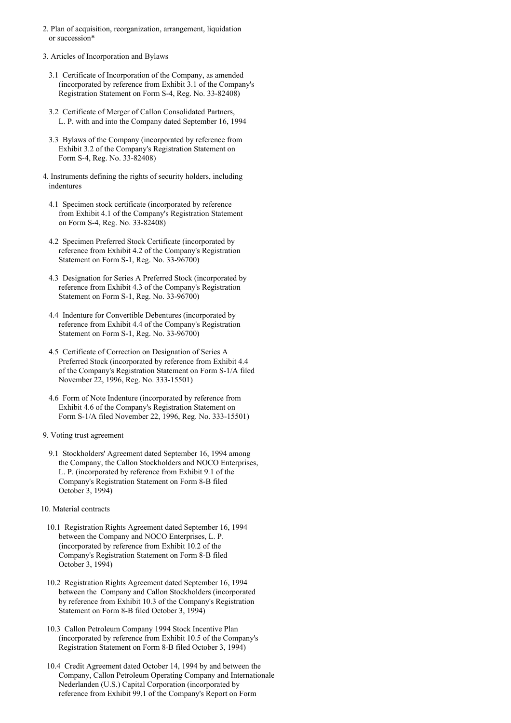- 2. Plan of acquisition, reorganization, arrangement, liquidation or succession\*
- 3. Articles of Incorporation and Bylaws
- 3.1 Certificate of Incorporation of the Company, as amended (incorporated by reference from Exhibit 3.1 of the Company's Registration Statement on Form S-4, Reg. No. 33-82408)
- 3.2 Certificate of Merger of Callon Consolidated Partners, L. P. with and into the Company dated September 16, 1994
- 3.3 Bylaws of the Company (incorporated by reference from Exhibit 3.2 of the Company's Registration Statement on Form S-4, Reg. No. 33-82408)
- 4. Instruments defining the rights of security holders, including indentures
	- 4.1 Specimen stock certificate (incorporated by reference from Exhibit 4.1 of the Company's Registration Statement on Form S-4, Reg. No. 33-82408)
	- 4.2 Specimen Preferred Stock Certificate (incorporated by reference from Exhibit 4.2 of the Company's Registration Statement on Form S-1, Reg. No. 33-96700)
	- 4.3 Designation for Series A Preferred Stock (incorporated by reference from Exhibit 4.3 of the Company's Registration Statement on Form S-1, Reg. No. 33-96700)
	- 4.4 Indenture for Convertible Debentures (incorporated by reference from Exhibit 4.4 of the Company's Registration Statement on Form S-1, Reg. No. 33-96700)
	- 4.5 Certificate of Correction on Designation of Series A Preferred Stock (incorporated by reference from Exhibit 4.4 of the Company's Registration Statement on Form S-1/A filed November 22, 1996, Reg. No. 333-15501)
	- 4.6 Form of Note Indenture (incorporated by reference from Exhibit 4.6 of the Company's Registration Statement on Form S-1/A filed November 22, 1996, Reg. No. 333-15501)
- 9. Voting trust agreement
- 9.1 Stockholders' Agreement dated September 16, 1994 among the Company, the Callon Stockholders and NOCO Enterprises, L. P. (incorporated by reference from Exhibit 9.1 of the Company's Registration Statement on Form 8-B filed October 3, 1994)
- 10. Material contracts
- 10.1 Registration Rights Agreement dated September 16, 1994 between the Company and NOCO Enterprises, L. P. (incorporated by reference from Exhibit 10.2 of the Company's Registration Statement on Form 8-B filed October 3, 1994)
- 10.2 Registration Rights Agreement dated September 16, 1994 between the Company and Callon Stockholders (incorporated by reference from Exhibit 10.3 of the Company's Registration Statement on Form 8-B filed October 3, 1994)
- 10.3 Callon Petroleum Company 1994 Stock Incentive Plan (incorporated by reference from Exhibit 10.5 of the Company's Registration Statement on Form 8-B filed October 3, 1994)
- 10.4 Credit Agreement dated October 14, 1994 by and between the Company, Callon Petroleum Operating Company and Internationale Nederlanden (U.S.) Capital Corporation (incorporated by reference from Exhibit 99.1 of the Company's Report on Form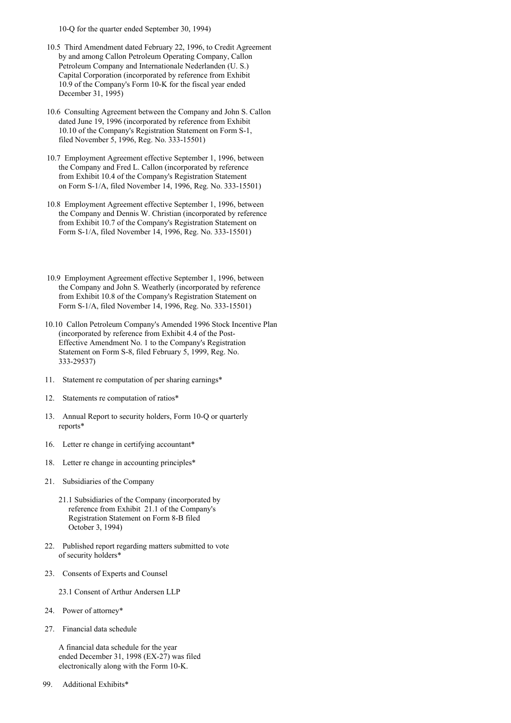10-Q for the quarter ended September 30, 1994)

- 10.5 Third Amendment dated February 22, 1996, to Credit Agreement by and among Callon Petroleum Operating Company, Callon Petroleum Company and Internationale Nederlanden (U. S.) Capital Corporation (incorporated by reference from Exhibit 10.9 of the Company's Form 10-K for the fiscal year ended December 31, 1995)
- 10.6 Consulting Agreement between the Company and John S. Callon dated June 19, 1996 (incorporated by reference from Exhibit 10.10 of the Company's Registration Statement on Form S-1, filed November 5, 1996, Reg. No. 333-15501)
- 10.7 Employment Agreement effective September 1, 1996, between the Company and Fred L. Callon (incorporated by reference from Exhibit 10.4 of the Company's Registration Statement on Form S-1/A, filed November 14, 1996, Reg. No. 333-15501)
- 10.8 Employment Agreement effective September 1, 1996, between the Company and Dennis W. Christian (incorporated by reference from Exhibit 10.7 of the Company's Registration Statement on Form S-1/A, filed November 14, 1996, Reg. No. 333-15501)
- 10.9 Employment Agreement effective September 1, 1996, between the Company and John S. Weatherly (incorporated by reference from Exhibit 10.8 of the Company's Registration Statement on Form S-1/A, filed November 14, 1996, Reg. No. 333-15501)
- 10.10 Callon Petroleum Company's Amended 1996 Stock Incentive Plan (incorporated by reference from Exhibit 4.4 of the Post-Effective Amendment No. 1 to the Company's Registration Statement on Form S-8, filed February 5, 1999, Reg. No. 333-29537)
- 11. Statement re computation of per sharing earnings\*
- 12. Statements re computation of ratios\*
- 13. Annual Report to security holders, Form 10-Q or quarterly reports\*
- 16. Letter re change in certifying accountant\*
- 18. Letter re change in accounting principles\*
- 21. Subsidiaries of the Company
	- 21.1 Subsidiaries of the Company (incorporated by reference from Exhibit 21.1 of the Company's Registration Statement on Form 8-B filed October 3, 1994)
- 22. Published report regarding matters submitted to vote of security holders\*
- 23. Consents of Experts and Counsel

23.1 Consent of Arthur Andersen LLP

- 24. Power of attorney\*
- 27. Financial data schedule

A financial data schedule for the year ended December 31, 1998 (EX-27) was filed electronically along with the Form 10-K.

99. Additional Exhibits\*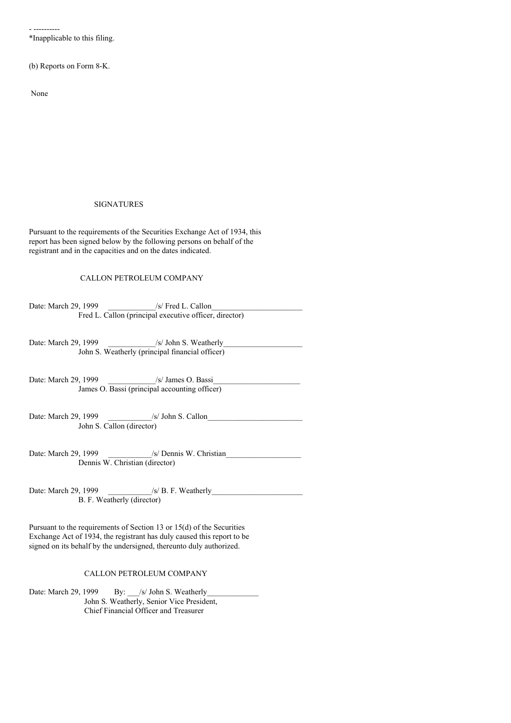- ---------- \*Inapplicable to this filing.

(b) Reports on Form 8-K.

None

### SIGNATURES

Pursuant to the requirements of the Securities Exchange Act of 1934, this report has been signed below by the following persons on behalf of the registrant and in the capacities and on the dates indicated.

# CALLON PETROLEUM COMPANY

Date: March 29, 1999 /s/ Fred L. Callon Fred L. Callon (principal executive officer, director)

Date: March 29, 1999 /s/ John S. Weatherly John S. Weatherly (principal financial officer)

Date: March 29, 1999 \_\_\_\_\_\_\_\_\_\_\_\_\_\_/s/ James O. Bassi\_ James O. Bassi (principal accounting officer)

Date: March 29, 1999 /s/ John S. Callon John S. Callon (director)

Date: March 29, 1999 /s/ Dennis W. Christian Dennis W. Christian (director)

Date: March 29, 1999 \_\_\_\_\_\_\_\_\_\_\_/s/ B. F. Weatherly\_\_\_\_\_\_\_\_\_\_\_\_\_\_\_\_\_\_\_\_\_\_\_ B. F. Weatherly (director)

Pursuant to the requirements of Section 13 or 15(d) of the Securities Exchange Act of 1934, the registrant has duly caused this report to be signed on its behalf by the undersigned, thereunto duly authorized.

## CALLON PETROLEUM COMPANY

Date: March 29, 1999 By: /s/ John S. Weatherly John S. Weatherly, Senior Vice President, Chief Financial Officer and Treasurer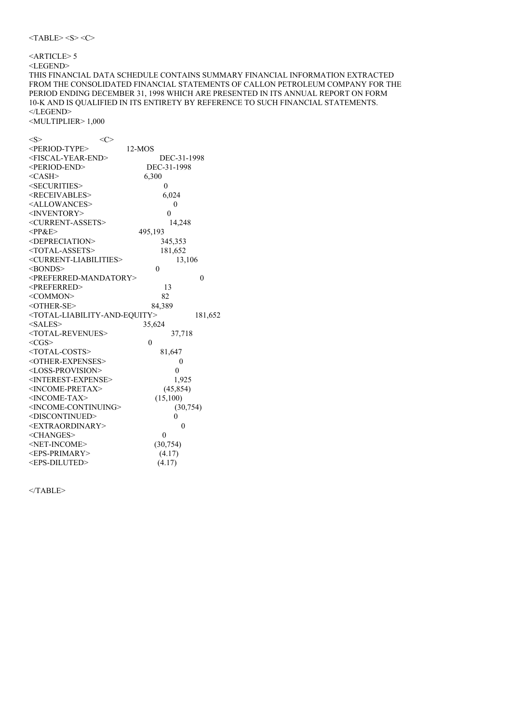## <ARTICLE> 5 <LEGEND> THIS FINANCIAL DATA SCHEDULE CONTAINS SUMMARY FINANCIAL INFORMATION EXTRACTED FROM THE CONSOLIDATED FINANCIAL STATEMENTS OF CALLON PETROLEUM COMPANY FOR THE PERIOD ENDING DECEMBER 31, 1998 WHICH ARE PRESENTED IN ITS ANNUAL REPORT ON FORM 10-K AND IS QUALIFIED IN ITS ENTIRETY BY REFERENCE TO SUCH FINANCIAL STATEMENTS. </LEGEND> <MULTIPLIER> 1,000

| $<\!\!S\!\!>$                                             | $<\infty$      |          |
|-----------------------------------------------------------|----------------|----------|
| <period-type></period-type>                               | $12-MOS$       |          |
| <fiscal-year-end></fiscal-year-end>                       | DEC-31-1998    |          |
| <period-end></period-end>                                 | DEC-31-1998    |          |
| $<$ CASH $>$                                              | 6,300          |          |
| <securities></securities>                                 | 0              |          |
| <receivables></receivables>                               | 6,024          |          |
| <allowances></allowances>                                 | 0              |          |
| <inventory></inventory>                                   | 0              |          |
| <current-assets></current-assets>                         | 14,248         |          |
| $<$ PP&E>                                                 | 495,193        |          |
| <depreciation></depreciation>                             | 345,353        |          |
| <total-assets></total-assets>                             | 181,652        |          |
| <current-liabilities></current-liabilities>               | 13,106         |          |
| $<$ BONDS $>$                                             | $\theta$       |          |
| <preferred-mandatory></preferred-mandatory>               |                | $\Omega$ |
| <preferred></preferred>                                   | 13             |          |
| <common></common>                                         | 82             |          |
| <other-se></other-se>                                     | 84,389         |          |
| <total-liability-and-equity></total-liability-and-equity> |                | 181,652  |
| $<$ SALES>                                                | 35,624         |          |
| <total-revenues></total-revenues>                         | 37,718         |          |
| $<$ CGS $>$                                               | $\theta$       |          |
| <total-costs></total-costs>                               | 81,647         |          |
| <other-expenses></other-expenses>                         | $\mathbf{0}$   |          |
| <loss-provision></loss-provision>                         | $\theta$       |          |
| <interest-expense></interest-expense>                     | 1,925          |          |
| <income-pretax></income-pretax>                           | (45, 854)      |          |
| <income-tax></income-tax>                                 | (15, 100)      |          |
| <income-continuing></income-continuing>                   | (30, 754)      |          |
| <discontinued></discontinued>                             | 0              |          |
| <extraordinary></extraordinary>                           | $\theta$       |          |
| <changes></changes>                                       | $\overline{0}$ |          |
| <net-income></net-income>                                 | (30, 754)      |          |
| <eps-primary></eps-primary>                               | (4.17)         |          |
| <eps-diluted></eps-diluted>                               | (4.17)         |          |

 $<$ /TABLE>